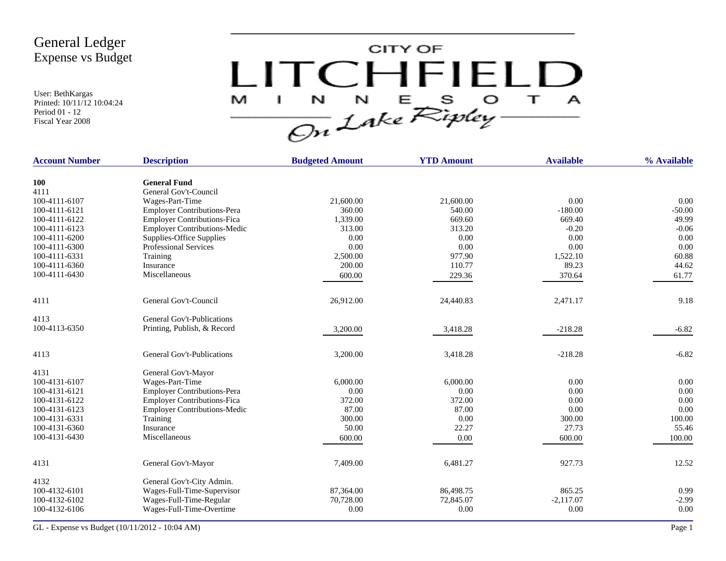User: BethKargas Printed: 10/11/12 10:04:24 Period 01 - 12 Fiscal Year 2008



| <b>Account Number</b> | <b>Description</b>                  | <b>Budgeted Amount</b> | <b>YTD Amount</b> | <b>Available</b> | % Available |
|-----------------------|-------------------------------------|------------------------|-------------------|------------------|-------------|
| <b>100</b>            | <b>General Fund</b>                 |                        |                   |                  |             |
| 4111                  | General Gov't-Council               |                        |                   |                  |             |
| 100-4111-6107         | Wages-Part-Time                     | 21,600.00              | 21,600.00         | 0.00             | 0.00        |
| 100-4111-6121         | <b>Employer Contributions-Pera</b>  | 360.00                 | 540.00            | $-180.00$        | $-50.00$    |
| 100-4111-6122         | Employer Contributions-Fica         | 1,339.00               | 669.60            | 669.40           | 49.99       |
| 100-4111-6123         | <b>Employer Contributions-Medic</b> | 313.00                 | 313.20            | $-0.20$          | $-0.06$     |
| 100-4111-6200         | Supplies-Office Supplies            | 0.00                   | 0.00              | 0.00             | 0.00        |
| 100-4111-6300         | <b>Professional Services</b>        | 0.00                   | 0.00              | 0.00             | 0.00        |
| 100-4111-6331         | Training                            | 2,500.00               | 977.90            | 1,522.10         | 60.88       |
| 100-4111-6360         | Insurance                           | 200.00                 | 110.77            | 89.23            | 44.62       |
| 100-4111-6430         | Miscellaneous                       | 600.00                 | 229.36            | 370.64           | 61.77       |
| 4111                  | General Gov't-Council               | 26,912.00              | 24,440.83         | 2,471.17         | 9.18        |
| 4113                  | General Gov't-Publications          |                        |                   |                  |             |
| 100-4113-6350         | Printing, Publish, & Record         | 3,200.00               | 3,418.28          | $-218.28$        | $-6.82$     |
| 4113                  | <b>General Gov't-Publications</b>   | 3,200.00               | 3,418.28          | $-218.28$        | $-6.82$     |
| 4131                  | General Gov't-Mayor                 |                        |                   |                  |             |
| 100-4131-6107         | Wages-Part-Time                     | 6,000.00               | 6,000.00          | 0.00             | 0.00        |
| 100-4131-6121         | <b>Employer Contributions-Pera</b>  | 0.00                   | 0.00              | 0.00             | 0.00        |
| 100-4131-6122         | <b>Employer Contributions-Fica</b>  | 372.00                 | 372.00            | 0.00             | 0.00        |
| 100-4131-6123         | <b>Employer Contributions-Medic</b> | 87.00                  | 87.00             | 0.00             | 0.00        |
| 100-4131-6331         | Training                            | 300.00                 | 0.00              | 300.00           | 100.00      |
| 100-4131-6360         | Insurance                           | 50.00                  | 22.27             | 27.73            | 55.46       |
| 100-4131-6430         | Miscellaneous                       | 600.00                 | 0.00              | 600.00           | 100.00      |
| 4131                  | General Gov't-Mayor                 | 7,409.00               | 6,481.27          | 927.73           | 12.52       |
|                       |                                     |                        |                   |                  |             |
| 4132                  | General Gov't-City Admin.           |                        |                   |                  |             |
| 100-4132-6101         | Wages-Full-Time-Supervisor          | 87,364.00              | 86,498.75         | 865.25           | 0.99        |
| 100-4132-6102         | Wages-Full-Time-Regular             | 70,728.00              | 72,845.07         | $-2,117.07$      | $-2.99$     |
| 100-4132-6106         | Wages-Full-Time-Overtime            | 0.00                   | 0.00              | 0.00             | 0.00        |
|                       |                                     |                        |                   |                  |             |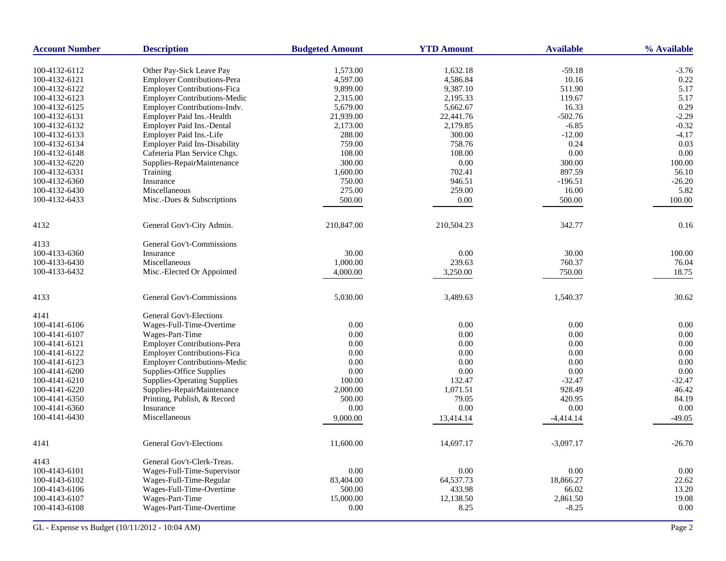| <b>Account Number</b> | <b>Description</b>                                      | <b>Budgeted Amount</b> | <b>YTD Amount</b>     | <b>Available</b>     | % Available        |
|-----------------------|---------------------------------------------------------|------------------------|-----------------------|----------------------|--------------------|
| 100-4132-6112         |                                                         | 1,573.00               | 1,632.18              | $-59.18$             | $-3.76$            |
| 100-4132-6121         | Other Pay-Sick Leave Pay<br>Employer Contributions-Pera | 4,597.00               | 4,586.84              | 10.16                | 0.22               |
| 100-4132-6122         | Employer Contributions-Fica                             | 9,899.00               | 9,387.10              | 511.90               | 5.17               |
| 100-4132-6123         | <b>Employer Contributions-Medic</b>                     | 2,315.00               | 2,195.33              | 119.67               | 5.17               |
| 100-4132-6125         | Employer Contributions-Indv.                            | 5,679.00               | 5,662.67              | 16.33                | 0.29               |
|                       |                                                         |                        |                       |                      |                    |
| 100-4132-6131         | Employer Paid Ins.-Health                               | 21,939.00              | 22,441.76<br>2,179.85 | $-502.76$<br>$-6.85$ | $-2.29$<br>$-0.32$ |
| 100-4132-6132         | Employer Paid Ins.-Dental<br>Employer Paid Ins.-Life    | 2,173.00               |                       |                      |                    |
| 100-4132-6133         |                                                         | 288.00                 | 300.00                | $-12.00$             | $-4.17$            |
| 100-4132-6134         | <b>Employer Paid Ins-Disability</b>                     | 759.00                 | 758.76                | 0.24                 | 0.03               |
| 100-4132-6148         | Cafeteria Plan Service Chgs.                            | 108.00                 | 108.00                | 0.00                 | 0.00               |
| 100-4132-6220         | Supplies-RepairMaintenance                              | 300.00                 | $0.00\,$              | 300.00               | 100.00             |
| 100-4132-6331         | Training                                                | 1,600.00               | 702.41                | 897.59               | 56.10              |
| 100-4132-6360         | Insurance                                               | 750.00                 | 946.51                | $-196.51$            | $-26.20$           |
| 100-4132-6430         | Miscellaneous                                           | 275.00                 | 259.00                | 16.00                | 5.82               |
| 100-4132-6433         | Misc.-Dues & Subscriptions                              | 500.00                 | 0.00                  | 500.00               | 100.00             |
| 4132                  | General Gov't-City Admin.                               | 210,847.00             | 210,504.23            | 342.77               | 0.16               |
| 4133                  | General Gov't-Commissions                               |                        |                       |                      |                    |
| 100-4133-6360         | Insurance                                               | 30.00                  | 0.00                  | 30.00                | 100.00             |
| 100-4133-6430         | Miscellaneous                                           | 1,000.00               | 239.63                | 760.37               | 76.04              |
| 100-4133-6432         | Misc.-Elected Or Appointed                              | 4,000.00               | 3,250.00              | 750.00               | 18.75              |
|                       |                                                         |                        |                       |                      |                    |
| 4133                  | General Gov't-Commissions                               | 5,030.00               | 3,489.63              | 1,540.37             | 30.62              |
| 4141                  | <b>General Gov't-Elections</b>                          |                        |                       |                      |                    |
| 100-4141-6106         | Wages-Full-Time-Overtime                                | 0.00                   | $0.00\,$              | 0.00                 | 0.00               |
| 100-4141-6107         | Wages-Part-Time                                         | 0.00                   | 0.00                  | 0.00                 | 0.00               |
| 100-4141-6121         | <b>Employer Contributions-Pera</b>                      | 0.00                   | 0.00                  | 0.00                 | 0.00               |
| 100-4141-6122         | <b>Employer Contributions-Fica</b>                      | 0.00                   | 0.00                  | 0.00                 | 0.00               |
| 100-4141-6123         | <b>Employer Contributions-Medic</b>                     | 0.00                   | 0.00                  | 0.00                 | 0.00               |
| 100-4141-6200         | <b>Supplies-Office Supplies</b>                         | 0.00                   | 0.00                  | 0.00                 | 0.00               |
| 100-4141-6210         | <b>Supplies-Operating Supplies</b>                      | 100.00                 | 132.47                | $-32.47$             | $-32.47$           |
| 100-4141-6220         | Supplies-RepairMaintenance                              | 2,000.00               | 1,071.51              | 928.49               | 46.42              |
| 100-4141-6350         | Printing, Publish, & Record                             | 500.00                 | 79.05                 | 420.95               | 84.19              |
| 100-4141-6360         | Insurance                                               | 0.00                   | 0.00                  | 0.00                 | 0.00               |
| 100-4141-6430         | Miscellaneous                                           | 9,000.00               | 13,414.14             | -4,414.14            | $-49.05$           |
|                       |                                                         |                        |                       |                      |                    |
| 4141                  | <b>General Gov't-Elections</b>                          | 11,600.00              | 14.697.17             | $-3,097.17$          | $-26.70$           |
| 4143                  | General Gov't-Clerk-Treas.                              |                        |                       |                      |                    |
| 100-4143-6101         | Wages-Full-Time-Supervisor                              | 0.00                   | 0.00                  | 0.00                 | 0.00               |
| 100-4143-6102         | Wages-Full-Time-Regular                                 | 83,404.00              | 64,537.73             | 18.866.27            | 22.62              |
| 100-4143-6106         | Wages-Full-Time-Overtime                                | 500.00                 | 433.98                | 66.02                | 13.20              |
| 100-4143-6107         | Wages-Part-Time                                         | 15,000.00              | 12,138.50             | 2,861.50             | 19.08              |
| 100-4143-6108         | Wages-Part-Time-Overtime                                | 0.00                   | 8.25                  | $-8.25$              | 0.00               |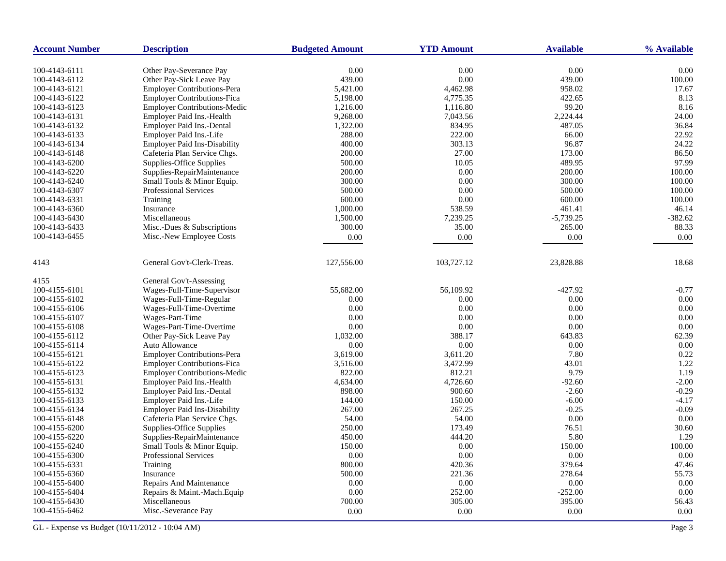| <b>Account Number</b>          | <b>Description</b>                  | <b>Budgeted Amount</b> | <b>YTD Amount</b> | <b>Available</b> | % Available |
|--------------------------------|-------------------------------------|------------------------|-------------------|------------------|-------------|
| 100-4143-6111                  | Other Pay-Severance Pay             | 0.00                   | $0.00\,$          | 0.00             | 0.00        |
| 100-4143-6112                  | Other Pay-Sick Leave Pay            | 439.00                 | 0.00              | 439.00           | 100.00      |
| 100-4143-6121                  | Employer Contributions-Pera         | 5,421.00               | 4,462.98          | 958.02           | 17.67       |
| 100-4143-6122                  | <b>Employer Contributions-Fica</b>  | 5,198.00               | 4,775.35          | 422.65           | 8.13        |
| 100-4143-6123                  | <b>Employer Contributions-Medic</b> | 1,216.00               | 1,116.80          | 99.20            | 8.16        |
| 100-4143-6131                  | Employer Paid Ins.-Health           | 9,268.00               | 7,043.56          | 2,224.44         | 24.00       |
| 100-4143-6132                  | Employer Paid Ins.-Dental           | 1,322.00               | 834.95            | 487.05           | 36.84       |
| 100-4143-6133                  | Employer Paid Ins.-Life             | 288.00                 | 222.00            | 66.00            | 22.92       |
| 100-4143-6134                  | <b>Employer Paid Ins-Disability</b> | 400.00                 | 303.13            | 96.87            | 24.22       |
|                                | Cafeteria Plan Service Chgs.        |                        | 27.00             |                  | 86.50       |
| 100-4143-6148                  | Supplies-Office Supplies            | 200.00<br>500.00       | 10.05             | 173.00<br>489.95 | 97.99       |
| 100-4143-6200<br>100-4143-6220 |                                     |                        | 0.00              | 200.00           | 100.00      |
|                                | Supplies-RepairMaintenance          | 200.00<br>300.00       | 0.00              | 300.00           | 100.00      |
| 100-4143-6240                  | Small Tools & Minor Equip.          |                        |                   |                  |             |
| 100-4143-6307                  | <b>Professional Services</b>        | 500.00                 | 0.00              | 500.00           | 100.00      |
| 100-4143-6331                  | Training                            | 600.00                 | 0.00              | 600.00           | 100.00      |
| 100-4143-6360                  | Insurance                           | 1,000.00               | 538.59            | 461.41           | 46.14       |
| 100-4143-6430                  | Miscellaneous                       | 1,500.00               | 7,239.25          | $-5,739.25$      | $-382.62$   |
| 100-4143-6433                  | Misc.-Dues & Subscriptions          | 300.00                 | 35.00             | 265.00           | 88.33       |
| 100-4143-6455                  | Misc.-New Employee Costs            | 0.00                   | 0.00              | 0.00             | 0.00        |
| 4143                           | General Gov't-Clerk-Treas.          | 127,556.00             | 103,727.12        | 23,828.88        | 18.68       |
| 4155                           | General Gov't-Assessing             |                        |                   |                  |             |
| 100-4155-6101                  | Wages-Full-Time-Supervisor          | 55,682.00              | 56,109.92         | $-427.92$        | $-0.77$     |
| 100-4155-6102                  | Wages-Full-Time-Regular             | 0.00                   | 0.00              | 0.00             | 0.00        |
| 100-4155-6106                  | Wages-Full-Time-Overtime            | 0.00                   | 0.00              | 0.00             | 0.00        |
| 100-4155-6107                  | Wages-Part-Time                     | 0.00                   | 0.00              | 0.00             | 0.00        |
| 100-4155-6108                  | Wages-Part-Time-Overtime            | 0.00                   | 0.00              | 0.00             | 0.00        |
| 100-4155-6112                  | Other Pay-Sick Leave Pay            | 1,032.00               | 388.17            | 643.83           | 62.39       |
| 100-4155-6114                  | Auto Allowance                      | 0.00                   | 0.00              | 0.00             | 0.00        |
| 100-4155-6121                  | Employer Contributions-Pera         | 3,619.00               | 3,611.20          | 7.80             | 0.22        |
| 100-4155-6122                  | <b>Employer Contributions-Fica</b>  | 3,516.00               | 3,472.99          | 43.01            | 1.22        |
| 100-4155-6123                  | <b>Employer Contributions-Medic</b> | 822.00                 | 812.21            | 9.79             | 1.19        |
| 100-4155-6131                  | Employer Paid Ins.-Health           | 4,634.00               | 4,726.60          | $-92.60$         | $-2.00$     |
| 100-4155-6132                  | Employer Paid Ins.-Dental           | 898.00                 | 900.60            | $-2.60$          | $-0.29$     |
| 100-4155-6133                  | Employer Paid Ins.-Life             | 144.00                 | 150.00            | $-6.00$          | $-4.17$     |
| 100-4155-6134                  | Employer Paid Ins-Disability        | 267.00                 | 267.25            | $-0.25$          | $-0.09$     |
| 100-4155-6148                  | Cafeteria Plan Service Chgs.        | 54.00                  | 54.00             | 0.00             | 0.00        |
| 100-4155-6200                  | Supplies-Office Supplies            | 250.00                 | 173.49            | 76.51            | 30.60       |
| 100-4155-6220                  | Supplies-RepairMaintenance          | 450.00                 | 444.20            | 5.80             | 1.29        |
| 100-4155-6240                  | Small Tools & Minor Equip.          | 150.00                 | 0.00              | 150.00           | 100.00      |
| 100-4155-6300                  | Professional Services               | 0.00                   | 0.00              | 0.00             | 0.00        |
| 100-4155-6331                  | Training                            | 800.00                 | 420.36            | 379.64           | 47.46       |
| 100-4155-6360                  | Insurance                           | 500.00                 | 221.36            | 278.64           | 55.73       |
| 100-4155-6400                  | Repairs And Maintenance             | 0.00                   | 0.00              | 0.00             | 0.00        |
| 100-4155-6404                  | Repairs & Maint.-Mach.Equip         | 0.00                   | 252.00            | $-252.00$        | 0.00        |
| 100-4155-6430                  | Miscellaneous                       | 700.00                 | 305.00            | 395.00           | 56.43       |
| 100-4155-6462                  | Misc.-Severance Pay                 | 0.00                   | 0.00              | 0.00             | 0.00        |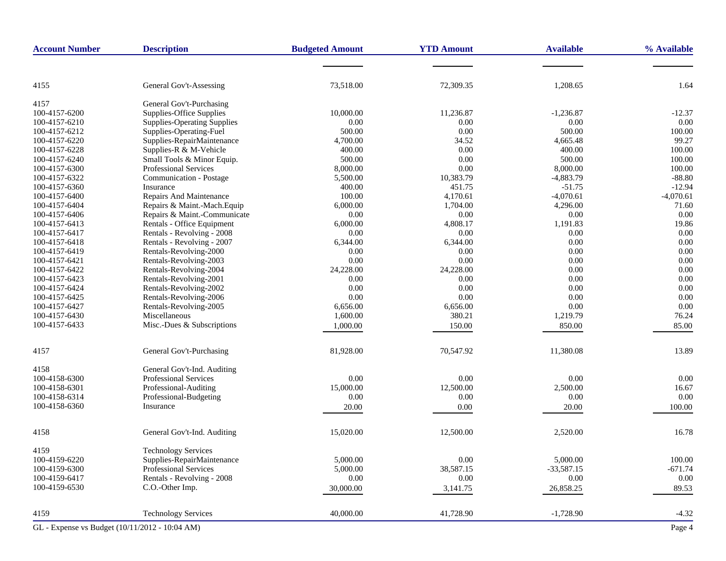| <b>Account Number</b>                          | <b>Description</b>                 | <b>Budgeted Amount</b> | <b>YTD Amount</b> | <b>Available</b> | % Available |
|------------------------------------------------|------------------------------------|------------------------|-------------------|------------------|-------------|
|                                                |                                    |                        |                   |                  |             |
| 4155                                           | General Gov't-Assessing            | 73,518.00              | 72,309.35         | 1,208.65         | 1.64        |
| 4157                                           | General Gov't-Purchasing           |                        |                   |                  |             |
| 100-4157-6200                                  | Supplies-Office Supplies           | 10,000.00              | 11,236.87         | $-1,236.87$      | $-12.37$    |
| 100-4157-6210                                  | <b>Supplies-Operating Supplies</b> | 0.00                   | 0.00              | 0.00             | 0.00        |
| 100-4157-6212                                  | Supplies-Operating-Fuel            | 500.00                 | 0.00              | 500.00           | 100.00      |
| 100-4157-6220                                  | Supplies-RepairMaintenance         | 4,700.00               | 34.52             | 4,665.48         | 99.27       |
| 100-4157-6228                                  | Supplies-R & M-Vehicle             | 400.00                 | 0.00              | 400.00           | 100.00      |
|                                                |                                    |                        |                   | 500.00           | 100.00      |
| 100-4157-6240                                  | Small Tools & Minor Equip.         | 500.00                 | 0.00              |                  |             |
| 100-4157-6300                                  | Professional Services              | 8,000.00               | 0.00              | 8,000.00         | 100.00      |
| 100-4157-6322                                  | Communication - Postage            | 5,500.00               | 10,383.79         | $-4,883.79$      | $-88.80$    |
| 100-4157-6360                                  | Insurance                          | 400.00                 | 451.75            | $-51.75$         | $-12.94$    |
| 100-4157-6400                                  | Repairs And Maintenance            | 100.00                 | 4,170.61          | $-4,070.61$      | $-4,070.61$ |
| 100-4157-6404                                  | Repairs & Maint.-Mach.Equip        | 6,000.00               | 1,704.00          | 4,296.00         | 71.60       |
| 100-4157-6406                                  | Repairs & Maint.-Communicate       | 0.00                   | 0.00              | $0.00\,$         | 0.00        |
| 100-4157-6413                                  | Rentals - Office Equipment         | 6,000.00               | 4,808.17          | 1,191.83         | 19.86       |
| 100-4157-6417                                  | Rentals - Revolving - 2008         | 0.00                   | 0.00              | 0.00             | 0.00        |
| 100-4157-6418                                  | Rentals - Revolving - 2007         | 6,344.00               | 6,344.00          | 0.00             | 0.00        |
| 100-4157-6419                                  | Rentals-Revolving-2000             | 0.00                   | 0.00              | 0.00             | 0.00        |
| 100-4157-6421                                  | Rentals-Revolving-2003             | 0.00                   | 0.00              | 0.00             | 0.00        |
| 100-4157-6422                                  | Rentals-Revolving-2004             | 24,228.00              | 24,228.00         | 0.00             | 0.00        |
| 100-4157-6423                                  | Rentals-Revolving-2001             | 0.00                   | 0.00              | 0.00             | 0.00        |
| 100-4157-6424                                  | Rentals-Revolving-2002             | 0.00                   | 0.00              | 0.00             | 0.00        |
| 100-4157-6425                                  | Rentals-Revolving-2006             | 0.00                   | 0.00              | 0.00             | 0.00        |
| 100-4157-6427                                  | Rentals-Revolving-2005             | 6,656.00               | 6,656.00          | 0.00             | 0.00        |
| 100-4157-6430                                  | Miscellaneous                      | 1,600.00               | 380.21            | 1,219.79         | 76.24       |
| 100-4157-6433                                  | Misc.-Dues & Subscriptions         | 1,000.00               | 150.00            | 850.00           | 85.00       |
| 4157                                           | General Gov't-Purchasing           | 81,928.00              | 70,547.92         | 11,380.08        | 13.89       |
| 4158                                           | General Gov't-Ind. Auditing        |                        |                   |                  |             |
| 100-4158-6300                                  | <b>Professional Services</b>       | 0.00                   | 0.00              | 0.00             | 0.00        |
| 100-4158-6301                                  | Professional-Auditing              | 15,000.00              | 12,500.00         | 2,500.00         | 16.67       |
| 100-4158-6314                                  | Professional-Budgeting             | 0.00                   | 0.00              | 0.00             | 0.00        |
| 100-4158-6360                                  | Insurance                          | 20.00                  | 0.00              | 20.00            | 100.00      |
| 4158                                           | General Gov't-Ind. Auditing        | 15,020.00              | 12,500.00         | 2,520.00         | 16.78       |
| 4159                                           | <b>Technology Services</b>         |                        |                   |                  |             |
| 100-4159-6220                                  | Supplies-RepairMaintenance         | 5,000.00               | 0.00              | 5,000.00         | 100.00      |
| 100-4159-6300                                  | Professional Services              | 5,000.00               | 38,587.15         | $-33,587.15$     | $-671.74$   |
| 100-4159-6417                                  | Rentals - Revolving - 2008         | 0.00                   | 0.00              | 0.00             | $0.00\,$    |
| 100-4159-6530                                  | C.O.-Other Imp.                    | 30,000.00              | 3,141.75          | 26,858.25        | 89.53       |
| 4159                                           | <b>Technology Services</b>         | 40,000.00              | 41,728.90         | $-1,728.90$      | $-4.32$     |
| GL - Expense vs Budget (10/11/2012 - 10:04 AM) |                                    |                        |                   |                  | Page 4      |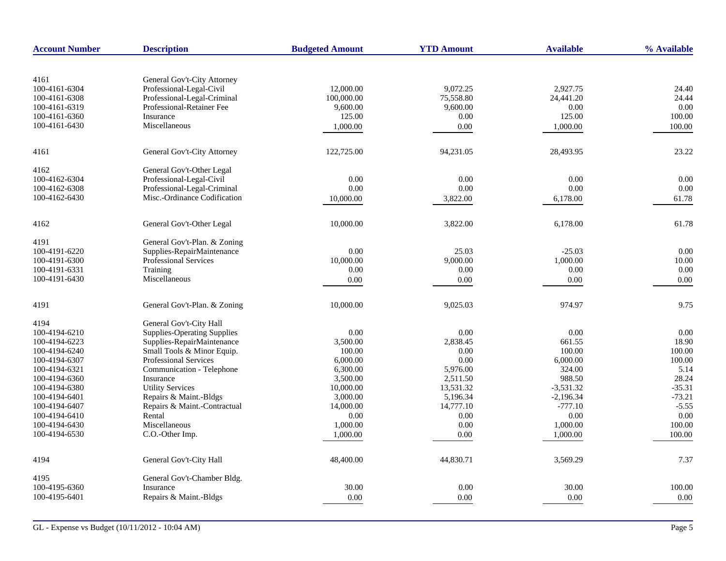| <b>Account Number</b> | <b>Description</b>                                         | <b>Budgeted Amount</b> | <b>YTD Amount</b> | <b>Available</b> | % Available |
|-----------------------|------------------------------------------------------------|------------------------|-------------------|------------------|-------------|
|                       |                                                            |                        |                   |                  |             |
| 4161                  | General Gov't-City Attorney                                |                        |                   |                  |             |
| 100-4161-6304         | Professional-Legal-Civil                                   | 12,000.00              | 9,072.25          | 2,927.75         | 24.40       |
| 100-4161-6308         | Professional-Legal-Criminal                                | 100,000.00             | 75,558.80         | 24,441.20        | 24.44       |
| 100-4161-6319         | Professional-Retainer Fee                                  | 9,600.00               | 9,600.00          | 0.00             | 0.00        |
| 100-4161-6360         | Insurance<br>Miscellaneous                                 | 125.00                 | 0.00              | 125.00           | 100.00      |
| 100-4161-6430         |                                                            | 1,000.00               | 0.00              | 1,000.00         | 100.00      |
| 4161                  | General Gov't-City Attorney                                | 122,725.00             | 94,231.05         | 28,493.95        | 23.22       |
| 4162                  | General Gov't-Other Legal                                  |                        |                   |                  |             |
| 100-4162-6304         | Professional-Legal-Civil                                   | 0.00                   | 0.00              | 0.00             | 0.00        |
| 100-4162-6308         | Professional-Legal-Criminal                                | 0.00                   | 0.00              | 0.00             | 0.00        |
| 100-4162-6430         | Misc.-Ordinance Codification                               | 10,000.00              | 3,822.00          | 6,178.00         | 61.78       |
| 4162                  | General Gov't-Other Legal                                  | 10,000.00              | 3,822.00          | 6,178.00         | 61.78       |
|                       |                                                            |                        |                   |                  |             |
| 4191<br>100-4191-6220 | General Gov't-Plan. & Zoning<br>Supplies-RepairMaintenance | 0.00                   | 25.03             | $-25.03$         | 0.00        |
| 100-4191-6300         | Professional Services                                      | 10,000.00              | 9,000.00          | 1,000.00         | 10.00       |
| 100-4191-6331         | Training                                                   | 0.00                   | 0.00              | 0.00             | 0.00        |
| 100-4191-6430         | Miscellaneous                                              |                        | 0.00              | 0.00             |             |
|                       |                                                            | 0.00                   |                   |                  | 0.00        |
| 4191                  | General Gov't-Plan. & Zoning                               | 10,000.00              | 9,025.03          | 974.97           | 9.75        |
| 4194                  | General Gov't-City Hall                                    |                        |                   |                  |             |
| 100-4194-6210         | <b>Supplies-Operating Supplies</b>                         | 0.00                   | 0.00              | 0.00             | 0.00        |
| 100-4194-6223         | Supplies-RepairMaintenance                                 | 3,500.00               | 2,838.45          | 661.55           | 18.90       |
| 100-4194-6240         | Small Tools & Minor Equip.                                 | 100.00                 | 0.00              | 100.00           | 100.00      |
| 100-4194-6307         | Professional Services                                      | 6,000.00               | 0.00              | 6,000.00         | 100.00      |
| 100-4194-6321         | Communication - Telephone                                  | 6,300.00               | 5,976.00          | 324.00           | 5.14        |
| 100-4194-6360         | Insurance                                                  | 3,500.00               | 2,511.50          | 988.50           | 28.24       |
| 100-4194-6380         | <b>Utility Services</b>                                    | 10,000.00              | 13.531.32         | $-3.531.32$      | $-35.31$    |
| 100-4194-6401         | Repairs & Maint.-Bldgs                                     | 3,000.00               | 5,196.34          | $-2,196.34$      | $-73.21$    |
| 100-4194-6407         | Repairs & Maint.-Contractual                               | 14,000.00              | 14,777.10         | $-777.10$        | $-5.55$     |
| 100-4194-6410         | Rental                                                     | 0.00                   | 0.00              | 0.00             | 0.00        |
| 100-4194-6430         | Miscellaneous                                              | 1,000.00               | 0.00              | 1,000.00         | 100.00      |
| 100-4194-6530         | C.O.-Other Imp.                                            | 1,000.00               | 0.00              | 1,000.00         | 100.00      |
| 4194                  | General Gov't-City Hall                                    | 48,400.00              | 44,830.71         | 3,569.29         | 7.37        |
| 4195                  | General Gov't-Chamber Bldg.                                |                        |                   |                  |             |
| 100-4195-6360         | Insurance                                                  | 30.00                  | 0.00              | 30.00            | 100.00      |
| 100-4195-6401         | Repairs & Maint.-Bldgs                                     | 0.00                   | 0.00              | 0.00             | 0.00        |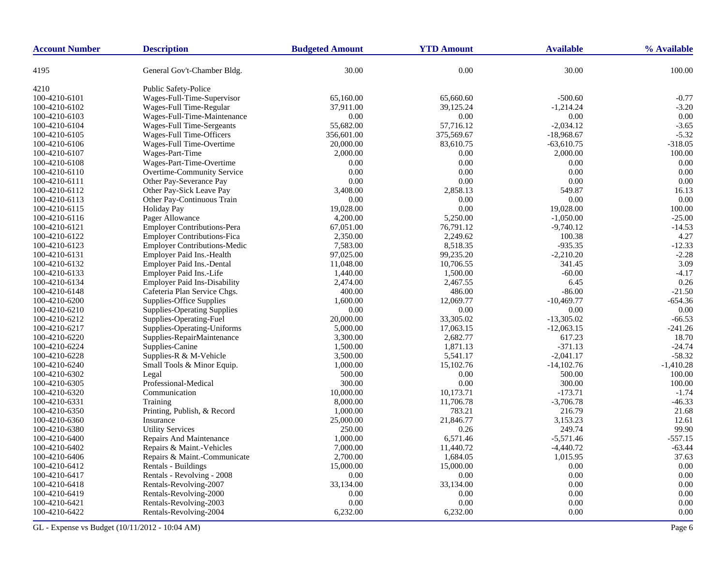| <b>Account Number</b> | <b>Description</b>                  | <b>Budgeted Amount</b> | <b>YTD Amount</b> | <b>Available</b> | % Available    |
|-----------------------|-------------------------------------|------------------------|-------------------|------------------|----------------|
| 4195                  | General Gov't-Chamber Bldg.         | 30.00                  | 0.00              | 30.00            | 100.00         |
| 4210                  | <b>Public Safety-Police</b>         |                        |                   |                  |                |
| 100-4210-6101         | Wages-Full-Time-Supervisor          | 65,160.00              | 65,660.60         | $-500.60$        | $-0.77$        |
| 100-4210-6102         | Wages-Full Time-Regular             | 37,911.00              | 39,125.24         | $-1,214.24$      | $-3.20$        |
| 100-4210-6103         | Wages-Full-Time-Maintenance         | 0.00                   | 0.00              | 0.00             | 0.00           |
| 100-4210-6104         | Wages-Full Time-Sergeants           | 55,682.00              | 57,716.12         | $-2,034.12$      | $-3.65$        |
| 100-4210-6105         | Wages-Full Time-Officers            | 356,601.00             | 375,569.67        | $-18,968.67$     | $-5.32$        |
| 100-4210-6106         | Wages-Full Time-Overtime            | 20,000.00              | 83,610.75         | $-63,610.75$     | $-318.05$      |
| 100-4210-6107         | Wages-Part-Time                     | 2,000.00               | 0.00              | 2,000.00         | 100.00         |
| 100-4210-6108         | Wages-Part-Time-Overtime            | 0.00                   | 0.00              | 0.00             | 0.00           |
| 100-4210-6110         | Overtime-Community Service          | 0.00                   | 0.00              | 0.00             | 0.00           |
| 100-4210-6111         | Other Pay-Severance Pay             | 0.00                   | 0.00              | 0.00             | 0.00           |
| 100-4210-6112         | Other Pay-Sick Leave Pay            | 3,408.00               | 2,858.13          | 549.87           | 16.13          |
| 100-4210-6113         | Other Pay-Continuous Train          | 0.00                   | 0.00              | 0.00             | 0.00           |
| 100-4210-6115         | <b>Holiday Pay</b>                  | 19,028.00              | 0.00              | 19,028.00        | 100.00         |
| 100-4210-6116         | Pager Allowance                     | 4,200.00               | 5,250.00          | $-1,050.00$      | $-25.00$       |
| 100-4210-6121         | Employer Contributions-Pera         | 67,051.00              | 76,791.12         | $-9,740.12$      | $-14.53$       |
| 100-4210-6122         | <b>Employer Contributions-Fica</b>  | 2,350.00               | 2,249.62          | 100.38           | 4.27           |
| 100-4210-6123         | <b>Employer Contributions-Medic</b> | 7,583.00               | 8,518.35          | $-935.35$        | $-12.33$       |
| 100-4210-6131         | Employer Paid Ins.-Health           | 97,025.00              | 99,235.20         | $-2,210.20$      | $-2.28$        |
| 100-4210-6132         | Employer Paid Ins.-Dental           | 11,048.00              | 10,706.55         | 341.45           | 3.09           |
| 100-4210-6133         | Employer Paid Ins.-Life             | 1,440.00               | 1,500.00          | $-60.00$         | $-4.17$        |
| 100-4210-6134         | <b>Employer Paid Ins-Disability</b> | 2,474.00               | 2,467.55          | 6.45             | 0.26           |
| 100-4210-6148         | Cafeteria Plan Service Chgs.        | 400.00                 | 486.00            | $-86.00$         | $-21.50$       |
| 100-4210-6200         | Supplies-Office Supplies            | 1,600.00               | 12,069.77         | $-10,469.77$     | $-654.36$      |
| 100-4210-6210         | <b>Supplies-Operating Supplies</b>  | $0.00\,$               | 0.00              | 0.00             | 0.00           |
| 100-4210-6212         | Supplies-Operating-Fuel             | 20,000.00              | 33,305.02         | $-13,305.02$     | $-66.53$       |
| 100-4210-6217         | Supplies-Operating-Uniforms         | 5,000.00               | 17,063.15         | $-12,063.15$     | $-241.26$      |
| 100-4210-6220         | Supplies-RepairMaintenance          | 3,300.00               | 2,682.77          | 617.23           | 18.70          |
| 100-4210-6224         | Supplies-Canine                     | 1,500.00               | 1,871.13          | $-371.13$        | $-24.74$       |
| 100-4210-6228         | Supplies-R & M-Vehicle              | 3,500.00               | 5,541.17          | $-2,041.17$      | $-58.32$       |
| 100-4210-6240         | Small Tools & Minor Equip.          | 1,000.00               | 15,102.76         | $-14,102.76$     | $-1,410.28$    |
| 100-4210-6302         | Legal                               | 500.00                 | 0.00              | 500.00           | 100.00         |
| 100-4210-6305         | Professional-Medical                | 300.00                 | 0.00              | 300.00           | 100.00         |
| 100-4210-6320         | Communication                       | 10,000.00              | 10,173.71         | $-173.71$        | $-1.74$        |
| 100-4210-6331         | Training                            | 8,000.00               | 11,706.78         | $-3,706.78$      | $-46.33$       |
| 100-4210-6350         | Printing, Publish, & Record         |                        | 783.21            | 216.79           | 21.68          |
|                       | Insurance                           | 1,000.00               |                   |                  |                |
| 100-4210-6360         |                                     | 25,000.00              | 21,846.77         | 3,153.23         | 12.61<br>99.90 |
| 100-4210-6380         | <b>Utility Services</b>             | 250.00                 | 0.26              | 249.74           |                |
| 100-4210-6400         | <b>Repairs And Maintenance</b>      | 1,000.00               | 6,571.46          | $-5,571.46$      | $-557.15$      |
| 100-4210-6402         | Repairs & Maint.-Vehicles           | 7,000.00               | 11,440.72         | $-4,440.72$      | $-63.44$       |
| 100-4210-6406         | Repairs & Maint.-Communicate        | 2,700.00               | 1,684.05          | 1,015.95         | 37.63          |
| 100-4210-6412         | Rentals - Buildings                 | 15,000.00              | 15,000.00         | 0.00             | 0.00           |
| 100-4210-6417         | Rentals - Revolving - 2008          | 0.00                   | 0.00              | 0.00             | 0.00           |
| 100-4210-6418         | Rentals-Revolving-2007              | 33,134.00              | 33,134.00         | 0.00             | 0.00           |
| 100-4210-6419         | Rentals-Revolving-2000              | 0.00                   | 0.00              | 0.00             | 0.00           |
| 100-4210-6421         | Rentals-Revolving-2003              | 0.00                   | 0.00              | 0.00             | 0.00           |
| 100-4210-6422         | Rentals-Revolving-2004              | 6,232.00               | 6,232.00          | 0.00             | 0.00           |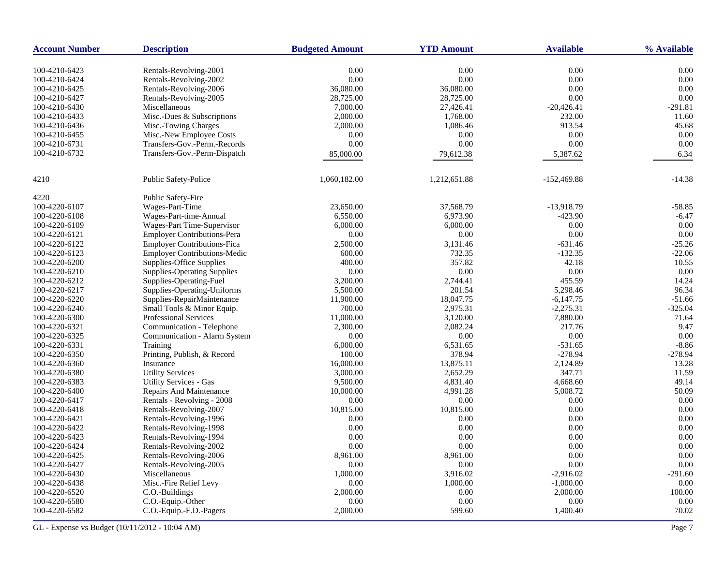| <b>Account Number</b> | <b>Description</b>                  | <b>Budgeted Amount</b> | <b>YTD Amount</b> | <b>Available</b> | % Available |
|-----------------------|-------------------------------------|------------------------|-------------------|------------------|-------------|
| 100-4210-6423         | Rentals-Revolving-2001              | 0.00                   | 0.00              | 0.00             | 0.00        |
| 100-4210-6424         | Rentals-Revolving-2002              | $0.00\,$               | 0.00              | 0.00             | 0.00        |
| 100-4210-6425         | Rentals-Revolving-2006              | 36,080.00              | 36,080.00         | 0.00             | 0.00        |
| 100-4210-6427         | Rentals-Revolving-2005              | 28,725.00              | 28,725.00         | 0.00             | 0.00        |
| 100-4210-6430         | Miscellaneous                       | 7,000.00               | 27,426.41         | $-20,426.41$     | $-291.81$   |
| 100-4210-6433         | Misc.-Dues & Subscriptions          | 2,000.00               | 1.768.00          | 232.00           | 11.60       |
| 100-4210-6436         | Misc.-Towing Charges                | 2,000.00               | 1,086.46          | 913.54           | 45.68       |
| 100-4210-6455         | Misc.-New Employee Costs            | $0.00\,$               | 0.00              | 0.00             | 0.00        |
| 100-4210-6731         | Transfers-Gov.-Perm.-Records        | 0.00                   | 0.00              | 0.00             | 0.00        |
| 100-4210-6732         | Transfers-Gov.-Perm-Dispatch        | 85,000.00              | 79,612.38         | 5,387.62         | 6.34        |
|                       |                                     |                        |                   |                  |             |
| 4210                  | Public Safety-Police                | 1,060,182.00           | 1,212,651.88      | $-152,469.88$    | $-14.38$    |
| 4220                  | <b>Public Safety-Fire</b>           |                        |                   |                  |             |
| 100-4220-6107         | Wages-Part-Time                     | 23,650.00              | 37,568.79         | $-13,918.79$     | $-58.85$    |
| 100-4220-6108         | Wages-Part-time-Annual              | 6,550.00               | 6,973.90          | $-423.90$        | $-6.47$     |
| 100-4220-6109         | Wages-Part Time-Supervisor          | 6,000.00               | 6,000.00          | 0.00             | 0.00        |
| 100-4220-6121         | <b>Employer Contributions-Pera</b>  | 0.00                   | 0.00              | 0.00             | 0.00        |
| 100-4220-6122         | <b>Employer Contributions-Fica</b>  | 2,500.00               | 3,131.46          | $-631.46$        | $-25.26$    |
| 100-4220-6123         | <b>Employer Contributions-Medic</b> | 600.00                 | 732.35            | $-132.35$        | $-22.06$    |
| 100-4220-6200         | Supplies-Office Supplies            | 400.00                 | 357.82            | 42.18            | 10.55       |
| 100-4220-6210         | <b>Supplies-Operating Supplies</b>  | 0.00                   | 0.00              | 0.00             | 0.00        |
| 100-4220-6212         | Supplies-Operating-Fuel             | 3,200.00               | 2,744.41          | 455.59           | 14.24       |
| 100-4220-6217         | Supplies-Operating-Uniforms         | 5,500.00               | 201.54            | 5,298.46         | 96.34       |
| 100-4220-6220         | Supplies-RepairMaintenance          | 11,900.00              | 18,047.75         | $-6,147.75$      | $-51.66$    |
| 100-4220-6240         | Small Tools & Minor Equip.          | 700.00                 | 2,975.31          | $-2,275.31$      | $-325.04$   |
| 100-4220-6300         | <b>Professional Services</b>        | 11,000.00              | 3,120.00          | 7,880.00         | 71.64       |
| 100-4220-6321         | Communication - Telephone           | 2,300.00               | 2,082.24          | 217.76           | 9.47        |
| 100-4220-6325         | Communication - Alarm System        | 0.00                   | 0.00              | 0.00             | 0.00        |
| 100-4220-6331         | Training                            | 6,000.00               | 6,531.65          | $-531.65$        | $-8.86$     |
| 100-4220-6350         | Printing, Publish, & Record         | 100.00                 | 378.94            | $-278.94$        | $-278.94$   |
| 100-4220-6360         | Insurance                           | 16,000.00              | 13,875.11         | 2,124.89         | 13.28       |
| 100-4220-6380         | <b>Utility Services</b>             | 3,000.00               | 2,652.29          | 347.71           | 11.59       |
| 100-4220-6383         | <b>Utility Services - Gas</b>       | 9,500.00               | 4,831.40          | 4,668.60         | 49.14       |
| 100-4220-6400         | Repairs And Maintenance             | 10,000.00              | 4,991.28          | 5,008.72         | 50.09       |
| 100-4220-6417         | Rentals - Revolving - 2008          | 0.00                   | 0.00              | 0.00             | 0.00        |
| 100-4220-6418         | Rentals-Revolving-2007              | 10,815.00              | 10,815.00         | 0.00             | 0.00        |
| 100-4220-6421         | Rentals-Revolving-1996              | 0.00                   | 0.00              | 0.00             | 0.00        |
| 100-4220-6422         | Rentals-Revolving-1998              | 0.00                   | 0.00              | 0.00             | 0.00        |
| 100-4220-6423         | Rentals-Revolving-1994              | 0.00                   | 0.00              | 0.00             | 0.00        |
| 100-4220-6424         | Rentals-Revolving-2002              | 0.00                   | 0.00              | 0.00             | 0.00        |
| 100-4220-6425         | Rentals-Revolving-2006              | 8,961.00               | 8,961.00          | 0.00             | 0.00        |
| 100-4220-6427         | Rentals-Revolving-2005              | 0.00                   | 0.00              | 0.00             | 0.00        |
| 100-4220-6430         | Miscellaneous                       | 1.000.00               | 3.916.02          | $-2.916.02$      | $-291.60$   |
| 100-4220-6438         | Misc.-Fire Relief Levy              | 0.00                   | 1,000.00          | $-1,000.00$      | 0.00        |
| 100-4220-6520         | C.O.-Buildings                      | 2,000.00               | 0.00              | 2,000.00         | 100.00      |
| 100-4220-6580         | C.O.-Equip.-Other                   | 0.00                   | 0.00              | 0.00             | 0.00        |
| 100-4220-6582         | C.O.-Equip.-F.D.-Pagers             | 2,000.00               | 599.60            | 1,400.40         | 70.02       |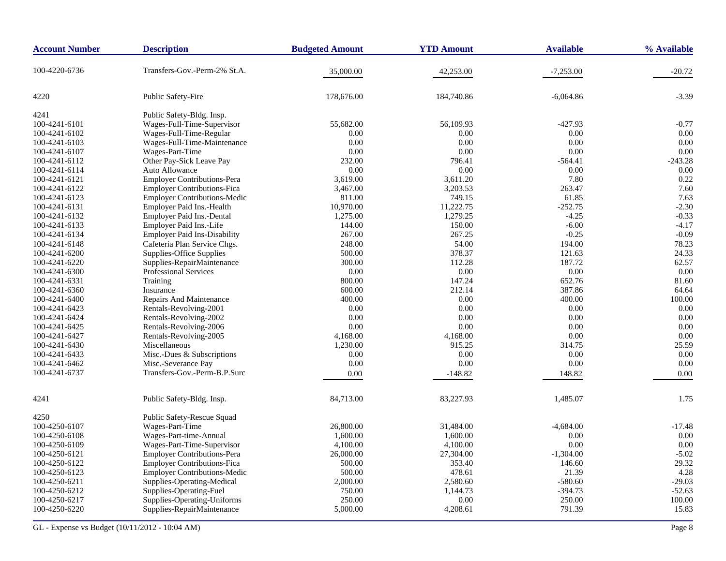| <b>Account Number</b> | <b>Description</b>                  | <b>Budgeted Amount</b> | <b>YTD Amount</b> | <b>Available</b> | % Available |
|-----------------------|-------------------------------------|------------------------|-------------------|------------------|-------------|
| 100-4220-6736         | Transfers-Gov.-Perm-2% St.A.        | 35,000.00              | 42,253.00         | $-7,253.00$      | $-20.72$    |
| 4220                  | Public Safety-Fire                  | 178,676.00             | 184,740.86        | $-6,064.86$      | $-3.39$     |
| 4241                  | Public Safety-Bldg. Insp.           |                        |                   |                  |             |
| 100-4241-6101         | Wages-Full-Time-Supervisor          | 55,682.00              | 56,109.93         | $-427.93$        | $-0.77$     |
| 100-4241-6102         | Wages-Full-Time-Regular             | 0.00                   | 0.00              | 0.00             | 0.00        |
| 100-4241-6103         | Wages-Full-Time-Maintenance         | 0.00                   | 0.00              | 0.00             | 0.00        |
| 100-4241-6107         | Wages-Part-Time                     | 0.00                   | 0.00              | 0.00             | 0.00        |
| 100-4241-6112         | Other Pay-Sick Leave Pay            | 232.00                 | 796.41            | $-564.41$        | $-243.28$   |
| 100-4241-6114         | Auto Allowance                      | 0.00                   | 0.00              | 0.00             | 0.00        |
| 100-4241-6121         | <b>Employer Contributions-Pera</b>  | 3,619.00               | 3,611.20          | 7.80             | 0.22        |
| 100-4241-6122         | <b>Employer Contributions-Fica</b>  | 3,467.00               | 3,203.53          | 263.47           | 7.60        |
| 100-4241-6123         | <b>Employer Contributions-Medic</b> | 811.00                 | 749.15            | 61.85            | 7.63        |
| 100-4241-6131         | Employer Paid Ins.-Health           | 10,970.00              | 11,222.75         | $-252.75$        | $-2.30$     |
| 100-4241-6132         | <b>Employer Paid Ins.-Dental</b>    | 1,275.00               | 1,279.25          | $-4.25$          | $-0.33$     |
| 100-4241-6133         | Employer Paid Ins.-Life             | 144.00                 | 150.00            | $-6.00$          | $-4.17$     |
| 100-4241-6134         | <b>Employer Paid Ins-Disability</b> | 267.00                 | 267.25            | $-0.25$          | $-0.09$     |
| 100-4241-6148         | Cafeteria Plan Service Chgs.        | 248.00                 | 54.00             | 194.00           | 78.23       |
| 100-4241-6200         | Supplies-Office Supplies            | 500.00                 | 378.37            | 121.63           | 24.33       |
| 100-4241-6220         | Supplies-RepairMaintenance          | 300.00                 | 112.28            | 187.72           | 62.57       |
| 100-4241-6300         | <b>Professional Services</b>        | 0.00                   | 0.00              | 0.00             | 0.00        |
| 100-4241-6331         | Training                            | 800.00                 | 147.24            | 652.76           | 81.60       |
| 100-4241-6360         | Insurance                           | 600.00                 | 212.14            | 387.86           | 64.64       |
| 100-4241-6400         | <b>Repairs And Maintenance</b>      | 400.00                 | 0.00              | 400.00           | 100.00      |
| 100-4241-6423         | Rentals-Revolving-2001              | 0.00                   | 0.00              | 0.00             | 0.00        |
| 100-4241-6424         | Rentals-Revolving-2002              | 0.00                   | 0.00              | 0.00             | 0.00        |
| 100-4241-6425         | Rentals-Revolving-2006              | 0.00                   | 0.00              | 0.00             | 0.00        |
| 100-4241-6427         | Rentals-Revolving-2005              | 4,168.00               | 4,168.00          | 0.00             | 0.00        |
| 100-4241-6430         | Miscellaneous                       | 1,230.00               | 915.25            | 314.75           | 25.59       |
| 100-4241-6433         | Misc.-Dues & Subscriptions          | 0.00                   | 0.00              | 0.00             | 0.00        |
| 100-4241-6462         | Misc.-Severance Pay                 | 0.00                   | 0.00              | 0.00             | 0.00        |
| 100-4241-6737         | Transfers-Gov.-Perm-B.P.Surc        | 0.00                   | $-148.82$         | 148.82           | 0.00        |
| 4241                  | Public Safety-Bldg. Insp.           | 84,713.00              | 83,227.93         | 1,485.07         | 1.75        |
| 4250                  | Public Safety-Rescue Squad          |                        |                   |                  |             |
| 100-4250-6107         | Wages-Part-Time                     | 26,800.00              | 31,484.00         | $-4,684.00$      | $-17.48$    |
| 100-4250-6108         | Wages-Part-time-Annual              | 1,600.00               | 1,600.00          | 0.00             | $0.00\,$    |
| 100-4250-6109         | Wages-Part-Time-Supervisor          | 4,100.00               | 4,100.00          | 0.00             | 0.00        |
| 100-4250-6121         | <b>Employer Contributions-Pera</b>  | 26,000.00              | 27,304.00         | $-1,304.00$      | $-5.02$     |
| 100-4250-6122         | <b>Employer Contributions-Fica</b>  | 500.00                 | 353.40            | 146.60           | 29.32       |
| 100-4250-6123         | <b>Employer Contributions-Medic</b> | 500.00                 | 478.61            | 21.39            | 4.28        |
| 100-4250-6211         | Supplies-Operating-Medical          | 2,000.00               | 2,580.60          | $-580.60$        | $-29.03$    |
| 100-4250-6212         | Supplies-Operating-Fuel             | 750.00                 | 1,144.73          | $-394.73$        | $-52.63$    |
| 100-4250-6217         | Supplies-Operating-Uniforms         | 250.00                 | 0.00              | 250.00           | 100.00      |
| 100-4250-6220         | Supplies-RepairMaintenance          | 5,000.00               | 4,208.61          | 791.39           | 15.83       |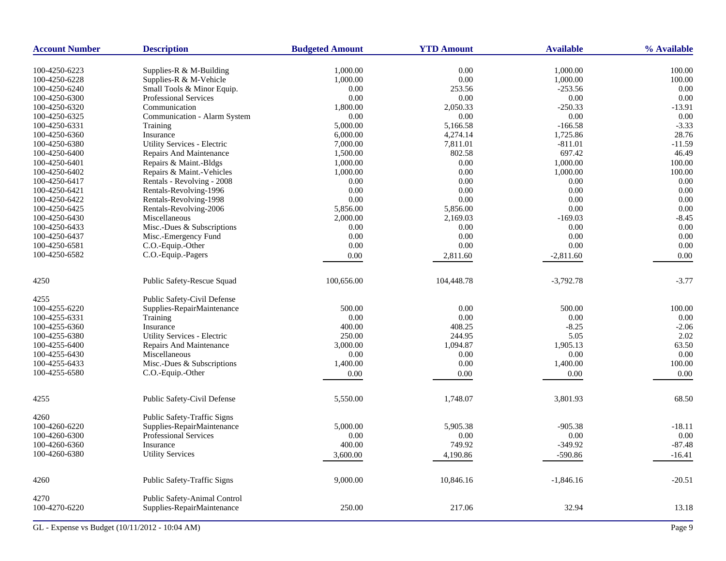| <b>Account Number</b> | <b>Description</b>           | <b>Budgeted Amount</b> | <b>YTD Amount</b> | <b>Available</b> | % Available |
|-----------------------|------------------------------|------------------------|-------------------|------------------|-------------|
| 100-4250-6223         | Supplies-R $&$ M-Building    | 1,000.00               | 0.00              | 1,000.00         | 100.00      |
| 100-4250-6228         | Supplies-R & M-Vehicle       | 1,000.00               | $0.00\,$          | 1,000.00         | 100.00      |
| 100-4250-6240         | Small Tools & Minor Equip.   | 0.00                   | 253.56            | $-253.56$        | $0.00\,$    |
| 100-4250-6300         | <b>Professional Services</b> | 0.00                   | 0.00              | 0.00             | 0.00        |
| 100-4250-6320         | Communication                | 1,800.00               | 2,050.33          | $-250.33$        | $-13.91$    |
| 100-4250-6325         | Communication - Alarm System | 0.00                   | $0.00\,$          | 0.00             | 0.00        |
| 100-4250-6331         | <b>Training</b>              | 5,000.00               | 5,166.58          | $-166.58$        | $-3.33$     |
| 100-4250-6360         | Insurance                    | 6,000.00               | 4,274.14          | 1,725.86         | 28.76       |
| 100-4250-6380         | Utility Services - Electric  | 7,000.00               | 7,811.01          | $-811.01$        | $-11.59$    |
| 100-4250-6400         | Repairs And Maintenance      | 1,500.00               | 802.58            | 697.42           | 46.49       |
| 100-4250-6401         | Repairs & Maint.-Bldgs       | 1,000.00               | 0.00              | 1,000.00         | 100.00      |
| 100-4250-6402         | Repairs & Maint.-Vehicles    | 1,000.00               | 0.00              | 1,000.00         | 100.00      |
| 100-4250-6417         | Rentals - Revolving - 2008   | 0.00                   | 0.00              | 0.00             | 0.00        |
| 100-4250-6421         | Rentals-Revolving-1996       | 0.00                   | 0.00              | 0.00             | 0.00        |
| 100-4250-6422         | Rentals-Revolving-1998       | 0.00                   | $0.00\,$          | 0.00             | 0.00        |
| 100-4250-6425         | Rentals-Revolving-2006       | 5,856.00               | 5,856.00          | 0.00             | 0.00        |
| 100-4250-6430         | Miscellaneous                | 2,000.00               | 2,169.03          | $-169.03$        | $-8.45$     |
| 100-4250-6433         | Misc.-Dues & Subscriptions   | 0.00                   | 0.00              | 0.00             | 0.00        |
| 100-4250-6437         | Misc.-Emergency Fund         | 0.00                   | 0.00              | 0.00             | 0.00        |
| 100-4250-6581         | C.O.-Equip.-Other            | 0.00                   | 0.00              | 0.00             | $0.00\,$    |
| 100-4250-6582         | C.O.-Equip.-Pagers           | 0.00                   | 2,811.60          | $-2,811.60$      | 0.00        |
|                       |                              |                        |                   |                  |             |
| 4250                  | Public Safety-Rescue Squad   | 100,656.00             | 104,448.78        | $-3,792.78$      | $-3.77$     |
| 4255                  | Public Safety-Civil Defense  |                        |                   |                  |             |
| 100-4255-6220         | Supplies-RepairMaintenance   | 500.00                 | 0.00              | 500.00           | 100.00      |
| 100-4255-6331         | Training                     | 0.00                   | $0.00\,$          | 0.00             | 0.00        |
| 100-4255-6360         | Insurance                    | 400.00                 | 408.25            | $-8.25$          | $-2.06$     |
| 100-4255-6380         | Utility Services - Electric  | 250.00                 | 244.95            | 5.05             | 2.02        |
| 100-4255-6400         | Repairs And Maintenance      | 3,000.00               | 1,094.87          | 1,905.13         | 63.50       |
| 100-4255-6430         | Miscellaneous                | 0.00                   | 0.00              | 0.00             | 0.00        |
| 100-4255-6433         | Misc.-Dues & Subscriptions   | 1,400.00               | 0.00              | 1,400.00         | 100.00      |
| 100-4255-6580         | C.O.-Equip.-Other            | 0.00                   | 0.00              | 0.00             | 0.00        |
|                       |                              |                        |                   |                  |             |
| 4255                  | Public Safety-Civil Defense  | 5,550.00               | 1,748.07          | 3,801.93         | 68.50       |
| 4260                  | Public Safety-Traffic Signs  |                        |                   |                  |             |
| 100-4260-6220         | Supplies-RepairMaintenance   | 5,000.00               | 5,905.38          | $-905.38$        | $-18.11$    |
| 100-4260-6300         | <b>Professional Services</b> | 0.00                   | 0.00              | 0.00             | $0.00\,$    |
| 100-4260-6360         | Insurance                    | 400.00                 | 749.92            | $-349.92$        | $-87.48$    |
| 100-4260-6380         | <b>Utility Services</b>      | 3,600.00               | 4,190.86          | $-590.86$        | $-16.41$    |
|                       |                              |                        |                   |                  |             |
| 4260                  | Public Safety-Traffic Signs  | 9,000.00               | 10,846.16         | $-1,846.16$      | $-20.51$    |
| 4270                  | Public Safety-Animal Control |                        |                   |                  |             |
| 100-4270-6220         | Supplies-RepairMaintenance   | 250.00                 | 217.06            | 32.94            | 13.18       |
|                       |                              |                        |                   |                  |             |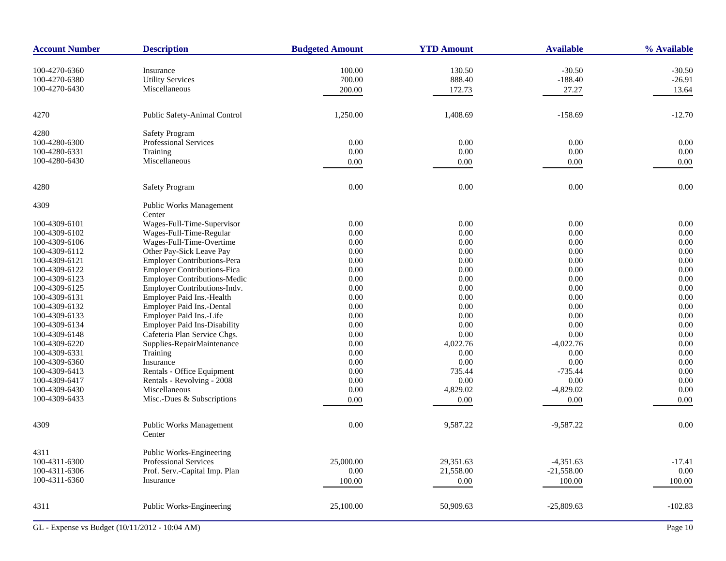| <b>Account Number</b> | <b>Description</b>                  | <b>Budgeted Amount</b> | <b>YTD Amount</b> | <b>Available</b> | % Available |
|-----------------------|-------------------------------------|------------------------|-------------------|------------------|-------------|
| 100-4270-6360         | Insurance                           | 100.00                 | 130.50            | $-30.50$         | $-30.50$    |
| 100-4270-6380         | <b>Utility Services</b>             | 700.00                 | 888.40            | $-188.40$        | $-26.91$    |
| 100-4270-6430         | Miscellaneous                       | 200.00                 | 172.73            | 27.27            | 13.64       |
| 4270                  | Public Safety-Animal Control        | 1,250.00               | 1,408.69          | $-158.69$        | $-12.70$    |
| 4280                  | <b>Safety Program</b>               |                        |                   |                  |             |
| 100-4280-6300         | Professional Services               | 0.00                   | $0.00\,$          | 0.00             | 0.00        |
| 100-4280-6331         | Training                            | 0.00                   | 0.00              | 0.00             | 0.00        |
| 100-4280-6430         | Miscellaneous                       | 0.00                   | $0.00\,$          | $0.00\,$         | 0.00        |
| 4280                  | <b>Safety Program</b>               | 0.00                   | $0.00\,$          | 0.00             | $0.00\,$    |
| 4309                  | Public Works Management             |                        |                   |                  |             |
|                       | Center                              |                        |                   |                  |             |
| 100-4309-6101         | Wages-Full-Time-Supervisor          | 0.00                   | $0.00\,$          | 0.00             | $0.00\,$    |
| 100-4309-6102         | Wages-Full-Time-Regular             | 0.00                   | $0.00\,$          | 0.00             | 0.00        |
| 100-4309-6106         | Wages-Full-Time-Overtime            | 0.00                   | $0.00\,$          | 0.00             | 0.00        |
| 100-4309-6112         | Other Pay-Sick Leave Pay            | 0.00                   | $0.00\,$          | 0.00             | 0.00        |
| 100-4309-6121         | Employer Contributions-Pera         | 0.00                   | $0.00\,$          | 0.00             | 0.00        |
| 100-4309-6122         | <b>Employer Contributions-Fica</b>  | 0.00                   | 0.00              | 0.00             | 0.00        |
| 100-4309-6123         | <b>Employer Contributions-Medic</b> | 0.00                   | 0.00              | 0.00             | 0.00        |
| 100-4309-6125         | Employer Contributions-Indv.        | 0.00                   | $0.00\,$          | 0.00             | 0.00        |
| 100-4309-6131         | Employer Paid Ins.-Health           | 0.00                   | 0.00              | 0.00             | 0.00        |
| 100-4309-6132         | Employer Paid Ins.-Dental           | 0.00                   | 0.00              | 0.00             | 0.00        |
| 100-4309-6133         | Employer Paid Ins.-Life             | 0.00                   | $0.00\,$          | 0.00             | 0.00        |
| 100-4309-6134         | <b>Employer Paid Ins-Disability</b> | 0.00                   | $0.00\,$          | 0.00             | 0.00        |
| 100-4309-6148         | Cafeteria Plan Service Chgs.        | 0.00                   | 0.00              | 0.00             | 0.00        |
| 100-4309-6220         | Supplies-RepairMaintenance          | 0.00                   | 4,022.76          | $-4,022.76$      | 0.00        |
| 100-4309-6331         | Training                            | 0.00                   | 0.00              | 0.00             | 0.00        |
| 100-4309-6360         | Insurance                           | 0.00                   | 0.00              | 0.00             | $0.00\,$    |
| 100-4309-6413         | Rentals - Office Equipment          | 0.00                   | 735.44            | $-735.44$        | 0.00        |
| 100-4309-6417         | Rentals - Revolving - 2008          | 0.00                   | 0.00              | 0.00             | 0.00        |
| 100-4309-6430         | Miscellaneous                       | 0.00                   | 4,829.02          | $-4,829.02$      | 0.00        |
| 100-4309-6433         | Misc.-Dues & Subscriptions          | 0.00                   | 0.00              | $0.00\,$         | 0.00        |
|                       | <b>Public Works Management</b>      | $0.00\,$               | 9,587.22          |                  | $0.00\,$    |
| 4309                  | Center                              |                        |                   | $-9,587.22$      |             |
| 4311                  | Public Works-Engineering            |                        |                   |                  |             |
| 100-4311-6300         | Professional Services               | 25,000.00              | 29,351.63         | $-4,351.63$      | $-17.41$    |
| 100-4311-6306         | Prof. Serv.-Capital Imp. Plan       | 0.00                   | 21,558.00         | $-21,558.00$     | $0.00\,$    |
| 100-4311-6360         | Insurance                           | 100.00                 | 0.00              | 100.00           | 100.00      |
| 4311                  | Public Works-Engineering            | 25,100.00              | 50,909.63         | $-25,809.63$     | $-102.83$   |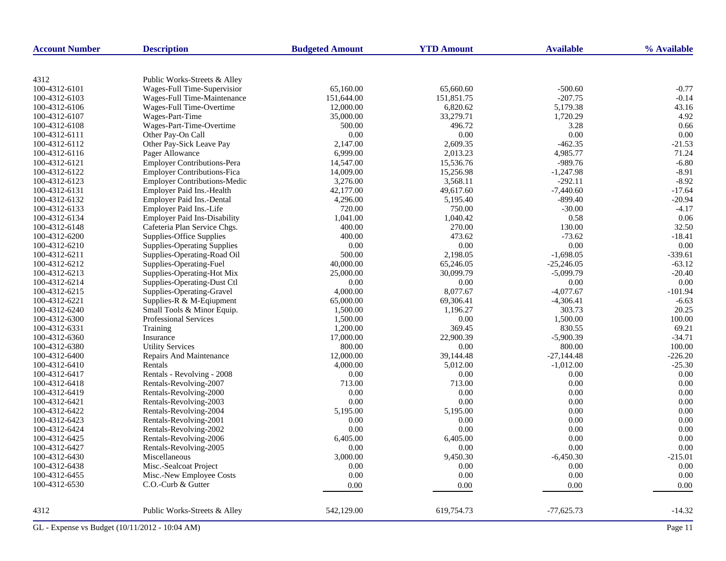| <b>Account Number</b> | <b>Description</b>                  | <b>Budgeted Amount</b> | <b>YTD Amount</b> | <b>Available</b> | % Available |
|-----------------------|-------------------------------------|------------------------|-------------------|------------------|-------------|
|                       |                                     |                        |                   |                  |             |
| 4312                  | Public Works-Streets & Alley        |                        |                   |                  |             |
| 100-4312-6101         | Wages-Full Time-Supervisior         | 65,160.00              | 65,660.60         | $-500.60$        | $-0.77$     |
| 100-4312-6103         | Wages-Full Time-Maintenance         | 151,644.00             | 151,851.75        | $-207.75$        | $-0.14$     |
| 100-4312-6106         | Wages-Full Time-Overtime            | 12,000.00              | 6,820.62          | 5,179.38         | 43.16       |
| 100-4312-6107         | Wages-Part-Time                     | 35,000.00              | 33,279.71         | 1,720.29         | 4.92        |
| 100-4312-6108         | Wages-Part-Time-Overtime            | 500.00                 | 496.72            | 3.28             | 0.66        |
| 100-4312-6111         | Other Pay-On Call                   | 0.00                   | 0.00              | 0.00             | 0.00        |
| 100-4312-6112         | Other Pay-Sick Leave Pay            | 2,147.00               | 2,609.35          | $-462.35$        | $-21.53$    |
| 100-4312-6116         | Pager Allowance                     | 6,999.00               | 2,013.23          | 4,985.77         | 71.24       |
| 100-4312-6121         | <b>Employer Contributions-Pera</b>  | 14,547.00              | 15,536.76         | $-989.76$        | $-6.80$     |
| 100-4312-6122         | <b>Employer Contributions-Fica</b>  | 14,009.00              | 15,256.98         | $-1,247.98$      | $-8.91$     |
| 100-4312-6123         | <b>Employer Contributions-Medic</b> | 3,276.00               | 3,568.11          | $-292.11$        | $-8.92$     |
| 100-4312-6131         | Employer Paid Ins.-Health           | 42,177.00              | 49,617.60         | $-7,440.60$      | $-17.64$    |
| 100-4312-6132         | Employer Paid Ins.-Dental           | 4,296.00               | 5,195.40          | $-899.40$        | $-20.94$    |
| 100-4312-6133         | Employer Paid Ins.-Life             | 720.00                 | 750.00            | $-30.00$         | $-4.17$     |
| 100-4312-6134         | <b>Employer Paid Ins-Disability</b> | 1,041.00               | 1,040.42          | 0.58             | 0.06        |
| 100-4312-6148         | Cafeteria Plan Service Chgs.        | 400.00                 | 270.00            | 130.00           | 32.50       |
| 100-4312-6200         | Supplies-Office Supplies            | 400.00                 | 473.62            | $-73.62$         | $-18.41$    |
| 100-4312-6210         | <b>Supplies-Operating Supplies</b>  | 0.00                   | 0.00              | 0.00             | 0.00        |
| 100-4312-6211         | Supplies-Operating-Road Oil         | 500.00                 | 2,198.05          | $-1,698.05$      | $-339.61$   |
| 100-4312-6212         | Supplies-Operating-Fuel             | 40,000.00              | 65,246.05         | $-25,246.05$     | $-63.12$    |
| 100-4312-6213         | Supplies-Operating-Hot Mix          | 25,000.00              | 30,099.79         | $-5,099.79$      | $-20.40$    |
| 100-4312-6214         | Supplies-Operating-Dust Ctl         | 0.00                   | $0.00\,$          | 0.00             | 0.00        |
| 100-4312-6215         | Supplies-Operating-Gravel           | 4,000.00               | 8,077.67          | $-4,077.67$      | $-101.94$   |
| 100-4312-6221         | Supplies-R & M-Eqiupment            | 65,000.00              | 69,306.41         | $-4,306.41$      | $-6.63$     |
| 100-4312-6240         | Small Tools & Minor Equip.          | 1,500.00               | 1,196.27          | 303.73           | 20.25       |
| 100-4312-6300         | Professional Services               | 1,500.00               | 0.00              | 1,500.00         | 100.00      |
| 100-4312-6331         | Training                            | 1,200.00               | 369.45            | 830.55           | 69.21       |
| 100-4312-6360         | Insurance                           | 17,000.00              | 22,900.39         | $-5,900.39$      | $-34.71$    |
| 100-4312-6380         | <b>Utility Services</b>             | 800.00                 | 0.00              | 800.00           | 100.00      |
| 100-4312-6400         | Repairs And Maintenance             | 12,000.00              | 39,144.48         | $-27,144.48$     | $-226.20$   |
| 100-4312-6410         | Rentals                             | 4,000.00               | 5,012.00          | $-1,012.00$      | $-25.30$    |
| 100-4312-6417         | Rentals - Revolving - 2008          | 0.00                   | 0.00              | 0.00             | 0.00        |
| 100-4312-6418         | Rentals-Revolving-2007              | 713.00                 | 713.00            | 0.00             | 0.00        |
| 100-4312-6419         | Rentals-Revolving-2000              | 0.00                   | 0.00              | 0.00             | 0.00        |
| 100-4312-6421         | Rentals-Revolving-2003              | 0.00                   | 0.00              | 0.00             | 0.00        |
| 100-4312-6422         | Rentals-Revolving-2004              | 5,195.00               | 5,195.00          | 0.00             | 0.00        |
| 100-4312-6423         | Rentals-Revolving-2001              | 0.00                   | 0.00              | 0.00             | 0.00        |
| 100-4312-6424         | Rentals-Revolving-2002              | 0.00                   | 0.00              | 0.00             | 0.00        |
| 100-4312-6425         | Rentals-Revolving-2006              | 6,405.00               | 6,405.00          | 0.00             | 0.00        |
| 100-4312-6427         | Rentals-Revolving-2005              | 0.00                   | 0.00              | 0.00             | 0.00        |
| 100-4312-6430         | Miscellaneous                       | 3,000.00               | 9,450.30          | $-6,450.30$      | $-215.01$   |
| 100-4312-6438         | Misc.-Sealcoat Project              | 0.00                   | 0.00              | 0.00             | 0.00        |
| 100-4312-6455         | Misc.-New Employee Costs            | 0.00                   | 0.00              | $0.00\,$         | 0.00        |
| 100-4312-6530         | C.O.-Curb & Gutter                  | 0.00                   | 0.00              | 0.00             | 0.00        |
|                       |                                     |                        |                   |                  |             |
| 4312                  | Public Works-Streets & Alley        | 542,129.00             | 619,754.73        | $-77,625.73$     | $-14.32$    |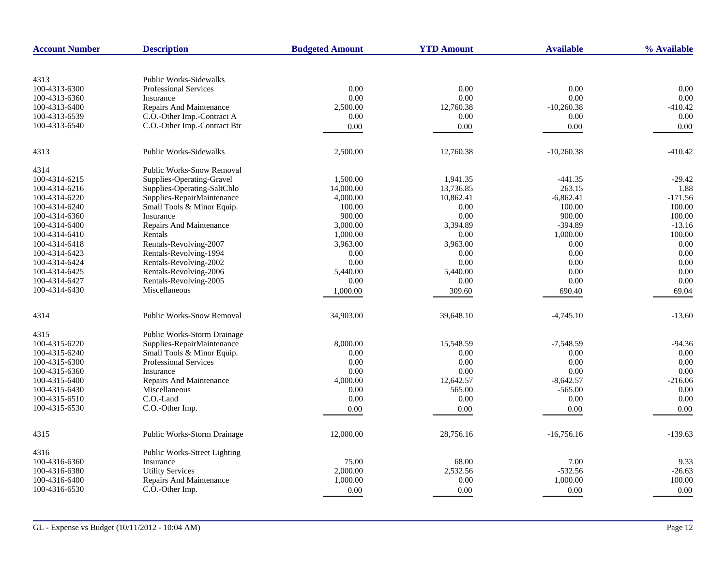| <b>Account Number</b> | <b>Description</b>               | <b>Budgeted Amount</b> | <b>YTD Amount</b> | <b>Available</b> | % Available |
|-----------------------|----------------------------------|------------------------|-------------------|------------------|-------------|
|                       |                                  |                        |                   |                  |             |
| 4313                  | <b>Public Works-Sidewalks</b>    |                        |                   |                  |             |
| 100-4313-6300         | <b>Professional Services</b>     | 0.00                   | 0.00              | 0.00             | 0.00        |
| 100-4313-6360         | Insurance                        | 0.00                   | 0.00              | 0.00             | 0.00        |
| 100-4313-6400         | Repairs And Maintenance          | 2,500.00               | 12,760.38         | $-10,260.38$     | $-410.42$   |
| 100-4313-6539         | C.O.-Other Imp.-Contract A       | 0.00                   | 0.00              | 0.00             | 0.00        |
| 100-4313-6540         | C.O.-Other Imp.-Contract Btr     | 0.00                   | 0.00              | 0.00             | 0.00        |
| 4313                  | <b>Public Works-Sidewalks</b>    | 2,500.00               | 12,760.38         | $-10,260.38$     | $-410.42$   |
| 4314                  | <b>Public Works-Snow Removal</b> |                        |                   |                  |             |
| 100-4314-6215         | Supplies-Operating-Gravel        | 1,500.00               | 1,941.35          | $-441.35$        | $-29.42$    |
| 100-4314-6216         | Supplies-Operating-SaltChlo      | 14,000.00              | 13,736.85         | 263.15           | 1.88        |
| 100-4314-6220         | Supplies-RepairMaintenance       | 4,000.00               | 10,862.41         | $-6,862.41$      | $-171.56$   |
| 100-4314-6240         | Small Tools & Minor Equip.       | 100.00                 | 0.00              | 100.00           | 100.00      |
| 100-4314-6360         | Insurance                        | 900.00                 | 0.00              | 900.00           | 100.00      |
| 100-4314-6400         | <b>Repairs And Maintenance</b>   | 3,000.00               | 3,394.89          | $-394.89$        | $-13.16$    |
| 100-4314-6410         | Rentals                          | 1,000.00               | 0.00              | 1,000.00         | 100.00      |
| 100-4314-6418         | Rentals-Revolving-2007           | 3,963.00               | 3,963.00          | 0.00             | 0.00        |
| 100-4314-6423         | Rentals-Revolving-1994           | 0.00                   | 0.00              | 0.00             | 0.00        |
| 100-4314-6424         | Rentals-Revolving-2002           | 0.00                   | 0.00              | 0.00             | 0.00        |
| 100-4314-6425         | Rentals-Revolving-2006           | 5,440.00               | 5,440.00          | 0.00             | 0.00        |
| 100-4314-6427         | Rentals-Revolving-2005           | 0.00                   | 0.00              | 0.00             | 0.00        |
| 100-4314-6430         | Miscellaneous                    | 1,000.00               | 309.60            | 690.40           | 69.04       |
| 4314                  | <b>Public Works-Snow Removal</b> | 34,903.00              | 39,648.10         | $-4,745.10$      | $-13.60$    |
|                       |                                  |                        |                   |                  |             |
| 4315                  | Public Works-Storm Drainage      |                        |                   |                  |             |
| 100-4315-6220         | Supplies-RepairMaintenance       | 8,000.00               | 15,548.59         | $-7,548.59$      | $-94.36$    |
| 100-4315-6240         | Small Tools & Minor Equip.       | 0.00                   | 0.00              | 0.00             | 0.00        |
| 100-4315-6300         | <b>Professional Services</b>     | 0.00                   | 0.00              | 0.00             | 0.00        |
| 100-4315-6360         | Insurance                        | 0.00                   | 0.00              | 0.00             | 0.00        |
| 100-4315-6400         | Repairs And Maintenance          | 4,000.00               | 12,642.57         | $-8,642.57$      | $-216.06$   |
| 100-4315-6430         | Miscellaneous                    | 0.00                   | 565.00            | $-565.00$        | 0.00        |
| 100-4315-6510         | C.O.-Land                        | 0.00                   | 0.00              | 0.00             | 0.00        |
| 100-4315-6530         | C.O.-Other Imp.                  | 0.00                   | 0.00              | 0.00             | 0.00        |
| 4315                  | Public Works-Storm Drainage      | 12,000.00              | 28,756.16         | $-16,756.16$     | $-139.63$   |
|                       |                                  |                        |                   |                  |             |
| 4316                  | Public Works-Street Lighting     |                        |                   |                  |             |
| 100-4316-6360         | Insurance                        | 75.00                  | 68.00             | 7.00             | 9.33        |
| 100-4316-6380         | <b>Utility Services</b>          | 2,000.00               | 2,532.56          | $-532.56$        | $-26.63$    |
| 100-4316-6400         | Repairs And Maintenance          | 1,000.00               | 0.00              | 1,000.00         | 100.00      |
| 100-4316-6530         | C.O.-Other Imp.                  | 0.00                   | 0.00              | 0.00             | 0.00        |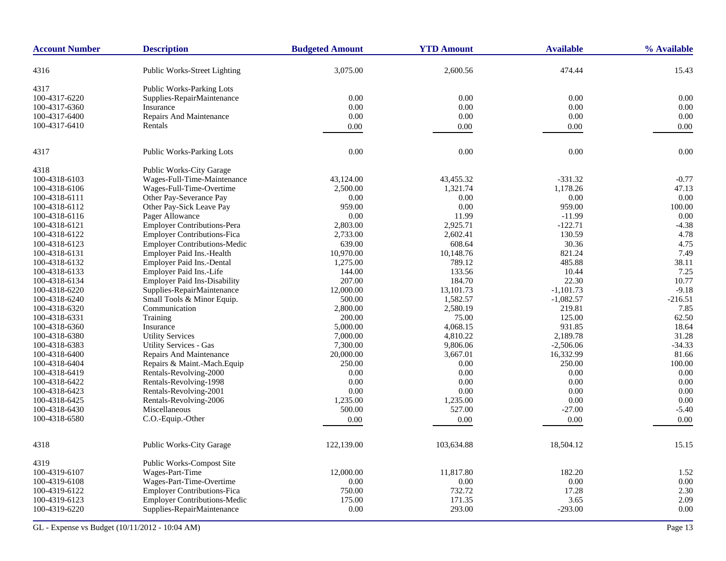| <b>Account Number</b> | <b>Description</b>                  | <b>Budgeted Amount</b> | <b>YTD Amount</b> | <b>Available</b> | % Available |
|-----------------------|-------------------------------------|------------------------|-------------------|------------------|-------------|
| 4316                  | Public Works-Street Lighting        | 3,075.00               | 2,600.56          | 474.44           | 15.43       |
| 4317                  | <b>Public Works-Parking Lots</b>    |                        |                   |                  |             |
| 100-4317-6220         | Supplies-RepairMaintenance          | 0.00                   | 0.00              | $0.00\,$         | 0.00        |
| 100-4317-6360         | Insurance                           | 0.00                   | 0.00              | 0.00             | 0.00        |
| 100-4317-6400         | Repairs And Maintenance             | 0.00                   | 0.00              | 0.00             | 0.00        |
| 100-4317-6410         | Rentals                             | 0.00                   | 0.00              | 0.00             | 0.00        |
|                       |                                     |                        |                   |                  |             |
| 4317                  | <b>Public Works-Parking Lots</b>    | 0.00                   | 0.00              | 0.00             | 0.00        |
| 4318                  | Public Works-City Garage            |                        |                   |                  |             |
| 100-4318-6103         | Wages-Full-Time-Maintenance         | 43,124.00              | 43,455.32         | $-331.32$        | $-0.77$     |
| 100-4318-6106         | Wages-Full-Time-Overtime            | 2,500.00               | 1,321.74          | 1,178.26         | 47.13       |
| 100-4318-6111         | Other Pay-Severance Pay             | 0.00                   | 0.00              | 0.00             | 0.00        |
| 100-4318-6112         | Other Pay-Sick Leave Pay            | 959.00                 | $0.00\,$          | 959.00           | 100.00      |
| 100-4318-6116         | Pager Allowance                     | 0.00                   | 11.99             | $-11.99$         | 0.00        |
| 100-4318-6121         | <b>Employer Contributions-Pera</b>  | 2,803.00               | 2,925.71          | $-122.71$        | $-4.38$     |
| 100-4318-6122         | <b>Employer Contributions-Fica</b>  | 2,733.00               | 2,602.41          | 130.59           | 4.78        |
| 100-4318-6123         | <b>Employer Contributions-Medic</b> | 639.00                 | 608.64            | 30.36            | 4.75        |
| 100-4318-6131         | Employer Paid Ins.-Health           | 10,970.00              | 10,148.76         | 821.24           | 7.49        |
| 100-4318-6132         | <b>Employer Paid Ins.-Dental</b>    | 1,275.00               | 789.12            | 485.88           | 38.11       |
| 100-4318-6133         | Employer Paid Ins.-Life             | 144.00                 | 133.56            | 10.44            | 7.25        |
| 100-4318-6134         | <b>Employer Paid Ins-Disability</b> | 207.00                 | 184.70            | 22.30            | 10.77       |
| 100-4318-6220         | Supplies-RepairMaintenance          | 12,000.00              | 13,101.73         | $-1,101.73$      | $-9.18$     |
| 100-4318-6240         | Small Tools & Minor Equip.          | 500.00                 | 1,582.57          | $-1,082.57$      | $-216.51$   |
| 100-4318-6320         | Communication                       | 2,800.00               | 2,580.19          | 219.81           | 7.85        |
| 100-4318-6331         | Training                            | 200.00                 | 75.00             | 125.00           | 62.50       |
| 100-4318-6360         | Insurance                           | 5,000.00               | 4,068.15          | 931.85           | 18.64       |
| 100-4318-6380         | <b>Utility Services</b>             | 7,000.00               | 4,810.22          | 2,189.78         | 31.28       |
| 100-4318-6383         | <b>Utility Services - Gas</b>       | 7,300.00               | 9,806.06          | $-2,506.06$      | $-34.33$    |
| 100-4318-6400         | <b>Repairs And Maintenance</b>      | 20,000.00              | 3,667.01          | 16,332.99        | 81.66       |
| 100-4318-6404         | Repairs & Maint.-Mach.Equip         | 250.00                 | 0.00              | 250.00           | 100.00      |
| 100-4318-6419         | Rentals-Revolving-2000              | 0.00                   | 0.00              | 0.00             | 0.00        |
| 100-4318-6422         | Rentals-Revolving-1998              | 0.00                   | 0.00              | 0.00             | 0.00        |
| 100-4318-6423         | Rentals-Revolving-2001              | 0.00                   | 0.00              | 0.00             | 0.00        |
| 100-4318-6425         | Rentals-Revolving-2006              | 1,235.00               | 1,235.00          | 0.00             | 0.00        |
| 100-4318-6430         | Miscellaneous                       | 500.00                 | 527.00            | $-27.00$         | $-5.40$     |
| 100-4318-6580         | C.O.-Equip.-Other                   | 0.00                   |                   | 0.00             | 0.00        |
|                       |                                     |                        | 0.00              |                  |             |
| 4318                  | Public Works-City Garage            | 122,139.00             | 103,634.88        | 18,504.12        | 15.15       |
| 4319                  | Public Works-Compost Site           |                        |                   |                  |             |
| 100-4319-6107         | Wages-Part-Time                     | 12,000.00              | 11,817.80         | 182.20           | 1.52        |
| 100-4319-6108         | Wages-Part-Time-Overtime            | 0.00                   | 0.00              | 0.00             | 0.00        |
| 100-4319-6122         | <b>Employer Contributions-Fica</b>  | 750.00                 | 732.72            | 17.28            | 2.30        |
| 100-4319-6123         | <b>Employer Contributions-Medic</b> | 175.00                 | 171.35            | 3.65             | 2.09        |
| 100-4319-6220         | Supplies-RepairMaintenance          | 0.00                   | 293.00            | $-293.00$        | 0.00        |
|                       |                                     |                        |                   |                  |             |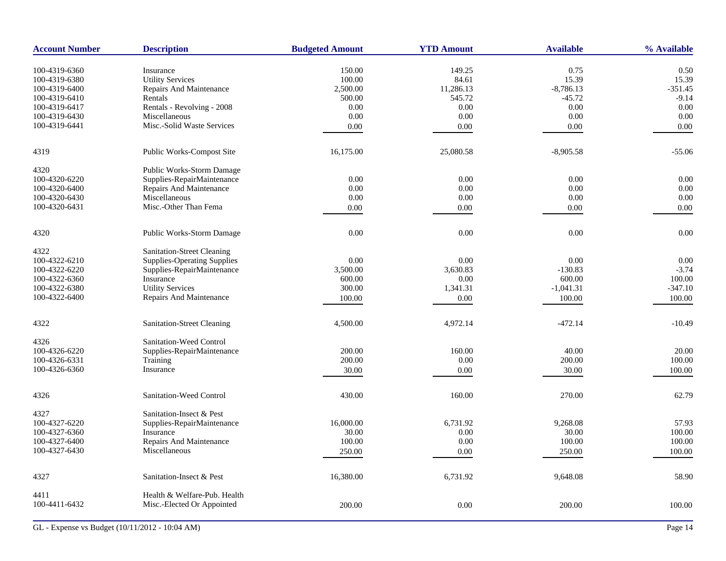| <b>Account Number</b> | <b>Description</b>                 | <b>Budgeted Amount</b> | <b>YTD Amount</b> | <b>Available</b> | % Available |
|-----------------------|------------------------------------|------------------------|-------------------|------------------|-------------|
| 100-4319-6360         | Insurance                          | 150.00                 | 149.25            | 0.75             | 0.50        |
| 100-4319-6380         | <b>Utility Services</b>            | 100.00                 | 84.61             | 15.39            | 15.39       |
| 100-4319-6400         | Repairs And Maintenance            | 2,500.00               | 11,286.13         | $-8,786.13$      | $-351.45$   |
| 100-4319-6410         | Rentals                            | 500.00                 | 545.72            | $-45.72$         | $-9.14$     |
| 100-4319-6417         | Rentals - Revolving - 2008         | 0.00                   | 0.00              | 0.00             | 0.00        |
| 100-4319-6430         | Miscellaneous                      | 0.00                   | 0.00              | 0.00             | 0.00        |
| 100-4319-6441         | Misc.-Solid Waste Services         | 0.00                   | 0.00              | 0.00             | 0.00        |
|                       |                                    |                        |                   |                  |             |
| 4319                  | Public Works-Compost Site          | 16,175.00              | 25,080.58         | $-8,905.58$      | $-55.06$    |
| 4320                  | Public Works-Storm Damage          |                        |                   |                  |             |
| 100-4320-6220         | Supplies-RepairMaintenance         | 0.00                   | 0.00              | 0.00             | 0.00        |
| 100-4320-6400         | Repairs And Maintenance            | 0.00                   | 0.00              | 0.00             | 0.00        |
| 100-4320-6430         | Miscellaneous                      | 0.00                   | 0.00              | 0.00             | 0.00        |
| 100-4320-6431         | Misc.-Other Than Fema              | 0.00                   | 0.00              | 0.00             | 0.00        |
| 4320                  | Public Works-Storm Damage          | 0.00                   | 0.00              | 0.00             | 0.00        |
|                       |                                    |                        |                   |                  |             |
| 4322                  | Sanitation-Street Cleaning         |                        |                   |                  |             |
| 100-4322-6210         | <b>Supplies-Operating Supplies</b> | 0.00                   | 0.00              | 0.00             | 0.00        |
| 100-4322-6220         | Supplies-RepairMaintenance         | 3,500.00               | 3,630.83          | $-130.83$        | $-3.74$     |
| 100-4322-6360         | Insurance                          | 600.00                 | 0.00              | 600.00           | 100.00      |
| 100-4322-6380         | <b>Utility Services</b>            | 300.00                 | 1,341.31          | $-1,041.31$      | $-347.10$   |
| 100-4322-6400         | Repairs And Maintenance            | 100.00                 | 0.00              | 100.00           | 100.00      |
|                       |                                    |                        |                   |                  |             |
| 4322                  | Sanitation-Street Cleaning         | 4,500.00               | 4,972.14          | $-472.14$        | $-10.49$    |
| 4326                  | Sanitation-Weed Control            |                        |                   |                  |             |
| 100-4326-6220         | Supplies-RepairMaintenance         | 200.00                 | 160.00            | 40.00            | 20.00       |
| 100-4326-6331         | Training                           | 200.00                 | 0.00              | 200.00           | 100.00      |
| 100-4326-6360         | Insurance                          | 30.00                  | 0.00              | 30.00            | 100.00      |
|                       | Sanitation-Weed Control            | 430.00                 | 160.00            | 270.00           | 62.79       |
| 4326                  |                                    |                        |                   |                  |             |
| 4327                  | Sanitation-Insect & Pest           |                        |                   |                  |             |
| 100-4327-6220         | Supplies-RepairMaintenance         | 16,000.00              | 6,731.92          | 9,268.08         | 57.93       |
| 100-4327-6360         | Insurance                          | 30.00                  | 0.00              | 30.00            | 100.00      |
| 100-4327-6400         | Repairs And Maintenance            | 100.00                 | 0.00              | 100.00           | 100.00      |
| 100-4327-6430         | Miscellaneous                      | 250.00                 | 0.00              | 250.00           | 100.00      |
| 4327                  | Sanitation-Insect & Pest           | 16,380.00              | 6,731.92          | 9,648.08         | 58.90       |
|                       |                                    |                        |                   |                  |             |
| 4411                  | Health & Welfare-Pub. Health       |                        |                   |                  |             |
| 100-4411-6432         | Misc.-Elected Or Appointed         | 200.00                 | 0.00              | 200.00           | 100.00      |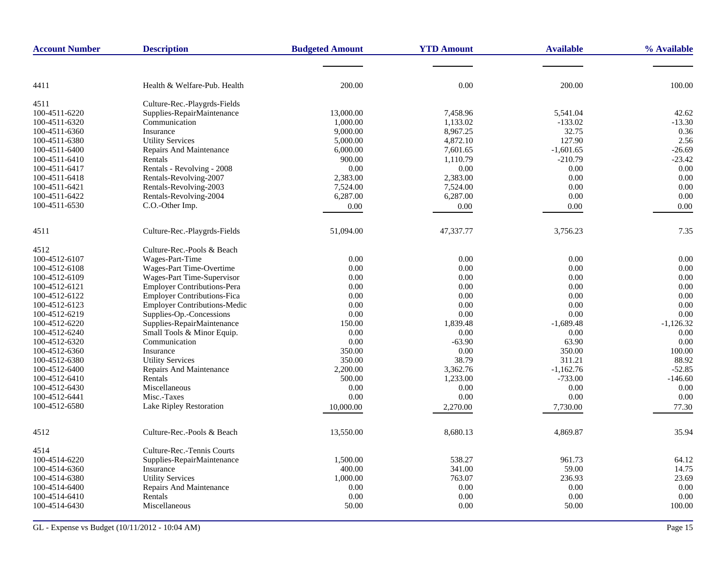| <b>Account Number</b> | <b>Description</b>                  | <b>Budgeted Amount</b> | <b>YTD Amount</b> | <b>Available</b> | % Available |
|-----------------------|-------------------------------------|------------------------|-------------------|------------------|-------------|
|                       |                                     |                        |                   |                  |             |
| 4411                  | Health & Welfare-Pub. Health        | 200.00                 | 0.00              | 200.00           | 100.00      |
| 4511                  | Culture-Rec.-Playgrds-Fields        |                        |                   |                  |             |
| 100-4511-6220         | Supplies-RepairMaintenance          | 13,000.00              | 7,458.96          | 5.541.04         | 42.62       |
| 100-4511-6320         | Communication                       | 1,000.00               | 1,133.02          | $-133.02$        | $-13.30$    |
| 100-4511-6360         | Insurance                           | 9,000.00               | 8,967.25          | 32.75            | 0.36        |
| 100-4511-6380         | <b>Utility Services</b>             | 5,000.00               | 4,872.10          | 127.90           | 2.56        |
| 100-4511-6400         | <b>Repairs And Maintenance</b>      | 6,000.00               | 7,601.65          | $-1,601.65$      | $-26.69$    |
| 100-4511-6410         | Rentals                             | 900.00                 | 1,110.79          | $-210.79$        | $-23.42$    |
| 100-4511-6417         | Rentals - Revolving - 2008          | 0.00                   | 0.00              | 0.00             | 0.00        |
| 100-4511-6418         | Rentals-Revolving-2007              | 2,383.00               | 2,383.00          | 0.00             | 0.00        |
| 100-4511-6421         | Rentals-Revolving-2003              | 7,524.00               | 7,524.00          | 0.00             | 0.00        |
| 100-4511-6422         | Rentals-Revolving-2004              | 6,287.00               | 6,287.00          | 0.00             | 0.00        |
| 100-4511-6530         | C.O.-Other Imp.                     | 0.00                   | 0.00              | 0.00             | 0.00        |
|                       |                                     |                        |                   |                  |             |
| 4511                  | Culture-Rec.-Playgrds-Fields        | 51,094.00              | 47,337.77         | 3,756.23         | 7.35        |
| 4512                  | Culture-Rec.-Pools & Beach          |                        |                   |                  |             |
| 100-4512-6107         | Wages-Part-Time                     | 0.00                   | 0.00              | 0.00             | 0.00        |
| 100-4512-6108         | Wages-Part Time-Overtime            | 0.00                   | 0.00              | 0.00             | 0.00        |
| 100-4512-6109         | Wages-Part Time-Supervisor          | 0.00                   | 0.00              | 0.00             | 0.00        |
| 100-4512-6121         | <b>Employer Contributions-Pera</b>  | 0.00                   | 0.00              | 0.00             | 0.00        |
| 100-4512-6122         | <b>Employer Contributions-Fica</b>  | 0.00                   | 0.00              | 0.00             | 0.00        |
| 100-4512-6123         | <b>Employer Contributions-Medic</b> | 0.00                   | 0.00              | 0.00             | 0.00        |
| 100-4512-6219         | Supplies-Op.-Concessions            | 0.00                   | 0.00              | 0.00             | 0.00        |
| 100-4512-6220         | Supplies-RepairMaintenance          | 150.00                 | 1,839.48          | $-1,689.48$      | $-1,126.32$ |
| 100-4512-6240         | Small Tools & Minor Equip.          | 0.00                   | 0.00              | 0.00             | 0.00        |
| 100-4512-6320         | Communication                       | 0.00                   | $-63.90$          | 63.90            | 0.00        |
| 100-4512-6360         | Insurance                           | 350.00                 | 0.00              | 350.00           | 100.00      |
| 100-4512-6380         | <b>Utility Services</b>             | 350.00                 | 38.79             | 311.21           | 88.92       |
| 100-4512-6400         | Repairs And Maintenance             | 2,200.00               | 3,362.76          | $-1,162.76$      | $-52.85$    |
| 100-4512-6410         | Rentals                             | 500.00                 | 1,233.00          | $-733.00$        | $-146.60$   |
| 100-4512-6430         | Miscellaneous                       | 0.00                   | 0.00              | 0.00             | 0.00        |
| 100-4512-6441         | Misc.-Taxes                         | 0.00                   | 0.00              | 0.00             | 0.00        |
| 100-4512-6580         | Lake Ripley Restoration             | 10,000.00              | 2,270.00          | 7,730.00         | 77.30       |
|                       |                                     |                        |                   |                  |             |
| 4512                  | Culture-Rec.-Pools & Beach          | 13,550.00              | 8,680.13          | 4,869.87         | 35.94       |
| 4514                  | Culture-Rec.-Tennis Courts          |                        |                   |                  |             |
| 100-4514-6220         | Supplies-RepairMaintenance          | 1,500.00               | 538.27            | 961.73           | 64.12       |
| 100-4514-6360         | Insurance                           | 400.00                 | 341.00            | 59.00            | 14.75       |
| 100-4514-6380         | <b>Utility Services</b>             | 1,000.00               | 763.07            | 236.93           | 23.69       |
| 100-4514-6400         | Repairs And Maintenance             | 0.00                   | 0.00              | 0.00             | 0.00        |
| 100-4514-6410         | Rentals                             | 0.00                   | 0.00              | 0.00             | 0.00        |
| 100-4514-6430         | Miscellaneous                       | 50.00                  | 0.00              | 50.00            | 100.00      |
|                       |                                     |                        |                   |                  |             |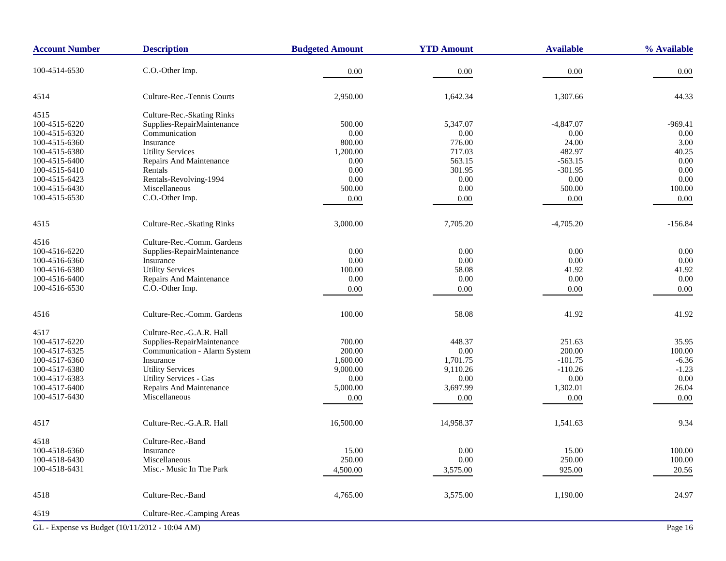| <b>Account Number</b>                          | <b>Description</b>            | <b>Budgeted Amount</b> | <b>YTD Amount</b> | <b>Available</b> | % Available |
|------------------------------------------------|-------------------------------|------------------------|-------------------|------------------|-------------|
| 100-4514-6530                                  | C.O.-Other Imp.               | 0.00                   | 0.00              | $0.00\,$         | 0.00        |
| 4514                                           | Culture-Rec.-Tennis Courts    | 2,950.00               | 1,642.34          | 1,307.66         | 44.33       |
| 4515                                           | Culture-Rec.-Skating Rinks    |                        |                   |                  |             |
| 100-4515-6220                                  | Supplies-RepairMaintenance    | 500.00                 | 5,347.07          | $-4,847.07$      | $-969.41$   |
| 100-4515-6320                                  | Communication                 | 0.00                   | $0.00\,$          | 0.00             | 0.00        |
| 100-4515-6360                                  | Insurance                     | 800.00                 | 776.00            | 24.00            | 3.00        |
| 100-4515-6380                                  | <b>Utility Services</b>       | 1,200.00               | 717.03            | 482.97           | 40.25       |
| 100-4515-6400                                  | Repairs And Maintenance       | 0.00                   | 563.15            | $-563.15$        | 0.00        |
| 100-4515-6410                                  | Rentals                       | 0.00                   | 301.95            | $-301.95$        | 0.00        |
| 100-4515-6423                                  | Rentals-Revolving-1994        | 0.00                   | $0.00\,$          | $0.00\,$         | $0.00\,$    |
| 100-4515-6430                                  | Miscellaneous                 | 500.00                 | $0.00\,$          | 500.00           | 100.00      |
| 100-4515-6530                                  | C.O.-Other Imp.               | $0.00\,$               | 0.00              | $0.00\,$         | 0.00        |
| 4515                                           | Culture-Rec.-Skating Rinks    | 3,000.00               | 7,705.20          | $-4,705.20$      | $-156.84$   |
|                                                |                               |                        |                   |                  |             |
| 4516                                           | Culture-Rec.-Comm. Gardens    |                        |                   |                  |             |
| 100-4516-6220                                  | Supplies-RepairMaintenance    | 0.00                   | $0.00\,$          | 0.00             | 0.00        |
| 100-4516-6360                                  | Insurance                     | 0.00                   | 0.00              | 0.00             | $0.00\,$    |
| 100-4516-6380                                  | <b>Utility Services</b>       | 100.00                 | 58.08             | 41.92            | 41.92       |
| 100-4516-6400                                  | Repairs And Maintenance       | 0.00                   | 0.00              | 0.00             | 0.00        |
| 100-4516-6530                                  | C.O.-Other Imp.               | 0.00                   | $0.00\,$          | $0.00\,$         | 0.00        |
| 4516                                           | Culture-Rec.-Comm. Gardens    | 100.00                 | 58.08             | 41.92            | 41.92       |
| 4517                                           | Culture-Rec.-G.A.R. Hall      |                        |                   |                  |             |
| 100-4517-6220                                  | Supplies-RepairMaintenance    | 700.00                 | 448.37            | 251.63           | 35.95       |
| 100-4517-6325                                  | Communication - Alarm System  | 200.00                 | 0.00              | 200.00           | 100.00      |
| 100-4517-6360                                  | Insurance                     | 1,600.00               | 1,701.75          | $-101.75$        | $-6.36$     |
| 100-4517-6380                                  | <b>Utility Services</b>       | 9,000.00               | 9,110.26          | $-110.26$        | $-1.23$     |
| 100-4517-6383                                  | <b>Utility Services - Gas</b> | 0.00                   | 0.00              | 0.00             | 0.00        |
| 100-4517-6400                                  | Repairs And Maintenance       | 5,000.00               | 3,697.99          | 1,302.01         | 26.04       |
| 100-4517-6430                                  | Miscellaneous                 | 0.00                   | 0.00              | 0.00             | 0.00        |
| 4517                                           | Culture-Rec.-G.A.R. Hall      | 16,500.00              | 14,958.37         | 1,541.63         | 9.34        |
| 4518                                           | Culture-Rec.-Band             |                        |                   |                  |             |
| 100-4518-6360                                  | Insurance                     | 15.00                  | $0.00\,$          | 15.00            | 100.00      |
| 100-4518-6430                                  | Miscellaneous                 | 250.00                 | 0.00              | 250.00           | 100.00      |
| 100-4518-6431                                  | Misc.- Music In The Park      | 4,500.00               |                   | 925.00           | 20.56       |
|                                                |                               |                        | 3,575.00          |                  |             |
| 4518                                           | Culture-Rec.-Band             | 4,765.00               | 3,575.00          | 1,190.00         | 24.97       |
| 4519                                           | Culture-Rec.-Camping Areas    |                        |                   |                  |             |
| GL - Expense vs Budget (10/11/2012 - 10:04 AM) |                               |                        |                   |                  | Page 16     |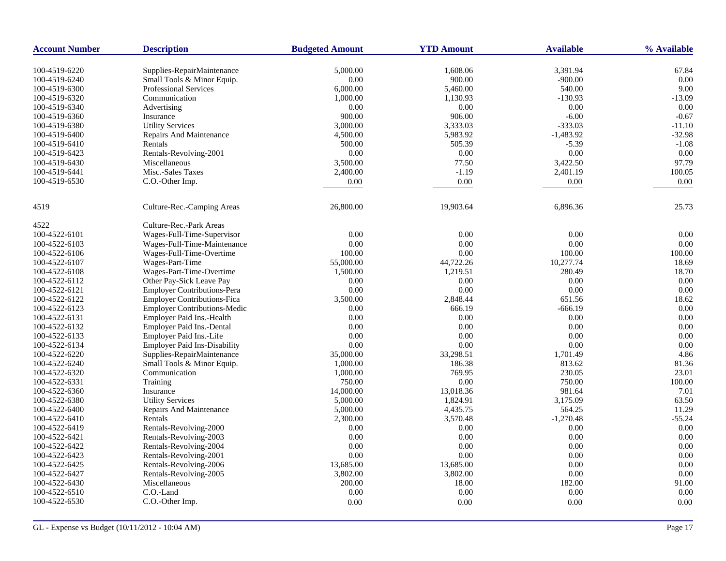| <b>Account Number</b> | <b>Description</b>                                         | <b>Budgeted Amount</b> | <b>YTD Amount</b>  | <b>Available</b>    | % Available  |
|-----------------------|------------------------------------------------------------|------------------------|--------------------|---------------------|--------------|
|                       |                                                            |                        |                    |                     |              |
| 100-4519-6220         | Supplies-RepairMaintenance                                 | 5,000.00               | 1,608.06           | 3,391.94            | 67.84        |
| 100-4519-6240         | Small Tools & Minor Equip.<br><b>Professional Services</b> | 0.00                   | 900.00<br>5,460.00 | $-900.00$<br>540.00 | 0.00<br>9.00 |
| 100-4519-6300         |                                                            | 6,000.00               |                    |                     |              |
| 100-4519-6320         | Communication                                              | 1,000.00               | 1,130.93           | $-130.93$           | $-13.09$     |
| 100-4519-6340         | Advertising                                                | 0.00                   | 0.00               | 0.00                | 0.00         |
| 100-4519-6360         | Insurance                                                  | 900.00                 | 906.00             | $-6.00$             | $-0.67$      |
| 100-4519-6380         | <b>Utility Services</b>                                    | 3,000.00               | 3,333.03           | $-333.03$           | $-11.10$     |
| 100-4519-6400         | <b>Repairs And Maintenance</b>                             | 4,500.00               | 5,983.92           | $-1,483.92$         | $-32.98$     |
| 100-4519-6410         | Rentals                                                    | 500.00                 | 505.39             | $-5.39$             | $-1.08$      |
| 100-4519-6423         | Rentals-Revolving-2001                                     | 0.00                   | $0.00\,$           | 0.00                | 0.00         |
| 100-4519-6430         | Miscellaneous                                              | 3,500.00               | 77.50              | 3,422.50            | 97.79        |
| 100-4519-6441         | Misc.-Sales Taxes                                          | 2,400.00               | $-1.19$            | 2,401.19            | 100.05       |
| 100-4519-6530         | C.O.-Other Imp.                                            | 0.00                   | 0.00               | 0.00                | 0.00         |
| 4519                  | Culture-Rec.-Camping Areas                                 | 26,800.00              | 19,903.64          | 6,896.36            | 25.73        |
| 4522                  | Culture-Rec.-Park Areas                                    |                        |                    |                     |              |
| 100-4522-6101         | Wages-Full-Time-Supervisor                                 | 0.00                   | 0.00               | 0.00                | 0.00         |
| 100-4522-6103         | Wages-Full-Time-Maintenance                                | 0.00                   | 0.00               | 0.00                | 0.00         |
| 100-4522-6106         | Wages-Full-Time-Overtime                                   | 100.00                 | 0.00               | 100.00              | 100.00       |
| 100-4522-6107         | Wages-Part-Time                                            | 55,000.00              | 44,722.26          | 10,277.74           | 18.69        |
| 100-4522-6108         |                                                            | 1,500.00               | 1,219.51           | 280.49              | 18.70        |
|                       | Wages-Part-Time-Overtime                                   |                        |                    |                     | 0.00         |
| 100-4522-6112         | Other Pay-Sick Leave Pay                                   | 0.00                   | 0.00               | 0.00                |              |
| 100-4522-6121         | <b>Employer Contributions-Pera</b>                         | 0.00                   | $0.00\,$           | 0.00                | 0.00         |
| 100-4522-6122         | <b>Employer Contributions-Fica</b>                         | 3,500.00               | 2,848.44           | 651.56              | 18.62        |
| 100-4522-6123         | <b>Employer Contributions-Medic</b>                        | 0.00                   | 666.19             | $-666.19$           | 0.00         |
| 100-4522-6131         | <b>Employer Paid Ins.-Health</b>                           | 0.00                   | 0.00               | 0.00                | 0.00         |
| 100-4522-6132         | Employer Paid Ins.-Dental                                  | 0.00                   | 0.00               | 0.00                | 0.00         |
| 100-4522-6133         | Employer Paid Ins.-Life                                    | 0.00                   | 0.00               | 0.00                | 0.00         |
| 100-4522-6134         | <b>Employer Paid Ins-Disability</b>                        | 0.00                   | 0.00               | 0.00                | 0.00         |
| 100-4522-6220         | Supplies-RepairMaintenance                                 | 35,000.00              | 33,298.51          | 1,701.49            | 4.86         |
| 100-4522-6240         | Small Tools & Minor Equip.                                 | 1,000.00               | 186.38             | 813.62              | 81.36        |
| 100-4522-6320         | Communication                                              | 1,000.00               | 769.95             | 230.05              | 23.01        |
| 100-4522-6331         | Training                                                   | 750.00                 | 0.00               | 750.00              | 100.00       |
| 100-4522-6360         | Insurance                                                  | 14,000.00              | 13,018.36          | 981.64              | 7.01         |
| 100-4522-6380         | <b>Utility Services</b>                                    | 5,000.00               | 1,824.91           | 3,175.09            | 63.50        |
| 100-4522-6400         | <b>Repairs And Maintenance</b>                             | 5,000.00               | 4,435.75           | 564.25              | 11.29        |
| 100-4522-6410         | Rentals                                                    | 2,300.00               | 3,570.48           | $-1,270.48$         | $-55.24$     |
| 100-4522-6419         | Rentals-Revolving-2000                                     | 0.00                   | $0.00\,$           | 0.00                | 0.00         |
| 100-4522-6421         | Rentals-Revolving-2003                                     | 0.00                   | 0.00               | $0.00\,$            | 0.00         |
| 100-4522-6422         | Rentals-Revolving-2004                                     | 0.00                   | 0.00               | 0.00                | 0.00         |
| 100-4522-6423         | Rentals-Revolving-2001                                     | 0.00                   | 0.00               | 0.00                | 0.00         |
| 100-4522-6425         | Rentals-Revolving-2006                                     | 13,685.00              | 13,685.00          | 0.00                | 0.00         |
| 100-4522-6427         | Rentals-Revolving-2005                                     | 3,802.00               | 3,802.00           | 0.00                | 0.00         |
| 100-4522-6430         | Miscellaneous                                              | 200.00                 | 18.00              | 182.00              | 91.00        |
| 100-4522-6510         | C.O.-Land                                                  | 0.00                   | 0.00               | 0.00                | 0.00         |
| 100-4522-6530         | C.O.-Other Imp.                                            | $0.00\,$               | 0.00               | 0.00                | 0.00         |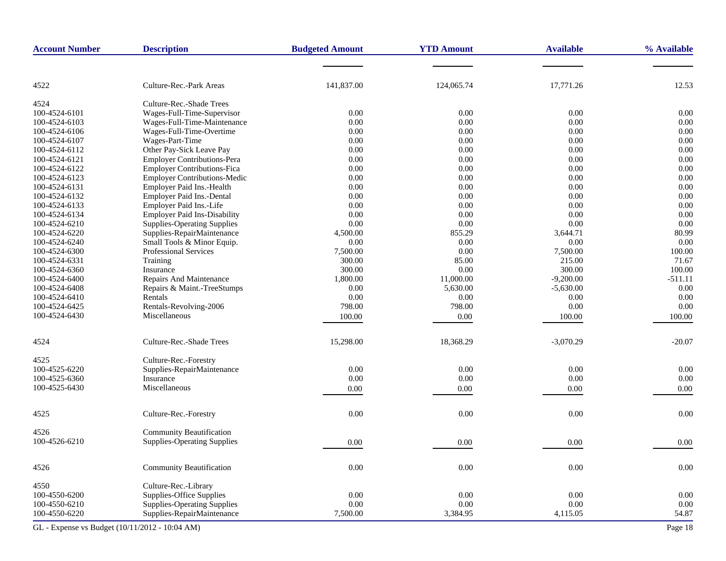| <b>Account Number</b>                          | <b>Description</b>                  | <b>Budgeted Amount</b> | <b>YTD Amount</b> | <b>Available</b> | % Available |
|------------------------------------------------|-------------------------------------|------------------------|-------------------|------------------|-------------|
|                                                |                                     |                        |                   |                  |             |
| 4522                                           | Culture-Rec.-Park Areas             | 141,837.00             | 124,065.74        | 17,771.26        | 12.53       |
| 4524                                           | Culture-Rec.-Shade Trees            |                        |                   |                  |             |
| 100-4524-6101                                  | Wages-Full-Time-Supervisor          | 0.00                   | $0.00\,$          | 0.00             | 0.00        |
| 100-4524-6103                                  | Wages-Full-Time-Maintenance         | 0.00                   | 0.00              | $0.00\,$         | 0.00        |
| 100-4524-6106                                  | Wages-Full-Time-Overtime            | 0.00                   | 0.00              | 0.00             | 0.00        |
| 100-4524-6107                                  | Wages-Part-Time                     | 0.00                   | $0.00\,$          | 0.00             | 0.00        |
| 100-4524-6112                                  | Other Pay-Sick Leave Pay            | 0.00                   | 0.00              | 0.00             | 0.00        |
| 100-4524-6121                                  | Employer Contributions-Pera         | 0.00                   | 0.00              | 0.00             | 0.00        |
| 100-4524-6122                                  | <b>Employer Contributions-Fica</b>  | 0.00                   | $0.00\,$          | 0.00             | 0.00        |
| 100-4524-6123                                  | <b>Employer Contributions-Medic</b> | 0.00                   | 0.00              | 0.00             | 0.00        |
| 100-4524-6131                                  | Employer Paid Ins.-Health           | 0.00                   | 0.00              | 0.00             | 0.00        |
|                                                |                                     | 0.00                   |                   | 0.00             | 0.00        |
| 100-4524-6132                                  | Employer Paid Ins.-Dental           |                        | 0.00              |                  |             |
| 100-4524-6133                                  | Employer Paid Ins.-Life             | 0.00                   | 0.00              | 0.00             | 0.00        |
| 100-4524-6134                                  | <b>Employer Paid Ins-Disability</b> | 0.00                   | 0.00              | 0.00             | 0.00        |
| 100-4524-6210                                  | <b>Supplies-Operating Supplies</b>  | 0.00                   | $0.00\,$          | 0.00             | 0.00        |
| 100-4524-6220                                  | Supplies-RepairMaintenance          | 4,500.00               | 855.29            | 3,644.71         | 80.99       |
| 100-4524-6240                                  | Small Tools & Minor Equip.          | 0.00                   | 0.00              | 0.00             | 0.00        |
| 100-4524-6300                                  | <b>Professional Services</b>        | 7,500.00               | 0.00              | 7,500.00         | 100.00      |
| 100-4524-6331                                  | Training                            | 300.00                 | 85.00             | 215.00           | 71.67       |
| 100-4524-6360                                  | Insurance                           | 300.00                 | 0.00              | 300.00           | 100.00      |
| 100-4524-6400                                  | Repairs And Maintenance             | 1,800.00               | 11,000.00         | $-9,200.00$      | $-511.11$   |
| 100-4524-6408                                  | Repairs & Maint.-TreeStumps         | 0.00                   | 5,630.00          | $-5,630.00$      | 0.00        |
| 100-4524-6410                                  | Rentals                             | 0.00                   | 0.00              | 0.00             | 0.00        |
| 100-4524-6425                                  | Rentals-Revolving-2006              | 798.00                 | 798.00            | 0.00             | 0.00        |
| 100-4524-6430                                  | Miscellaneous                       | 100.00                 | 0.00              | 100.00           | 100.00      |
| 4524                                           | Culture-Rec.-Shade Trees            | 15,298.00              | 18,368.29         | $-3,070.29$      | $-20.07$    |
| 4525                                           | Culture-Rec.-Forestry               |                        |                   |                  |             |
| 100-4525-6220                                  | Supplies-RepairMaintenance          | 0.00                   | $0.00\,$          | 0.00             | $0.00\,$    |
| 100-4525-6360                                  | Insurance                           | 0.00                   | 0.00              | 0.00             | 0.00        |
| 100-4525-6430                                  | Miscellaneous                       | 0.00                   | 0.00              | 0.00             | 0.00        |
|                                                |                                     |                        |                   |                  |             |
| 4525                                           | Culture-Rec.-Forestry               | 0.00                   | 0.00              | 0.00             | 0.00        |
| 4526                                           | <b>Community Beautification</b>     |                        |                   |                  |             |
| 100-4526-6210                                  | <b>Supplies-Operating Supplies</b>  | 0.00                   | 0.00              | 0.00             | 0.00        |
|                                                |                                     |                        |                   |                  |             |
| 4526                                           | <b>Community Beautification</b>     | 0.00                   | 0.00              | $0.00\,$         | $0.00\,$    |
| 4550                                           | Culture-Rec.-Library                |                        |                   |                  |             |
| 100-4550-6200                                  | Supplies-Office Supplies            | 0.00                   | $0.00\,$          | 0.00             | 0.00        |
| 100-4550-6210                                  | <b>Supplies-Operating Supplies</b>  | 0.00                   | 0.00              | 0.00             | 0.00        |
| 100-4550-6220                                  | Supplies-RepairMaintenance          | 7,500.00               | 3,384.95          | 4,115.05         | 54.87       |
| GL - Expense vs Budget (10/11/2012 - 10:04 AM) |                                     |                        |                   |                  | Page 18     |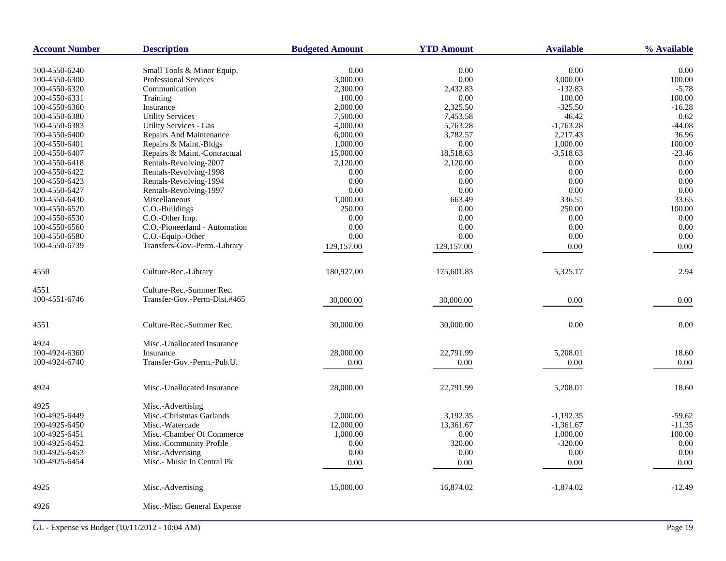| <b>Account Number</b> | <b>Description</b>                                         | <b>Budgeted Amount</b> | <b>YTD Amount</b> | <b>Available</b> | % Available |
|-----------------------|------------------------------------------------------------|------------------------|-------------------|------------------|-------------|
| 100-4550-6240         |                                                            | 0.00                   | 0.00              | 0.00             | 0.00        |
| 100-4550-6300         | Small Tools & Minor Equip.<br><b>Professional Services</b> | 3,000.00               | 0.00              | 3,000.00         | 100.00      |
| 100-4550-6320         | Communication                                              | 2,300.00               | 2,432.83          | $-132.83$        | $-5.78$     |
| 100-4550-6331         | Training                                                   | 100.00                 | 0.00              | 100.00           | 100.00      |
| 100-4550-6360         | Insurance                                                  | 2,000.00               | 2,325.50          | $-325.50$        | $-16.28$    |
| 100-4550-6380         | <b>Utility Services</b>                                    | 7,500.00               | 7,453.58          | 46.42            | 0.62        |
| 100-4550-6383         | <b>Utility Services - Gas</b>                              | 4,000.00               | 5,763.28          | $-1,763.28$      | $-44.08$    |
| 100-4550-6400         | Repairs And Maintenance                                    | 6,000.00               | 3,782.57          | 2,217.43         | 36.96       |
| 100-4550-6401         | Repairs & Maint.-Bldgs                                     | 1,000.00               | 0.00              | 1,000.00         | 100.00      |
| 100-4550-6407         | Repairs & Maint.-Contractual                               | 15,000.00              | 18,518.63         | $-3,518.63$      | -23.46      |
| 100-4550-6418         | Rentals-Revolving-2007                                     | 2,120.00               | 2,120.00          | 0.00             | 0.00        |
| 100-4550-6422         | Rentals-Revolving-1998                                     | 0.00                   | 0.00              | 0.00             | 0.00        |
| 100-4550-6423         | Rentals-Revolving-1994                                     | 0.00                   | 0.00              | 0.00             | 0.00        |
| 100-4550-6427         | Rentals-Revolving-1997                                     | 0.00                   | 0.00              | 0.00             | 0.00        |
| 100-4550-6430         | Miscellaneous                                              | 1,000.00               | 663.49            | 336.51           | 33.65       |
| 100-4550-6520         | C.O.-Buildings                                             | 250.00                 | 0.00              | 250.00           | 100.00      |
| 100-4550-6530         | C.O.-Other Imp.                                            | 0.00                   | 0.00              | 0.00             | 0.00        |
| 100-4550-6560         | C.O.-Pioneerland - Automation                              | 0.00                   | 0.00              | 0.00             | 0.00        |
| 100-4550-6580         | C.O.-Equip.-Other                                          | 0.00                   | 0.00              | 0.00             | 0.00        |
| 100-4550-6739         | Transfers-Gov.-Perm.-Library                               | 129,157.00             | 129,157.00        | 0.00             | 0.00        |
|                       |                                                            |                        |                   |                  |             |
| 4550                  | Culture-Rec.-Library                                       | 180,927.00             | 175,601.83        | 5,325.17         | 2.94        |
| 4551                  | Culture-Rec.-Summer Rec.                                   |                        |                   |                  |             |
| 100-4551-6746         | Transfer-Gov.-Perm-Dist.#465                               | 30,000.00              | 30,000.00         | 0.00             | 0.00        |
| 4551                  | Culture-Rec.-Summer Rec.                                   | 30,000.00              | 30,000.00         | 0.00             | 0.00        |
| 4924                  | Misc.-Unallocated Insurance                                |                        |                   |                  |             |
| 100-4924-6360         | Insurance                                                  | 28,000.00              | 22,791.99         | 5,208.01         | 18.60       |
| 100-4924-6740         | Transfer-Gov.-Perm.-Pub.U.                                 | 0.00                   | $0.00\,$          | 0.00             | 0.00        |
|                       |                                                            |                        |                   |                  |             |
| 4924                  | Misc.-Unallocated Insurance                                | 28,000.00              | 22,791.99         | 5,208.01         | 18.60       |
| 4925                  | Misc.-Advertising                                          |                        |                   |                  |             |
| 100-4925-6449         | Misc.-Christmas Garlands                                   | 2,000.00               | 3,192.35          | $-1,192.35$      | $-59.62$    |
| 100-4925-6450         | Misc.-Watercade                                            | 12,000.00              | 13,361.67         | $-1,361.67$      | $-11.35$    |
| 100-4925-6451         | Misc.-Chamber Of Commerce                                  | 1,000.00               | 0.00              | 1,000.00         | 100.00      |
| 100-4925-6452         | Misc.-Community Profile                                    | 0.00                   | 320.00            | $-320.00$        | 0.00        |
| 100-4925-6453         | Misc.-Adverising                                           | 0.00                   | 0.00              | 0.00             | 0.00        |
| 100-4925-6454         | Misc.- Music In Central Pk                                 | 0.00                   | 0.00              | 0.00             | 0.00        |
|                       |                                                            |                        |                   |                  |             |
| 4925                  | Misc.-Advertising                                          | 15,000.00              | 16,874.02         | $-1,874.02$      | $-12.49$    |
| 4926                  | Misc.-Misc. General Expense                                |                        |                   |                  |             |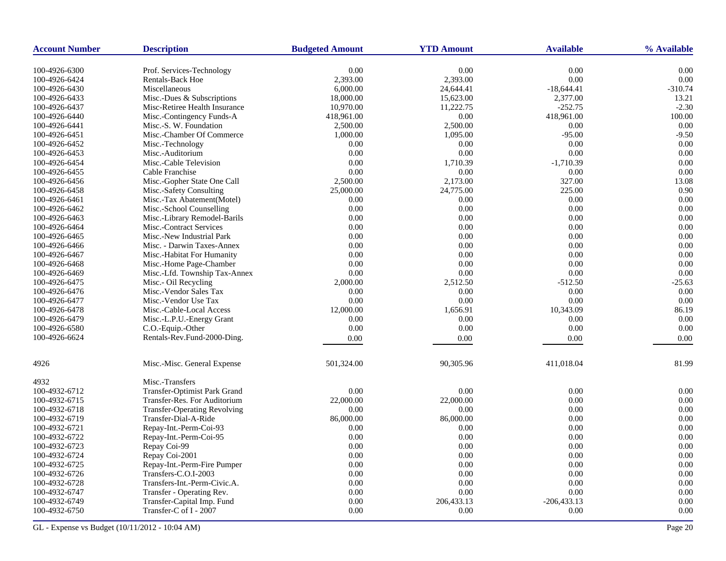| <b>Account Number</b> | <b>Description</b>                  | <b>Budgeted Amount</b> | <b>YTD Amount</b> | <b>Available</b> | % Available |
|-----------------------|-------------------------------------|------------------------|-------------------|------------------|-------------|
| 100-4926-6300         | Prof. Services-Technology           | 0.00                   | 0.00              | 0.00             | 0.00        |
| 100-4926-6424         | Rentals-Back Hoe                    | 2,393.00               | 2,393.00          | 0.00             | 0.00        |
| 100-4926-6430         | Miscellaneous                       | 6,000.00               | 24,644.41         | $-18,644.41$     | $-310.74$   |
| 100-4926-6433         | Misc.-Dues & Subscriptions          | 18,000.00              | 15,623.00         | 2,377.00         | 13.21       |
| 100-4926-6437         | Misc-Retiree Health Insurance       | 10,970.00              | 11,222.75         | $-252.75$        | $-2.30$     |
| 100-4926-6440         | Misc.-Contingency Funds-A           | 418,961.00             | 0.00              | 418,961.00       | 100.00      |
| 100-4926-6441         | Misc.-S. W. Foundation              | 2,500.00               | 2,500.00          | 0.00             | 0.00        |
| 100-4926-6451         | Misc.-Chamber Of Commerce           | 1,000.00               | 1.095.00          | $-95.00$         | $-9.50$     |
| 100-4926-6452         | Misc.-Technology                    | 0.00                   | 0.00              | 0.00             | 0.00        |
| 100-4926-6453         | Misc.-Auditorium                    | 0.00                   | 0.00              | 0.00             | 0.00        |
| 100-4926-6454         | Misc.-Cable Television              | 0.00                   | 1,710.39          | $-1,710.39$      | 0.00        |
| 100-4926-6455         | Cable Franchise                     | 0.00                   | 0.00              | 0.00             | 0.00        |
| 100-4926-6456         | Misc.-Gopher State One Call         | 2,500.00               | 2,173.00          | 327.00           | 13.08       |
| 100-4926-6458         | Misc.-Safety Consulting             | 25,000.00              | 24,775.00         | 225.00           | 0.90        |
| 100-4926-6461         | Misc.-Tax Abatement(Motel)          | 0.00                   | 0.00              | 0.00             | 0.00        |
| 100-4926-6462         | Misc.-School Counselling            | 0.00                   | 0.00              | 0.00             | 0.00        |
| 100-4926-6463         | Misc.-Library Remodel-Barils        | 0.00                   | 0.00              | 0.00             | 0.00        |
| 100-4926-6464         | Misc.-Contract Services             | 0.00                   | 0.00              | 0.00             | 0.00        |
| 100-4926-6465         | Misc.-New Industrial Park           | 0.00                   | 0.00              | 0.00             | 0.00        |
| 100-4926-6466         | Misc. - Darwin Taxes-Annex          | 0.00                   | 0.00              | 0.00             | 0.00        |
| 100-4926-6467         | Misc.-Habitat For Humanity          | 0.00                   | 0.00              | 0.00             | 0.00        |
| 100-4926-6468         | Misc.-Home Page-Chamber             | 0.00                   | 0.00              | 0.00             | 0.00        |
| 100-4926-6469         | Misc.-Lfd. Township Tax-Annex       | 0.00                   | 0.00              | 0.00             | 0.00        |
| 100-4926-6475         | Misc.- Oil Recycling                | 2,000.00               | 2,512.50          | $-512.50$        | $-25.63$    |
| 100-4926-6476         | Misc.-Vendor Sales Tax              | 0.00                   | 0.00              | 0.00             | 0.00        |
| 100-4926-6477         | Misc.-Vendor Use Tax                | 0.00                   | 0.00              | 0.00             | 0.00        |
| 100-4926-6478         | Misc.-Cable-Local Access            | 12,000.00              | 1,656.91          | 10,343.09        | 86.19       |
| 100-4926-6479         | Misc.-L.P.U.-Energy Grant           | 0.00                   | 0.00              | 0.00             | 0.00        |
| 100-4926-6580         | C.O.-Equip.-Other                   | 0.00                   | 0.00              | 0.00             | 0.00        |
| 100-4926-6624         | Rentals-Rev.Fund-2000-Ding.         | 0.00                   | 0.00              | 0.00             | 0.00        |
|                       |                                     |                        |                   |                  |             |
| 4926                  | Misc.-Misc. General Expense         | 501,324.00             | 90,305.96         | 411,018.04       | 81.99       |
| 4932                  | Misc.-Transfers                     |                        |                   |                  |             |
| 100-4932-6712         | <b>Transfer-Optimist Park Grand</b> | 0.00                   | 0.00              | 0.00             | 0.00        |
| 100-4932-6715         | Transfer-Res. For Auditorium        | 22,000.00              | 22,000.00         | 0.00             | 0.00        |
| 100-4932-6718         | <b>Transfer-Operating Revolving</b> | 0.00                   | 0.00              | 0.00             | 0.00        |
| 100-4932-6719         | Transfer-Dial-A-Ride                | 86,000.00              | 86,000.00         | 0.00             | 0.00        |
| 100-4932-6721         | Repay-Int.-Perm-Coi-93              | 0.00                   | 0.00              | 0.00             | 0.00        |
| 100-4932-6722         | Repay-Int.-Perm-Coi-95              | 0.00                   | 0.00              | 0.00             | 0.00        |
| 100-4932-6723         | Repay Coi-99                        | 0.00                   | 0.00              | 0.00             | 0.00        |
| 100-4932-6724         | Repay Coi-2001                      | 0.00                   | 0.00              | 0.00             | 0.00        |
| 100-4932-6725         | Repay-Int.-Perm-Fire Pumper         | 0.00                   | 0.00              | 0.00             | 0.00        |
| 100-4932-6726         | Transfers-C.O.I-2003                | 0.00                   | 0.00              | 0.00             | 0.00        |
| 100-4932-6728         | Transfers-Int.-Perm-Civic.A.        | 0.00                   | 0.00              | 0.00             | 0.00        |
| 100-4932-6747         | Transfer - Operating Rev.           | 0.00                   | 0.00              | 0.00             | 0.00        |
| 100-4932-6749         | Transfer-Capital Imp. Fund          | 0.00                   | 206,433.13        | $-206, 433.13$   | 0.00        |
| 100-4932-6750         | Transfer-C of I - 2007              | 0.00                   | 0.00              | 0.00             | 0.00        |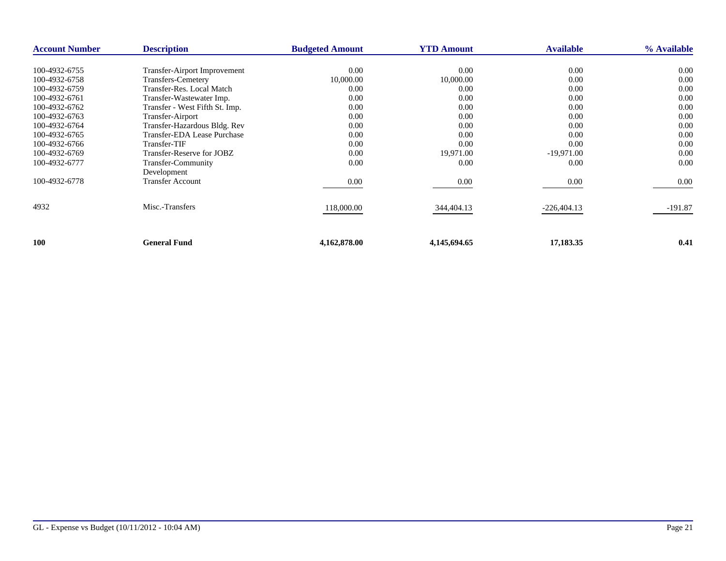| <b>Account Number</b> | <b>Description</b>                  | <b>Budgeted Amount</b> | <b>YTD Amount</b> | <b>Available</b> | % Available |
|-----------------------|-------------------------------------|------------------------|-------------------|------------------|-------------|
|                       |                                     |                        |                   |                  |             |
| 100-4932-6755         | <b>Transfer-Airport Improvement</b> | 0.00                   | 0.00              | 0.00             | 0.00        |
| 100-4932-6758         | <b>Transfers-Cemetery</b>           | 10,000.00              | 10,000.00         | 0.00             | 0.00        |
| 100-4932-6759         | Transfer-Res. Local Match           | 0.00                   | 0.00              | 0.00             | 0.00        |
| 100-4932-6761         | Transfer-Wastewater Imp.            | 0.00                   | 0.00              | 0.00             | 0.00        |
| 100-4932-6762         | Transfer - West Fifth St. Imp.      | 0.00                   | 0.00              | 0.00             | 0.00        |
| 100-4932-6763         | Transfer-Airport                    | 0.00                   | 0.00              | 0.00             | 0.00        |
| 100-4932-6764         | Transfer-Hazardous Bldg. Rev        | 0.00                   | 0.00              | 0.00             | 0.00        |
| 100-4932-6765         | Transfer-EDA Lease Purchase         | 0.00                   | 0.00              | 0.00             | 0.00        |
| 100-4932-6766         | Transfer-TIF                        | 0.00                   | 0.00              | 0.00             | 0.00        |
| 100-4932-6769         | Transfer-Reserve for JOBZ           | 0.00                   | 19,971.00         | $-19,971.00$     | 0.00        |
| 100-4932-6777         | Transfer-Community                  | 0.00                   | 0.00              | 0.00             | 0.00        |
|                       | Development                         |                        |                   |                  |             |
| 100-4932-6778         | <b>Transfer Account</b>             | 0.00                   | 0.00              | 0.00             | 0.00        |
|                       |                                     |                        |                   |                  |             |
| 4932                  | Misc.-Transfers                     | 118,000.00             | 344,404.13        | $-226,404.13$    | $-191.87$   |
|                       |                                     |                        |                   |                  |             |
| 100                   | <b>General Fund</b>                 | 4,162,878.00           | 4,145,694.65      | 17,183.35        | 0.41        |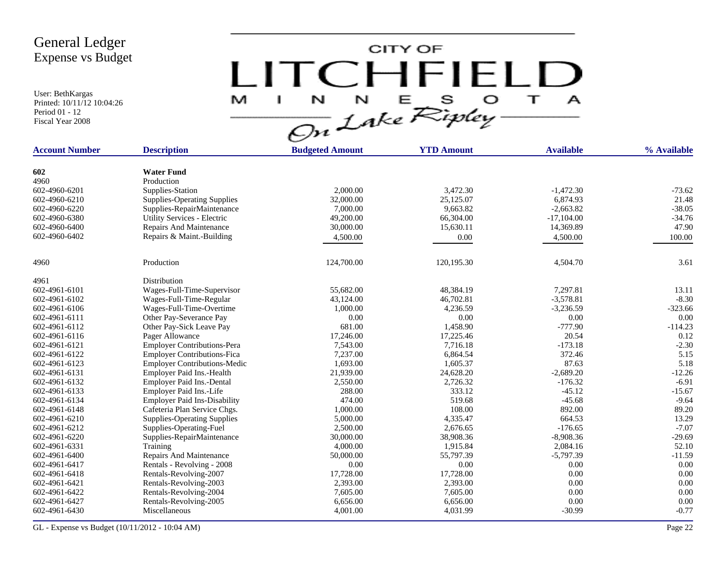User: BethKargas Printed: 10/11/12 10:04:26 Period 01 - 12 Fiscal Year 2008

 $LITCHTFIELD<sub>a</sub>  
\n $\frac{M-T}{\sqrt{2n}}\frac{1}{2abc}\sum_{k}^{N}E_{k}^{S}D_{k}^{S} + \frac{1}{2}$$ 

| <b>Account Number</b> | <b>Description</b>                  | <b>Budgeted Amount</b> | <b>YTD Amount</b> | <b>Available</b> | % Available |
|-----------------------|-------------------------------------|------------------------|-------------------|------------------|-------------|
|                       |                                     |                        |                   |                  |             |
| 602                   | <b>Water Fund</b>                   |                        |                   |                  |             |
| 4960                  | Production                          |                        |                   |                  |             |
| 602-4960-6201         | Supplies-Station                    | 2,000.00               | 3,472.30          | $-1,472.30$      | $-73.62$    |
| 602-4960-6210         | <b>Supplies-Operating Supplies</b>  | 32,000.00              | 25,125.07         | 6,874.93         | 21.48       |
| 602-4960-6220         | Supplies-RepairMaintenance          | 7,000.00               | 9,663.82          | $-2,663.82$      | $-38.05$    |
| 602-4960-6380         | Utility Services - Electric         | 49,200.00              | 66,304.00         | $-17,104.00$     | $-34.76$    |
| 602-4960-6400         | Repairs And Maintenance             | 30,000.00              | 15,630.11         | 14,369.89        | 47.90       |
| 602-4960-6402         | Repairs & Maint.-Building           | 4,500.00               | 0.00              | 4,500.00         | 100.00      |
| 4960                  | Production                          | 124,700.00             | 120,195.30        | 4,504.70         | 3.61        |
|                       |                                     |                        |                   |                  |             |
| 4961                  | Distribution                        |                        |                   |                  |             |
| 602-4961-6101         | Wages-Full-Time-Supervisor          | 55,682.00              | 48,384.19         | 7,297.81         | 13.11       |
| 602-4961-6102         | Wages-Full-Time-Regular             | 43,124.00              | 46,702.81         | $-3,578.81$      | $-8.30$     |
| 602-4961-6106         | Wages-Full-Time-Overtime            | 1,000.00               | 4,236.59          | $-3,236.59$      | $-323.66$   |
| 602-4961-6111         | Other Pay-Severance Pay             | 0.00                   | 0.00              | 0.00             | 0.00        |
| 602-4961-6112         | Other Pay-Sick Leave Pay            | 681.00                 | 1,458.90          | $-777.90$        | $-114.23$   |
| 602-4961-6116         | Pager Allowance                     | 17,246.00              | 17,225.46         | 20.54            | 0.12        |
| 602-4961-6121         | <b>Employer Contributions-Pera</b>  | 7,543.00               | 7,716.18          | $-173.18$        | $-2.30$     |
| 602-4961-6122         | <b>Employer Contributions-Fica</b>  | 7,237.00               | 6,864.54          | 372.46           | 5.15        |
| 602-4961-6123         | <b>Employer Contributions-Medic</b> | 1,693.00               | 1,605.37          | 87.63            | 5.18        |
| 602-4961-6131         | Employer Paid Ins.-Health           | 21,939.00              | 24,628.20         | $-2,689.20$      | $-12.26$    |
| 602-4961-6132         | Employer Paid Ins.-Dental           | 2,550.00               | 2,726.32          | $-176.32$        | $-6.91$     |
| 602-4961-6133         | Employer Paid Ins.-Life             | 288.00                 | 333.12            | $-45.12$         | $-15.67$    |
| 602-4961-6134         | <b>Employer Paid Ins-Disability</b> | 474.00                 | 519.68            | $-45.68$         | $-9.64$     |
| 602-4961-6148         | Cafeteria Plan Service Chgs.        | 1,000.00               | 108.00            | 892.00           | 89.20       |
| 602-4961-6210         | <b>Supplies-Operating Supplies</b>  | 5,000.00               | 4,335.47          | 664.53           | 13.29       |
| 602-4961-6212         | Supplies-Operating-Fuel             | 2,500.00               | 2,676.65          | $-176.65$        | $-7.07$     |
| 602-4961-6220         | Supplies-RepairMaintenance          | 30,000.00              | 38,908.36         | $-8,908.36$      | $-29.69$    |
| 602-4961-6331         | Training                            | 4,000.00               | 1,915.84          | 2,084.16         | 52.10       |
| 602-4961-6400         | Repairs And Maintenance             | 50,000.00              | 55,797.39         | $-5,797.39$      | $-11.59$    |
| 602-4961-6417         | Rentals - Revolving - 2008          | 0.00                   | 0.00              | 0.00             | 0.00        |
| 602-4961-6418         | Rentals-Revolving-2007              | 17,728.00              | 17,728.00         | 0.00             | 0.00        |
| 602-4961-6421         | Rentals-Revolving-2003              | 2,393.00               | 2,393.00          | 0.00             | 0.00        |
| 602-4961-6422         | Rentals-Revolving-2004              | 7,605.00               | 7,605.00          | 0.00             | 0.00        |
| 602-4961-6427         | Rentals-Revolving-2005              | 6,656.00               | 6,656.00          | 0.00             | 0.00        |
| 602-4961-6430         | Miscellaneous                       | 4,001.00               | 4,031.99          | $-30.99$         | $-0.77$     |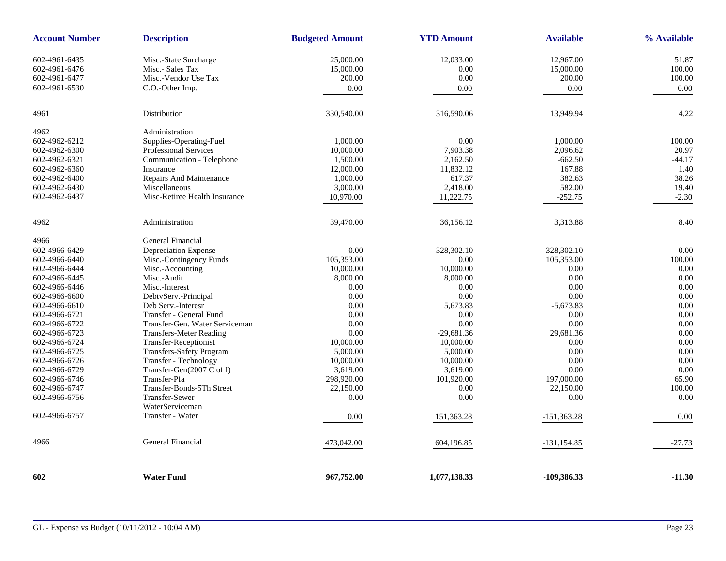| <b>Account Number</b>          | <b>Description</b>                         | <b>Budgeted Amount</b> | <b>YTD Amount</b> | <b>Available</b>            | % Available    |
|--------------------------------|--------------------------------------------|------------------------|-------------------|-----------------------------|----------------|
| 602-4961-6435                  | Misc.-State Surcharge                      | 25,000.00              | 12,033.00         | 12,967.00                   | 51.87          |
| 602-4961-6476                  | Misc.- Sales Tax                           | 15,000.00              | 0.00              | 15,000.00                   | 100.00         |
| 602-4961-6477                  | Misc.-Vendor Use Tax                       | 200.00                 | 0.00              | 200.00                      | 100.00         |
| 602-4961-6530                  | C.O.-Other Imp.                            | 0.00                   | 0.00              | 0.00                        | 0.00           |
|                                |                                            |                        |                   |                             |                |
| 4961                           | Distribution                               | 330,540.00             | 316,590.06        | 13,949.94                   | 4.22           |
| 4962                           | Administration                             |                        |                   |                             |                |
| 602-4962-6212                  | Supplies-Operating-Fuel                    | 1,000.00               | 0.00              | 1,000.00                    | 100.00         |
| 602-4962-6300                  | <b>Professional Services</b>               | 10,000.00              | 7,903.38          | 2,096.62                    | 20.97          |
| 602-4962-6321                  | Communication - Telephone                  | 1,500.00               | 2,162.50          | $-662.50$                   | $-44.17$       |
| 602-4962-6360                  | Insurance                                  | 12,000.00              | 11,832.12         | 167.88                      | 1.40           |
| 602-4962-6400                  | Repairs And Maintenance                    | 1,000.00               | 617.37            | 382.63                      | 38.26          |
| 602-4962-6430                  | Miscellaneous                              | 3,000.00               | 2,418.00          | 582.00                      | 19.40          |
| 602-4962-6437                  | Misc-Retiree Health Insurance              | 10.970.00              | 11,222.75         | $-252.75$                   | $-2.30$        |
| 4962                           | Administration                             | 39,470.00              | 36,156.12         | 3,313.88                    | 8.40           |
|                                |                                            |                        |                   |                             |                |
| 4966                           | General Financial                          |                        |                   |                             |                |
| 602-4966-6429                  | Depreciation Expense                       | 0.00                   | 328, 302. 10      | $-328,302.10$<br>105,353.00 | 0.00<br>100.00 |
| 602-4966-6440                  | Misc.-Contingency Funds                    | 105,353.00             | 0.00              |                             | 0.00           |
| 602-4966-6444                  | Misc.-Accounting                           | 10,000.00              | 10,000.00         | 0.00<br>0.00                | 0.00           |
| 602-4966-6445                  | Misc.-Audit                                | 8,000.00<br>0.00       | 8,000.00          | 0.00                        | 0.00           |
| 602-4966-6446<br>602-4966-6600 | Misc.-Interest                             | 0.00                   | 0.00<br>0.00      | 0.00                        | 0.00           |
|                                | DebtvServ.-Principal<br>Deb Serv.-Interesr | 0.00                   | 5,673.83          | $-5,673.83$                 | 0.00           |
| 602-4966-6610<br>602-4966-6721 | Transfer - General Fund                    | 0.00                   | 0.00              | 0.00                        | 0.00           |
| 602-4966-6722                  | Transfer-Gen. Water Serviceman             | 0.00                   | 0.00              | 0.00                        | 0.00           |
| 602-4966-6723                  | <b>Transfers-Meter Reading</b>             | 0.00                   | $-29,681.36$      | 29,681.36                   | 0.00           |
| 602-4966-6724                  | Transfer-Receptionist                      | 10,000.00              | 10,000.00         | 0.00                        | 0.00           |
| 602-4966-6725                  | <b>Transfers-Safety Program</b>            | 5,000.00               | 5,000.00          | 0.00                        | 0.00           |
| 602-4966-6726                  | Transfer - Technology                      | 10,000.00              | 10,000.00         | 0.00                        | 0.00           |
| 602-4966-6729                  | Transfer-Gen(2007 C of I)                  | 3,619.00               | 3,619.00          | 0.00                        | 0.00           |
| 602-4966-6746                  | Transfer-Pfa                               | 298,920.00             | 101,920.00        | 197,000.00                  | 65.90          |
| 602-4966-6747                  | Transfer-Bonds-5Th Street                  | 22,150.00              | 0.00              | 22,150.00                   | 100.00         |
| 602-4966-6756                  | <b>Transfer-Sewer</b>                      | 0.00                   | 0.00              | 0.00                        | 0.00           |
|                                | WaterServiceman                            |                        |                   |                             |                |
| 602-4966-6757                  | Transfer - Water                           | 0.00                   | 151,363.28        | $-151,363.28$               | 0.00           |
| 4966                           | <b>General Financial</b>                   | 473,042.00             | 604,196.85        | $-131, 154.85$              | $-27.73$       |
| 602                            | <b>Water Fund</b>                          | 967,752.00             | 1,077,138.33      | -109,386.33                 | $-11.30$       |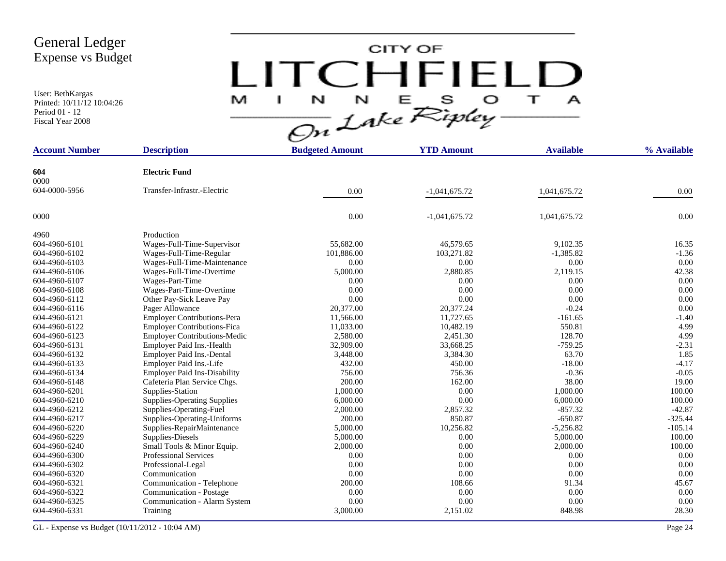User: BethKargas Printed: 10/11/12 10:04:26 Period 01 - 12 Fiscal Year 2008

# $LITCHTFIELD<sub>a</sub>\n $\frac{M-T}{\sqrt{2n}}\frac{1}{2abc}\sum_{k}^{N}E_{k}^{S}D_{k}^{S} + \frac{1}{2}$$

| <b>Account Number</b> | <b>Description</b>                  | <b>Budgeted Amount</b> | <b>YTD Amount</b> | <b>Available</b> | % Available |
|-----------------------|-------------------------------------|------------------------|-------------------|------------------|-------------|
| 604                   | <b>Electric Fund</b>                |                        |                   |                  |             |
| 0000                  |                                     |                        |                   |                  |             |
| 604-0000-5956         | Transfer-Infrastr.-Electric         | 0.00                   | $-1,041,675.72$   | 1,041,675.72     | 0.00        |
| 0000                  |                                     | 0.00                   | $-1,041,675.72$   | 1,041,675.72     | 0.00        |
| 4960                  | Production                          |                        |                   |                  |             |
| 604-4960-6101         | Wages-Full-Time-Supervisor          | 55,682.00              | 46,579.65         | 9,102.35         | 16.35       |
| 604-4960-6102         | Wages-Full-Time-Regular             | 101,886.00             | 103,271.82        | $-1,385.82$      | $-1.36$     |
| 604-4960-6103         | Wages-Full-Time-Maintenance         | 0.00                   | 0.00              | 0.00             | 0.00        |
| 604-4960-6106         | Wages-Full-Time-Overtime            | 5,000.00               | 2,880.85          | 2,119.15         | 42.38       |
| 604-4960-6107         | Wages-Part-Time                     | 0.00                   | 0.00              | 0.00             | 0.00        |
| 604-4960-6108         | Wages-Part-Time-Overtime            | 0.00                   | 0.00              | 0.00             | 0.00        |
| 604-4960-6112         | Other Pay-Sick Leave Pay            | 0.00                   | 0.00              | 0.00             | 0.00        |
| 604-4960-6116         | Pager Allowance                     | 20,377.00              | 20,377.24         | $-0.24$          | 0.00        |
| 604-4960-6121         | <b>Employer Contributions-Pera</b>  | 11,566.00              | 11,727.65         | $-161.65$        | $-1.40$     |
| 604-4960-6122         | <b>Employer Contributions-Fica</b>  | 11,033.00              | 10,482.19         | 550.81           | 4.99        |
| 604-4960-6123         | <b>Employer Contributions-Medic</b> | 2,580.00               | 2,451.30          | 128.70           | 4.99        |
| 604-4960-6131         | Employer Paid Ins.-Health           | 32,909.00              | 33,668.25         | $-759.25$        | $-2.31$     |
| 604-4960-6132         | Employer Paid Ins.-Dental           | 3,448.00               | 3,384.30          | 63.70            | 1.85        |
| 604-4960-6133         | Employer Paid Ins.-Life             | 432.00                 | 450.00            | $-18.00$         | $-4.17$     |
| 604-4960-6134         | <b>Employer Paid Ins-Disability</b> | 756.00                 | 756.36            | $-0.36$          | $-0.05$     |
| 604-4960-6148         | Cafeteria Plan Service Chgs.        | 200.00                 | 162.00            | 38.00            | 19.00       |
| 604-4960-6201         | Supplies-Station                    | 1,000.00               | 0.00              | 1,000.00         | 100.00      |
| 604-4960-6210         | <b>Supplies-Operating Supplies</b>  | 6,000.00               | 0.00              | 6,000.00         | 100.00      |
| 604-4960-6212         | Supplies-Operating-Fuel             | 2,000.00               | 2,857.32          | $-857.32$        | $-42.87$    |
| 604-4960-6217         | Supplies-Operating-Uniforms         | 200.00                 | 850.87            | $-650.87$        | $-325.44$   |
| 604-4960-6220         | Supplies-RepairMaintenance          | 5,000.00               | 10,256.82         | $-5,256.82$      | $-105.14$   |
| 604-4960-6229         | Supplies-Diesels                    | 5,000.00               | 0.00              | 5,000.00         | 100.00      |
| 604-4960-6240         | Small Tools & Minor Equip.          | 2,000.00               | 0.00              | 2,000.00         | 100.00      |
| 604-4960-6300         | <b>Professional Services</b>        | 0.00                   | 0.00              | 0.00             | 0.00        |
| 604-4960-6302         | Professional-Legal                  | 0.00                   | 0.00              | 0.00             | 0.00        |
| 604-4960-6320         | Communication                       | 0.00                   | 0.00              | 0.00             | 0.00        |
| 604-4960-6321         | Communication - Telephone           | 200.00                 | 108.66            | 91.34            | 45.67       |
| 604-4960-6322         | Communication - Postage             | 0.00                   | 0.00              | 0.00             | 0.00        |
| 604-4960-6325         | Communication - Alarm System        | 0.00                   | 0.00              | 0.00             | 0.00        |
| 604-4960-6331         | Training                            | 3,000.00               | 2,151.02          | 848.98           | 28.30       |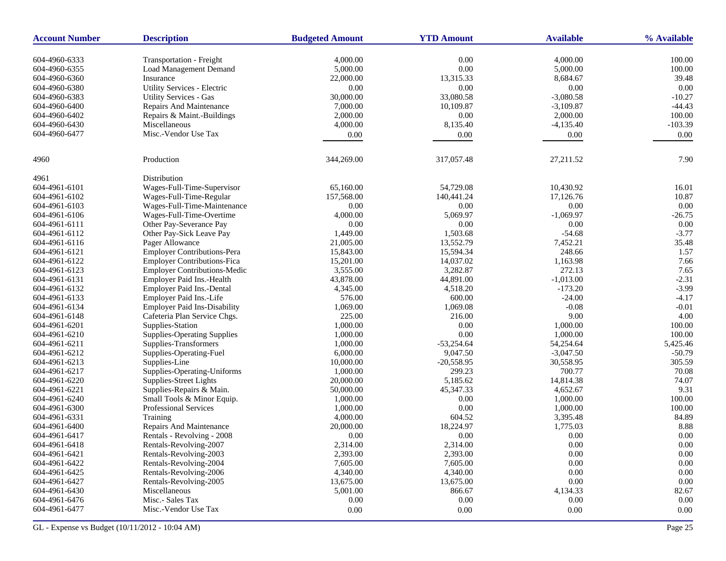| <b>Account Number</b> | <b>Description</b>                  | <b>Budgeted Amount</b> | <b>YTD Amount</b> | <b>Available</b> | % Available |
|-----------------------|-------------------------------------|------------------------|-------------------|------------------|-------------|
| 604-4960-6333         | <b>Transportation - Freight</b>     | 4,000.00               | 0.00              | 4,000.00         | 100.00      |
| 604-4960-6355         | Load Management Demand              | 5,000.00               | $0.00\,$          | 5,000.00         | 100.00      |
| 604-4960-6360         | Insurance                           | 22,000.00              | 13,315.33         | 8,684.67         | 39.48       |
| 604-4960-6380         | Utility Services - Electric         | 0.00                   | 0.00              | 0.00             | 0.00        |
| 604-4960-6383         | <b>Utility Services - Gas</b>       | 30,000.00              | 33,080.58         | $-3,080.58$      | $-10.27$    |
| 604-4960-6400         | Repairs And Maintenance             | 7,000.00               | 10,109.87         | $-3,109.87$      | $-44.43$    |
| 604-4960-6402         | Repairs & Maint.-Buildings          | 2,000.00               | 0.00              | 2,000.00         | 100.00      |
| 604-4960-6430         | Miscellaneous                       | 4,000.00               | 8,135.40          | $-4,135.40$      | $-103.39$   |
| 604-4960-6477         | Misc.-Vendor Use Tax                | 0.00                   | 0.00              | 0.00             | 0.00        |
|                       |                                     |                        |                   |                  |             |
| 4960                  | Production                          | 344,269.00             | 317,057.48        | 27,211.52        | 7.90        |
| 4961                  | Distribution                        |                        |                   |                  |             |
| 604-4961-6101         | Wages-Full-Time-Supervisor          | 65,160.00              | 54,729.08         | 10,430.92        | 16.01       |
| 604-4961-6102         | Wages-Full-Time-Regular             | 157,568.00             | 140,441.24        | 17,126.76        | 10.87       |
| 604-4961-6103         | Wages-Full-Time-Maintenance         | 0.00                   | $0.00\,$          | 0.00             | 0.00        |
| 604-4961-6106         | Wages-Full-Time-Overtime            | 4,000.00               | 5,069.97          | $-1,069.97$      | $-26.75$    |
| 604-4961-6111         | Other Pay-Severance Pay             | 0.00                   | $0.00\,$          | 0.00             | $0.00\,$    |
| 604-4961-6112         | Other Pay-Sick Leave Pay            | 1,449.00               | 1,503.68          | $-54.68$         | $-3.77$     |
| 604-4961-6116         | Pager Allowance                     | 21,005.00              | 13,552.79         | 7,452.21         | 35.48       |
| 604-4961-6121         | Employer Contributions-Pera         | 15,843.00              | 15,594.34         | 248.66           | 1.57        |
| 604-4961-6122         | <b>Employer Contributions-Fica</b>  | 15,201.00              | 14,037.02         | 1,163.98         | 7.66        |
| 604-4961-6123         | <b>Employer Contributions-Medic</b> | 3,555.00               | 3,282.87          | 272.13           | 7.65        |
| 604-4961-6131         | Employer Paid Ins.-Health           | 43,878.00              | 44,891.00         | $-1,013.00$      | $-2.31$     |
| 604-4961-6132         | Employer Paid Ins.-Dental           | 4,345.00               | 4,518.20          | $-173.20$        | $-3.99$     |
| 604-4961-6133         | Employer Paid Ins.-Life             | 576.00                 | 600.00            | $-24.00$         | $-4.17$     |
| 604-4961-6134         | <b>Employer Paid Ins-Disability</b> | 1,069.00               | 1,069.08          | $-0.08$          | $-0.01$     |
| 604-4961-6148         | Cafeteria Plan Service Chgs.        | 225.00                 | 216.00            | 9.00             | 4.00        |
| 604-4961-6201         | Supplies-Station                    | 1,000.00               | 0.00              | 1,000.00         | 100.00      |
| 604-4961-6210         | <b>Supplies-Operating Supplies</b>  | 1,000.00               | 0.00              | 1,000.00         | 100.00      |
| 604-4961-6211         | Supplies-Transformers               | 1,000.00               | $-53,254.64$      | 54,254.64        | 5,425.46    |
| 604-4961-6212         | Supplies-Operating-Fuel             | 6,000.00               | 9,047.50          | $-3,047.50$      | $-50.79$    |
| 604-4961-6213         | Supplies-Line                       | 10,000.00              | $-20,558.95$      | 30,558.95        | 305.59      |
| 604-4961-6217         | Supplies-Operating-Uniforms         | 1,000.00               | 299.23            | 700.77           | 70.08       |
| 604-4961-6220         | Supplies-Street Lights              | 20,000.00              | 5,185.62          | 14,814.38        | 74.07       |
| 604-4961-6221         | Supplies-Repairs & Main.            | 50,000.00              | 45,347.33         | 4,652.67         | 9.31        |
| 604-4961-6240         | Small Tools & Minor Equip.          | 1,000.00               | 0.00              | 1,000.00         | 100.00      |
| 604-4961-6300         | Professional Services               | 1,000.00               | 0.00              | 1,000.00         | 100.00      |
| 604-4961-6331         | Training                            | 4,000.00               | 604.52            | 3,395.48         | 84.89       |
| 604-4961-6400         | Repairs And Maintenance             | 20,000.00              | 18,224.97         | 1,775.03         | 8.88        |
| 604-4961-6417         | Rentals - Revolving - 2008          | 0.00                   | 0.00              | 0.00             | 0.00        |
| 604-4961-6418         | Rentals-Revolving-2007              | 2,314.00               | 2,314.00          | 0.00             | 0.00        |
| 604-4961-6421         | Rentals-Revolving-2003              | 2,393.00               | 2,393.00          | 0.00             | $0.00\,$    |
| 604-4961-6422         | Rentals-Revolving-2004              | 7,605.00               | 7,605.00          | 0.00             | 0.00        |
| 604-4961-6425         | Rentals-Revolving-2006              | 4,340.00               | 4,340.00          | 0.00             | 0.00        |
| 604-4961-6427         | Rentals-Revolving-2005              | 13,675.00              | 13,675.00         | 0.00             | $0.00\,$    |
| 604-4961-6430         | Miscellaneous                       | 5,001.00               | 866.67            | 4,134.33         | 82.67       |
| 604-4961-6476         | Misc.- Sales Tax                    | 0.00                   | 0.00              | 0.00             | 0.00        |
| 604-4961-6477         | Misc.-Vendor Use Tax                | 0.00                   | $0.00\,$          | $0.00\,$         | 0.00        |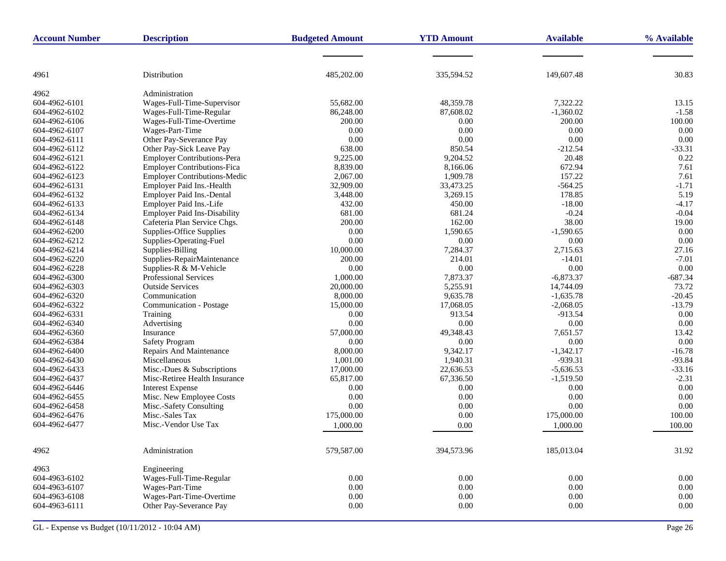| <b>Account Number</b> | <b>Description</b>                  | <b>Budgeted Amount</b> | <b>YTD Amount</b> | <b>Available</b> | % Available |
|-----------------------|-------------------------------------|------------------------|-------------------|------------------|-------------|
|                       |                                     |                        |                   |                  |             |
| 4961                  | Distribution                        | 485,202.00             | 335,594.52        | 149,607.48       | 30.83       |
|                       |                                     |                        |                   |                  |             |
| 4962                  | Administration                      |                        |                   |                  |             |
| 604-4962-6101         | Wages-Full-Time-Supervisor          | 55,682.00              | 48,359.78         | 7,322.22         | 13.15       |
| 604-4962-6102         | Wages-Full-Time-Regular             | 86,248.00              | 87,608.02         | $-1,360.02$      | $-1.58$     |
| 604-4962-6106         | Wages-Full-Time-Overtime            | 200.00                 | 0.00              | 200.00           | 100.00      |
| 604-4962-6107         | Wages-Part-Time                     | 0.00                   | 0.00              | 0.00             | 0.00        |
| 604-4962-6111         | Other Pay-Severance Pay             | 0.00                   | 0.00              | $0.00\,$         | 0.00        |
| 604-4962-6112         | Other Pay-Sick Leave Pay            | 638.00                 | 850.54            | $-212.54$        | $-33.31$    |
| 604-4962-6121         | Employer Contributions-Pera         | 9,225.00               | 9,204.52          | 20.48            | 0.22        |
| 604-4962-6122         | <b>Employer Contributions-Fica</b>  | 8,839.00               | 8,166.06          | 672.94           | 7.61        |
| 604-4962-6123         | <b>Employer Contributions-Medic</b> | 2,067.00               | 1,909.78          | 157.22           | 7.61        |
| 604-4962-6131         | Employer Paid Ins.-Health           | 32,909.00              | 33,473.25         | $-564.25$        | $-1.71$     |
| 604-4962-6132         | Employer Paid Ins.-Dental           | 3,448.00               | 3,269.15          | 178.85           | 5.19        |
| 604-4962-6133         | Employer Paid Ins.-Life             | 432.00                 | 450.00            | $-18.00$         | $-4.17$     |
| 604-4962-6134         | <b>Employer Paid Ins-Disability</b> | 681.00                 | 681.24            | $-0.24$          | $-0.04$     |
| 604-4962-6148         | Cafeteria Plan Service Chgs.        | 200.00                 | 162.00            | 38.00            | 19.00       |
| 604-4962-6200         | Supplies-Office Supplies            | 0.00                   | 1,590.65          | $-1,590.65$      | 0.00        |
| 604-4962-6212         | Supplies-Operating-Fuel             | 0.00                   | 0.00              | 0.00             | 0.00        |
| 604-4962-6214         | Supplies-Billing                    | 10,000.00              | 7,284.37          | 2,715.63         | 27.16       |
| 604-4962-6220         | Supplies-RepairMaintenance          | 200.00                 | 214.01            | $-14.01$         | $-7.01$     |
| 604-4962-6228         | Supplies-R & M-Vehicle              | 0.00                   | 0.00              | $0.00\,$         | 0.00        |
| 604-4962-6300         | Professional Services               | 1,000.00               | 7,873.37          | $-6,873.37$      | $-687.34$   |
| 604-4962-6303         | <b>Outside Services</b>             | 20,000.00              | 5,255.91          | 14,744.09        | 73.72       |
| 604-4962-6320         | Communication                       | 8,000.00               | 9,635.78          | $-1,635.78$      | $-20.45$    |
| 604-4962-6322         | Communication - Postage             | 15,000.00              | 17,068.05         | $-2,068.05$      | $-13.79$    |
| 604-4962-6331         | Training                            | 0.00                   | 913.54            | $-913.54$        | 0.00        |
| 604-4962-6340         | Advertising                         | 0.00                   | 0.00              | $0.00\,$         | 0.00        |
| 604-4962-6360         | Insurance                           | 57,000.00              | 49,348.43         | 7,651.57         | 13.42       |
| 604-4962-6384         | Safety Program                      | 0.00                   | 0.00              | 0.00             | 0.00        |
| 604-4962-6400         | Repairs And Maintenance             | 8,000.00               | 9,342.17          | $-1,342.17$      | $-16.78$    |
| 604-4962-6430         | Miscellaneous                       | 1,001.00               | 1,940.31          | $-939.31$        | $-93.84$    |
| 604-4962-6433         | Misc.-Dues & Subscriptions          | 17,000.00              | 22,636.53         | $-5,636.53$      | $-33.16$    |
| 604-4962-6437         | Misc-Retiree Health Insurance       | 65,817.00              | 67,336.50         | $-1,519.50$      | $-2.31$     |
| 604-4962-6446         | <b>Interest Expense</b>             | 0.00                   | 0.00              | 0.00             | 0.00        |
| 604-4962-6455         | Misc. New Employee Costs            | 0.00                   | 0.00              | 0.00             | 0.00        |
| 604-4962-6458         | Misc.-Safety Consulting             | 0.00                   | 0.00              | 0.00             | 0.00        |
| 604-4962-6476         | Misc.-Sales Tax                     | 175,000.00             | 0.00              | 175,000.00       | 100.00      |
| 604-4962-6477         | Misc.-Vendor Use Tax                | 1.000.00               | 0.00              | 1,000.00         | 100.00      |
| 4962                  | Administration                      | 579,587.00             | 394,573.96        | 185,013.04       | 31.92       |
| 4963                  | Engineering                         |                        |                   |                  |             |
| 604-4963-6102         | Wages-Full-Time-Regular             | $0.00\,$               | 0.00              | 0.00             | 0.00        |
| 604-4963-6107         | Wages-Part-Time                     | 0.00                   | $0.00\,$          | $0.00\,$         | $0.00\,$    |
| 604-4963-6108         | Wages-Part-Time-Overtime            | $0.00\,$               | $0.00\,$          | 0.00             | $0.00\,$    |
| 604-4963-6111         | Other Pay-Severance Pay             | $0.00\,$               | $0.00\,$          | 0.00             | $0.00\,$    |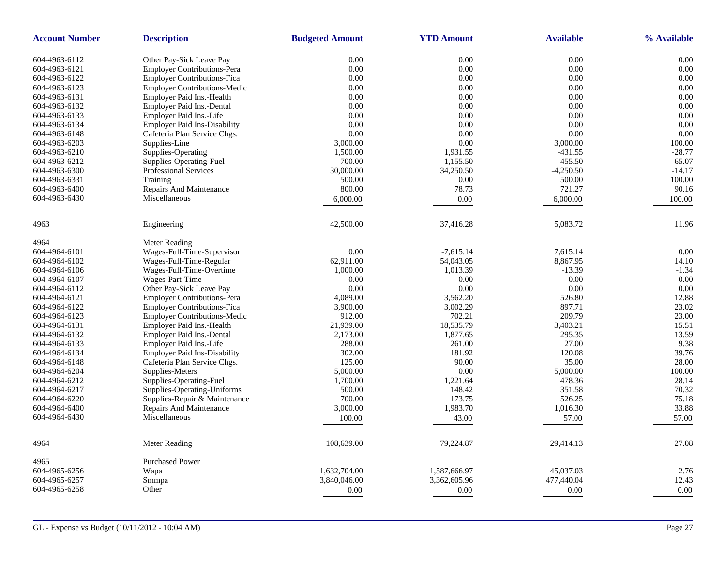| <b>Account Number</b> | <b>Description</b>                  | <b>Budgeted Amount</b> | <b>YTD Amount</b> | <b>Available</b> | % Available |
|-----------------------|-------------------------------------|------------------------|-------------------|------------------|-------------|
| 604-4963-6112         | Other Pay-Sick Leave Pay            | 0.00                   | $0.00\,$          | 0.00             | 0.00        |
| 604-4963-6121         | <b>Employer Contributions-Pera</b>  | 0.00                   | $0.00\,$          | 0.00             | 0.00        |
| 604-4963-6122         | <b>Employer Contributions-Fica</b>  | 0.00                   | 0.00              | 0.00             | 0.00        |
| 604-4963-6123         | <b>Employer Contributions-Medic</b> | 0.00                   | 0.00              | 0.00             | 0.00        |
| 604-4963-6131         | Employer Paid Ins.-Health           | 0.00                   | 0.00              | 0.00             | 0.00        |
| 604-4963-6132         | Employer Paid Ins.-Dental           | 0.00                   | 0.00              | 0.00             | 0.00        |
| 604-4963-6133         | Employer Paid Ins.-Life             | 0.00                   | 0.00              | 0.00             | 0.00        |
| 604-4963-6134         | <b>Employer Paid Ins-Disability</b> | 0.00                   | 0.00              | 0.00             | 0.00        |
| 604-4963-6148         | Cafeteria Plan Service Chgs.        | 0.00                   | 0.00              | 0.00             | 0.00        |
| 604-4963-6203         |                                     |                        | 0.00              | 3,000.00         | 100.00      |
|                       | Supplies-Line                       | 3,000.00               |                   |                  |             |
| 604-4963-6210         | Supplies-Operating                  | 1,500.00               | 1,931.55          | $-431.55$        | $-28.77$    |
| 604-4963-6212         | Supplies-Operating-Fuel             | 700.00                 | 1,155.50          | $-455.50$        | $-65.07$    |
| 604-4963-6300         | Professional Services               | 30,000.00              | 34,250.50         | $-4,250.50$      | $-14.17$    |
| 604-4963-6331         | Training                            | 500.00                 | 0.00              | 500.00           | 100.00      |
| 604-4963-6400         | Repairs And Maintenance             | 800.00                 | 78.73             | 721.27           | 90.16       |
| 604-4963-6430         | Miscellaneous                       | 6,000.00               | 0.00              | 6,000.00         | 100.00      |
| 4963                  | Engineering                         | 42,500.00              | 37,416.28         | 5,083.72         | 11.96       |
| 4964                  | Meter Reading                       |                        |                   |                  |             |
| 604-4964-6101         | Wages-Full-Time-Supervisor          | 0.00                   | $-7,615.14$       | 7,615.14         | 0.00        |
| 604-4964-6102         | Wages-Full-Time-Regular             | 62,911.00              | 54,043.05         | 8,867.95         | 14.10       |
| 604-4964-6106         | Wages-Full-Time-Overtime            | 1,000.00               | 1,013.39          | $-13.39$         | $-1.34$     |
| 604-4964-6107         | Wages-Part-Time                     | 0.00                   | 0.00              | 0.00             | 0.00        |
| 604-4964-6112         | Other Pay-Sick Leave Pay            | 0.00                   | $0.00\,$          | 0.00             | 0.00        |
| 604-4964-6121         | <b>Employer Contributions-Pera</b>  | 4,089.00               | 3,562.20          | 526.80           | 12.88       |
| 604-4964-6122         | <b>Employer Contributions-Fica</b>  | 3,900.00               | 3,002.29          | 897.71           | 23.02       |
| 604-4964-6123         | <b>Employer Contributions-Medic</b> | 912.00                 | 702.21            | 209.79           | 23.00       |
| 604-4964-6131         | Employer Paid Ins.-Health           | 21,939.00              | 18,535.79         | 3,403.21         | 15.51       |
| 604-4964-6132         | Employer Paid Ins.-Dental           | 2,173.00               | 1,877.65          | 295.35           | 13.59       |
| 604-4964-6133         | Employer Paid Ins.-Life             | 288.00                 | 261.00            | 27.00            | 9.38        |
| 604-4964-6134         | <b>Employer Paid Ins-Disability</b> | 302.00                 | 181.92            | 120.08           | 39.76       |
| 604-4964-6148         | Cafeteria Plan Service Chgs.        | 125.00                 | 90.00             | 35.00            | 28.00       |
| 604-4964-6204         | Supplies-Meters                     | 5,000.00               | 0.00              | 5,000.00         | 100.00      |
| 604-4964-6212         | Supplies-Operating-Fuel             | 1,700.00               | 1,221.64          | 478.36           | 28.14       |
| 604-4964-6217         | Supplies-Operating-Uniforms         | 500.00                 | 148.42            | 351.58           | 70.32       |
| 604-4964-6220         | Supplies-Repair & Maintenance       | 700.00                 | 173.75            | 526.25           | 75.18       |
| 604-4964-6400         | Repairs And Maintenance             | 3,000.00               | 1,983.70          | 1,016.30         | 33.88       |
| 604-4964-6430         | Miscellaneous                       |                        |                   |                  |             |
|                       |                                     | 100.00                 | 43.00             | 57.00            | 57.00       |
| 4964                  | <b>Meter Reading</b>                | 108,639.00             | 79,224.87         | 29,414.13        | 27.08       |
| 4965                  | <b>Purchased Power</b>              |                        |                   |                  |             |
| 604-4965-6256         | Wapa                                | 1,632,704.00           | 1,587,666.97      | 45,037.03        | 2.76        |
| 604-4965-6257         | Smmpa                               | 3,840,046.00           | 3,362,605.96      | 477,440.04       | 12.43       |
| 604-4965-6258         | Other                               | 0.00                   | 0.00              | 0.00             | 0.00        |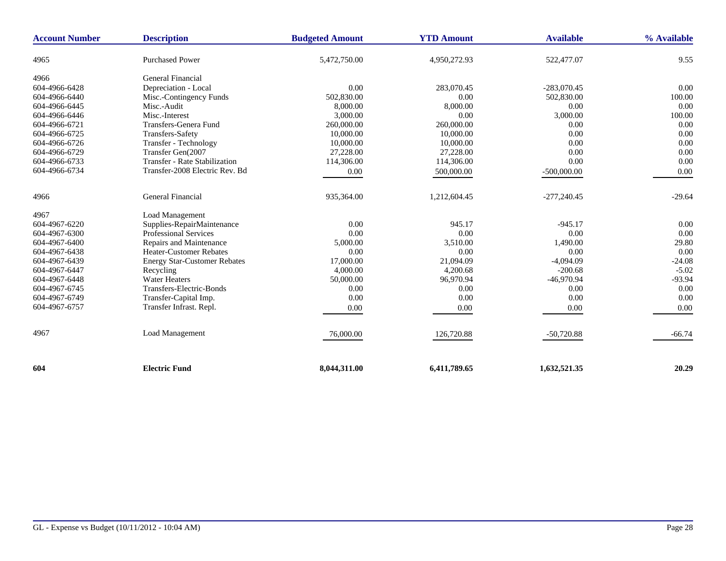| <b>Account Number</b> | <b>Description</b>                   | <b>Budgeted Amount</b> | <b>YTD Amount</b> | <b>Available</b> | % Available |
|-----------------------|--------------------------------------|------------------------|-------------------|------------------|-------------|
| 4965                  | <b>Purchased Power</b>               | 5,472,750.00           | 4,950,272.93      | 522,477.07       | 9.55        |
| 4966                  | General Financial                    |                        |                   |                  |             |
| 604-4966-6428         | Depreciation - Local                 | 0.00                   | 283,070.45        | $-283,070.45$    | 0.00        |
| 604-4966-6440         | Misc.-Contingency Funds              | 502,830.00             | 0.00              | 502,830.00       | 100.00      |
| 604-4966-6445         | Misc.-Audit                          | 8,000.00               | 8,000.00          | 0.00             | 0.00        |
| 604-4966-6446         | Misc.-Interest                       | 3,000.00               | 0.00              | 3,000.00         | 100.00      |
| 604-4966-6721         | Transfers-Genera Fund                | 260,000.00             | 260,000.00        | 0.00             | 0.00        |
| 604-4966-6725         | Transfers-Safety                     | 10,000.00              | 10,000.00         | 0.00             | 0.00        |
| 604-4966-6726         | Transfer - Technology                | 10,000.00              | 10,000.00         | 0.00             | 0.00        |
| 604-4966-6729         | Transfer Gen(2007                    | 27,228.00              | 27,228.00         | 0.00             | 0.00        |
| 604-4966-6733         | <b>Transfer - Rate Stabilization</b> | 114,306.00             | 114,306.00        | 0.00             | 0.00        |
| 604-4966-6734         | Transfer-2008 Electric Rev. Bd       | 0.00                   | 500,000.00        | $-500,000.00$    | 0.00        |
| 4966                  | <b>General Financial</b>             | 935,364.00             | 1,212,604.45      | $-277,240.45$    | $-29.64$    |
| 4967                  | Load Management                      |                        |                   |                  |             |
| 604-4967-6220         | Supplies-RepairMaintenance           | 0.00                   | 945.17            | $-945.17$        | 0.00        |
| 604-4967-6300         | <b>Professional Services</b>         | 0.00                   | 0.00              | 0.00             | 0.00        |
| 604-4967-6400         | Repairs and Maintenance              | 5,000.00               | 3,510.00          | 1,490.00         | 29.80       |
| 604-4967-6438         | Heater-Customer Rebates              | 0.00                   | 0.00              | 0.00             | 0.00        |
| 604-4967-6439         | <b>Energy Star-Customer Rebates</b>  | 17,000.00              | 21,094.09         | $-4,094.09$      | $-24.08$    |
| 604-4967-6447         | Recycling                            | 4,000.00               | 4,200.68          | $-200.68$        | $-5.02$     |
| 604-4967-6448         | <b>Water Heaters</b>                 | 50,000.00              | 96,970.94         | $-46,970.94$     | $-93.94$    |
| 604-4967-6745         | Transfers-Electric-Bonds             | 0.00                   | 0.00              | 0.00             | 0.00        |
| 604-4967-6749         | Transfer-Capital Imp.                | 0.00                   | 0.00              | 0.00             | 0.00        |
| 604-4967-6757         | Transfer Infrast. Repl.              | 0.00                   | 0.00              | 0.00             | 0.00        |
| 4967                  | Load Management                      | 76,000.00              | 126,720.88        | $-50,720.88$     | $-66.74$    |
| 604                   | <b>Electric Fund</b>                 | 8,044,311.00           | 6,411,789.65      | 1,632,521.35     | 20.29       |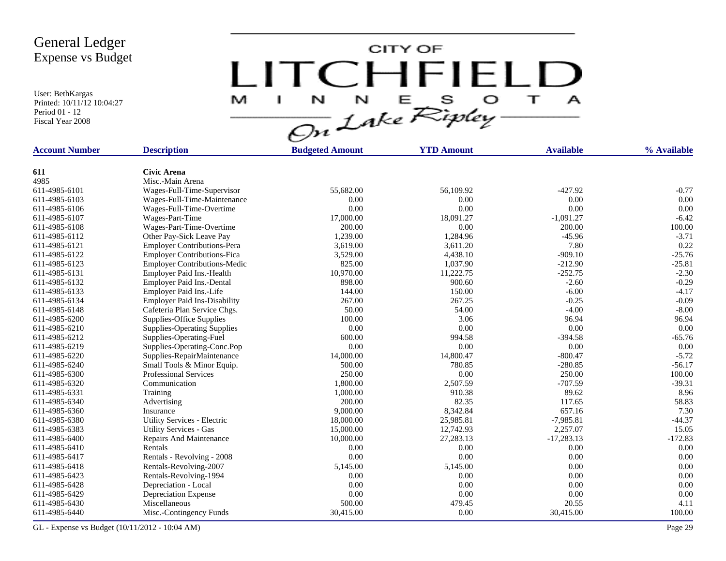User: BethKargas Printed: 10/11/12 10:04:27 Period 01 - 12 Fiscal Year 2008

LITCHFIELD

| <b>Account Number</b> | <b>Description</b>                  | <b>Budgeted Amount</b> | <b>YTD Amount</b> | <b>Available</b> | % Available |
|-----------------------|-------------------------------------|------------------------|-------------------|------------------|-------------|
|                       | <b>Civic Arena</b>                  |                        |                   |                  |             |
| 611<br>4985           | Misc.-Main Arena                    |                        |                   |                  |             |
| 611-4985-6101         | Wages-Full-Time-Supervisor          | 55,682.00              | 56,109.92         | $-427.92$        | $-0.77$     |
| 611-4985-6103         | Wages-Full-Time-Maintenance         | 0.00                   | 0.00              | 0.00             | 0.00        |
| 611-4985-6106         | Wages-Full-Time-Overtime            | 0.00                   | 0.00              | 0.00             | 0.00        |
| 611-4985-6107         | Wages-Part-Time                     | 17,000.00              | 18,091.27         | $-1,091.27$      | $-6.42$     |
| 611-4985-6108         | Wages-Part-Time-Overtime            | 200.00                 | 0.00              | 200.00           | 100.00      |
| 611-4985-6112         |                                     | 1,239.00               |                   | $-45.96$         | $-3.71$     |
|                       | Other Pay-Sick Leave Pay            |                        | 1,284.96          |                  | 0.22        |
| 611-4985-6121         | <b>Employer Contributions-Pera</b>  | 3,619.00               | 3,611.20          | 7.80             |             |
| 611-4985-6122         | <b>Employer Contributions-Fica</b>  | 3,529.00               | 4,438.10          | $-909.10$        | $-25.76$    |
| 611-4985-6123         | <b>Employer Contributions-Medic</b> | 825.00                 | 1.037.90          | $-212.90$        | $-25.81$    |
| 611-4985-6131         | Employer Paid Ins.-Health           | 10,970.00              | 11,222.75         | $-252.75$        | $-2.30$     |
| 611-4985-6132         | Employer Paid Ins.-Dental           | 898.00                 | 900.60            | $-2.60$          | $-0.29$     |
| 611-4985-6133         | Employer Paid Ins.-Life             | 144.00                 | 150.00            | $-6.00$          | $-4.17$     |
| 611-4985-6134         | <b>Employer Paid Ins-Disability</b> | 267.00                 | 267.25            | $-0.25$          | $-0.09$     |
| 611-4985-6148         | Cafeteria Plan Service Chgs.        | 50.00                  | 54.00             | $-4.00$          | $-8.00$     |
| 611-4985-6200         | Supplies-Office Supplies            | 100.00                 | 3.06              | 96.94            | 96.94       |
| 611-4985-6210         | <b>Supplies-Operating Supplies</b>  | 0.00                   | 0.00              | 0.00             | 0.00        |
| 611-4985-6212         | Supplies-Operating-Fuel             | 600.00                 | 994.58            | $-394.58$        | $-65.76$    |
| 611-4985-6219         | Supplies-Operating-Conc.Pop         | 0.00                   | 0.00              | 0.00             | 0.00        |
| 611-4985-6220         | Supplies-RepairMaintenance          | 14,000.00              | 14,800.47         | $-800.47$        | $-5.72$     |
| 611-4985-6240         | Small Tools & Minor Equip.          | 500.00                 | 780.85            | $-280.85$        | $-56.17$    |
| 611-4985-6300         | Professional Services               | 250.00                 | 0.00              | 250.00           | 100.00      |
| 611-4985-6320         | Communication                       | 1,800.00               | 2,507.59          | $-707.59$        | $-39.31$    |
| 611-4985-6331         | Training                            | 1,000.00               | 910.38            | 89.62            | 8.96        |
| 611-4985-6340         | Advertising                         | 200.00                 | 82.35             | 117.65           | 58.83       |
| 611-4985-6360         | Insurance                           | 9,000.00               | 8,342.84          | 657.16           | 7.30        |
| 611-4985-6380         | Utility Services - Electric         | 18,000.00              | 25,985.81         | $-7,985.81$      | $-44.37$    |
| 611-4985-6383         | <b>Utility Services - Gas</b>       | 15,000.00              | 12,742.93         | 2,257.07         | 15.05       |
| 611-4985-6400         | Repairs And Maintenance             | 10,000.00              | 27,283.13         | $-17,283.13$     | $-172.83$   |
| 611-4985-6410         | Rentals                             | 0.00                   | 0.00              | 0.00             | 0.00        |
| 611-4985-6417         | Rentals - Revolving - 2008          | 0.00                   | 0.00              | 0.00             | 0.00        |
| 611-4985-6418         | Rentals-Revolving-2007              | 5,145.00               | 5,145.00          | 0.00             | 0.00        |
| 611-4985-6423         | Rentals-Revolving-1994              | 0.00                   | 0.00              | 0.00             | 0.00        |
| 611-4985-6428         | Depreciation - Local                | 0.00                   | 0.00              | 0.00             | 0.00        |
| 611-4985-6429         | Depreciation Expense                | 0.00                   | 0.00              | 0.00             | 0.00        |
| 611-4985-6430         | Miscellaneous                       | 500.00                 | 479.45            | 20.55            | 4.11        |
| 611-4985-6440         | Misc.-Contingency Funds             | 30,415.00              | 0.00              | 30,415.00        | 100.00      |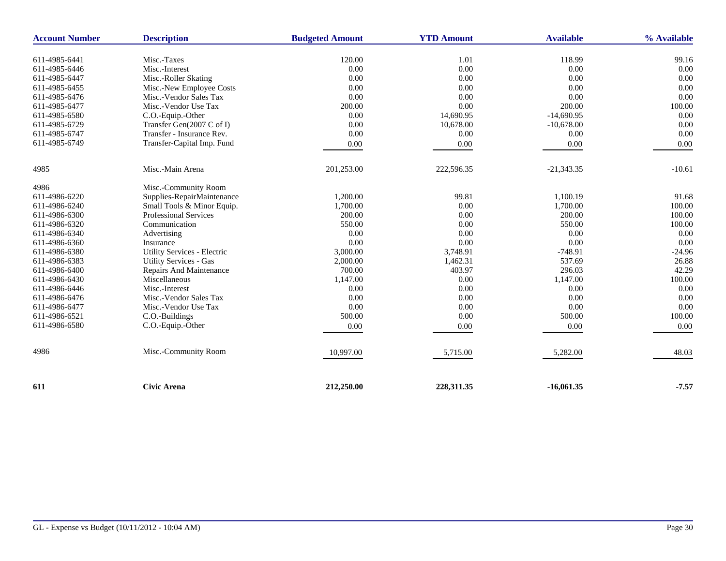| <b>Account Number</b> | <b>Description</b>            | <b>Budgeted Amount</b> | <b>YTD Amount</b> | <b>Available</b> | % Available |
|-----------------------|-------------------------------|------------------------|-------------------|------------------|-------------|
| 611-4985-6441         | Misc.-Taxes                   | 120.00                 | 1.01              | 118.99           | 99.16       |
| 611-4985-6446         | Misc.-Interest                | 0.00                   | 0.00              | 0.00             | 0.00        |
| 611-4985-6447         | Misc.-Roller Skating          | 0.00                   | 0.00              | 0.00             | 0.00        |
| 611-4985-6455         | Misc.-New Employee Costs      | 0.00                   | 0.00              | 0.00             | 0.00        |
| 611-4985-6476         | Misc.-Vendor Sales Tax        | 0.00                   | 0.00              | 0.00             | 0.00        |
| 611-4985-6477         | Misc.-Vendor Use Tax          | 200.00                 | 0.00              | 200.00           | 100.00      |
| 611-4985-6580         | C.O.-Equip.-Other             | 0.00                   | 14,690.95         | $-14,690.95$     | 0.00        |
| 611-4985-6729         | Transfer Gen(2007 C of I)     | 0.00                   | 10,678.00         | $-10,678.00$     | 0.00        |
| 611-4985-6747         | Transfer - Insurance Rev.     | 0.00                   | 0.00              | 0.00             | 0.00        |
| 611-4985-6749         | Transfer-Capital Imp. Fund    | $0.00\,$               | 0.00              | $0.00\,$         | 0.00        |
| 4985                  | Misc.-Main Arena              | 201,253.00             | 222,596.35        | $-21,343.35$     | $-10.61$    |
| 4986                  | Misc.-Community Room          |                        |                   |                  |             |
| 611-4986-6220         | Supplies-RepairMaintenance    | 1,200.00               | 99.81             | 1.100.19         | 91.68       |
| 611-4986-6240         | Small Tools & Minor Equip.    | 1,700.00               | 0.00              | 1,700.00         | 100.00      |
| 611-4986-6300         | <b>Professional Services</b>  | 200.00                 | 0.00              | 200.00           | 100.00      |
| 611-4986-6320         | Communication                 | 550.00                 | 0.00              | 550.00           | 100.00      |
| 611-4986-6340         | Advertising                   | 0.00                   | 0.00              | 0.00             | 0.00        |
| 611-4986-6360         | Insurance                     | 0.00                   | 0.00              | 0.00             | 0.00        |
| 611-4986-6380         | Utility Services - Electric   | 3,000.00               | 3,748.91          | $-748.91$        | $-24.96$    |
| 611-4986-6383         | <b>Utility Services - Gas</b> | 2,000.00               | 1,462.31          | 537.69           | 26.88       |
| 611-4986-6400         | Repairs And Maintenance       | 700.00                 | 403.97            | 296.03           | 42.29       |
| 611-4986-6430         | Miscellaneous                 | 1,147.00               | 0.00              | 1,147.00         | 100.00      |
| 611-4986-6446         | Misc.-Interest                | 0.00                   | 0.00              | 0.00             | 0.00        |
| 611-4986-6476         | Misc.-Vendor Sales Tax        | 0.00                   | 0.00              | 0.00             | 0.00        |
| 611-4986-6477         | Misc.-Vendor Use Tax          | 0.00                   | 0.00              | 0.00             | 0.00        |
| 611-4986-6521         | C.O.-Buildings                | 500.00                 | 0.00              | 500.00           | 100.00      |
| 611-4986-6580         | C.O.-Equip.-Other             | 0.00                   | 0.00              | 0.00             | 0.00        |
| 4986                  | Misc.-Community Room          | 10,997.00              | 5,715.00          | 5,282.00         | 48.03       |
| 611                   | <b>Civic Arena</b>            | 212,250.00             | 228,311.35        | $-16,061.35$     | $-7.57$     |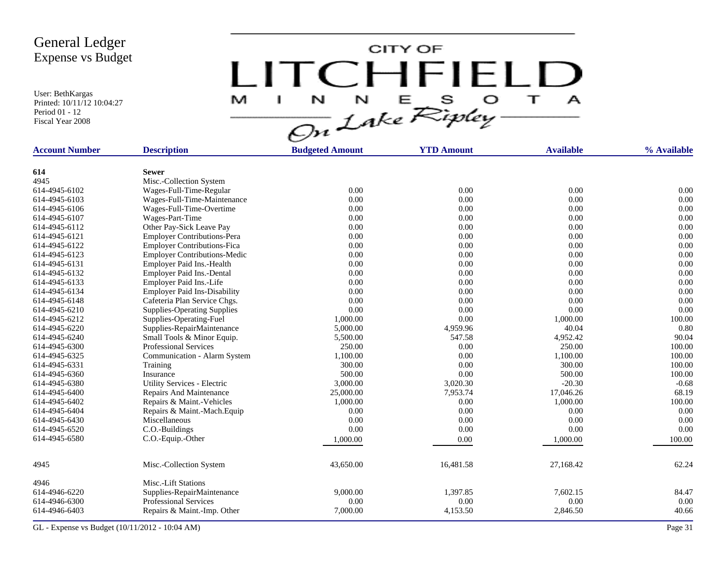User: BethKargas Printed: 10/11/12 10:04:27 Period 01 - 12 Fiscal Year 2008

LITCHFIELD

| <b>Account Number</b> | <b>Description</b>                      | <b>Budgeted Amount</b> | <b>YTD Amount</b> | <b>Available</b> | % Available |
|-----------------------|-----------------------------------------|------------------------|-------------------|------------------|-------------|
|                       |                                         |                        |                   |                  |             |
| 614<br>4945           | <b>Sewer</b><br>Misc.-Collection System |                        |                   |                  |             |
| 614-4945-6102         | Wages-Full-Time-Regular                 | 0.00                   | 0.00              | 0.00             | 0.00        |
| 614-4945-6103         | Wages-Full-Time-Maintenance             | 0.00                   | 0.00              | 0.00             | 0.00        |
| 614-4945-6106         | Wages-Full-Time-Overtime                | 0.00                   | 0.00              | 0.00             | 0.00        |
| 614-4945-6107         | Wages-Part-Time                         | 0.00                   | 0.00              | 0.00             | 0.00        |
| 614-4945-6112         | Other Pay-Sick Leave Pay                | 0.00                   | 0.00              | 0.00             | 0.00        |
| 614-4945-6121         | <b>Employer Contributions-Pera</b>      | 0.00                   | 0.00              | 0.00             | 0.00        |
| 614-4945-6122         | <b>Employer Contributions-Fica</b>      | 0.00                   | 0.00              | 0.00             | 0.00        |
| 614-4945-6123         | <b>Employer Contributions-Medic</b>     | 0.00                   | 0.00              | 0.00             | 0.00        |
| 614-4945-6131         | Employer Paid Ins.-Health               | 0.00                   | 0.00              | 0.00             | 0.00        |
| 614-4945-6132         | <b>Employer Paid Ins.-Dental</b>        | 0.00                   | 0.00              | 0.00             | 0.00        |
| 614-4945-6133         | Employer Paid Ins.-Life                 | 0.00                   | 0.00              | 0.00             | 0.00        |
| 614-4945-6134         | <b>Employer Paid Ins-Disability</b>     | 0.00                   | 0.00              | 0.00             | 0.00        |
| 614-4945-6148         | Cafeteria Plan Service Chgs.            | 0.00                   | 0.00              | 0.00             | 0.00        |
| 614-4945-6210         | <b>Supplies-Operating Supplies</b>      | 0.00                   | 0.00              | 0.00             | 0.00        |
| 614-4945-6212         | Supplies-Operating-Fuel                 | 1,000.00               | 0.00              | 1,000.00         | 100.00      |
| 614-4945-6220         | Supplies-RepairMaintenance              | 5,000.00               | 4,959.96          | 40.04            | 0.80        |
| 614-4945-6240         | Small Tools & Minor Equip.              | 5,500.00               | 547.58            | 4,952.42         | 90.04       |
| 614-4945-6300         | <b>Professional Services</b>            | 250.00                 | 0.00              | 250.00           | 100.00      |
| 614-4945-6325         | Communication - Alarm System            | 1,100.00               | 0.00              | 1,100.00         | 100.00      |
| 614-4945-6331         | Training                                | 300.00                 | 0.00              | 300.00           | 100.00      |
| 614-4945-6360         | Insurance                               | 500.00                 | 0.00              | 500.00           | 100.00      |
| 614-4945-6380         | Utility Services - Electric             | 3,000.00               | 3,020.30          | $-20.30$         | $-0.68$     |
| 614-4945-6400         | Repairs And Maintenance                 | 25,000.00              | 7,953.74          | 17,046.26        | 68.19       |
| 614-4945-6402         | Repairs & Maint.-Vehicles               | 1,000.00               | 0.00              | 1,000.00         | 100.00      |
| 614-4945-6404         | Repairs & Maint.-Mach.Equip             | 0.00                   | 0.00              | 0.00             | 0.00        |
| 614-4945-6430         | Miscellaneous                           | 0.00                   | 0.00              | 0.00             | 0.00        |
| 614-4945-6520         | C.O.-Buildings                          | 0.00                   | 0.00              | 0.00             | 0.00        |
| 614-4945-6580         | C.O.-Equip.-Other                       | 1,000.00               | 0.00              | 1,000.00         | 100.00      |
|                       |                                         |                        |                   |                  |             |
| 4945                  | Misc.-Collection System                 | 43,650.00              | 16,481.58         | 27,168.42        | 62.24       |
| 4946                  | Misc.-Lift Stations                     |                        |                   |                  |             |
| 614-4946-6220         | Supplies-RepairMaintenance              | 9,000.00               | 1,397.85          | 7,602.15         | 84.47       |
| 614-4946-6300         | <b>Professional Services</b>            | 0.00                   | 0.00              | 0.00             | 0.00        |
| 614-4946-6403         | Repairs & Maint.-Imp. Other             | 7,000.00               | 4,153.50          | 2,846.50         | 40.66       |
|                       |                                         |                        |                   |                  |             |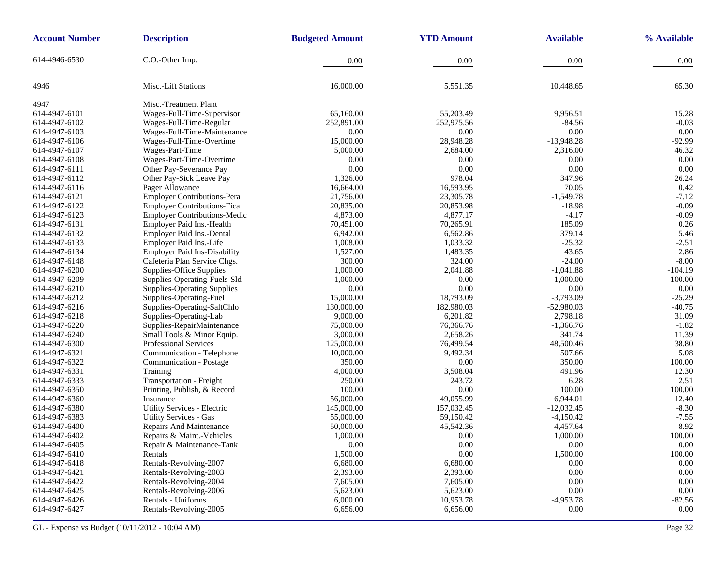| <b>Account Number</b> | <b>Description</b>                  | <b>Budgeted Amount</b> | <b>YTD Amount</b> | <b>Available</b> | % Available |
|-----------------------|-------------------------------------|------------------------|-------------------|------------------|-------------|
| 614-4946-6530         | C.O.-Other Imp.                     | 0.00                   | 0.00              | 0.00             | 0.00        |
| 4946                  | Misc.-Lift Stations                 | 16,000.00              | 5,551.35          | 10,448.65        | 65.30       |
| 4947                  | Misc.-Treatment Plant               |                        |                   |                  |             |
| 614-4947-6101         | Wages-Full-Time-Supervisor          | 65,160.00              | 55,203.49         | 9,956.51         | 15.28       |
| 614-4947-6102         | Wages-Full-Time-Regular             | 252,891.00             | 252,975.56        | $-84.56$         | $-0.03$     |
| 614-4947-6103         | Wages-Full-Time-Maintenance         | 0.00                   | 0.00              | 0.00             | 0.00        |
| 614-4947-6106         | Wages-Full-Time-Overtime            | 15,000.00              | 28,948.28         | $-13,948.28$     | $-92.99$    |
| 614-4947-6107         | Wages-Part-Time                     | 5,000.00               | 2,684.00          | 2,316.00         | 46.32       |
| 614-4947-6108         | Wages-Part-Time-Overtime            | 0.00                   | 0.00              | 0.00             | 0.00        |
| 614-4947-6111         | Other Pay-Severance Pay             | 0.00                   | 0.00              | 0.00             | 0.00        |
| 614-4947-6112         | Other Pay-Sick Leave Pay            | 1,326.00               | 978.04            | 347.96           | 26.24       |
| 614-4947-6116         | Pager Allowance                     | 16,664.00              | 16,593.95         | 70.05            | 0.42        |
| 614-4947-6121         | <b>Employer Contributions-Pera</b>  | 21,756.00              | 23,305.78         | $-1,549.78$      | $-7.12$     |
| 614-4947-6122         | <b>Employer Contributions-Fica</b>  | 20,835.00              | 20,853.98         | $-18.98$         | $-0.09$     |
| 614-4947-6123         | <b>Employer Contributions-Medic</b> | 4,873.00               | 4,877.17          | $-4.17$          | $-0.09$     |
| 614-4947-6131         | Employer Paid Ins.-Health           | 70,451.00              | 70,265.91         | 185.09           | 0.26        |
| 614-4947-6132         | Employer Paid Ins.-Dental           | 6,942.00               | 6,562.86          | 379.14           | 5.46        |
| 614-4947-6133         | Employer Paid Ins.-Life             | 1,008.00               | 1,033.32          | $-25.32$         | $-2.51$     |
| 614-4947-6134         | <b>Employer Paid Ins-Disability</b> | 1,527.00               | 1,483.35          | 43.65            | 2.86        |
| 614-4947-6148         | Cafeteria Plan Service Chgs.        | 300.00                 | 324.00            | $-24.00$         | $-8.00$     |
| 614-4947-6200         | Supplies-Office Supplies            | 1,000.00               | 2,041.88          | $-1,041.88$      | $-104.19$   |
| 614-4947-6209         | Supplies-Operating-Fuels-Sld        | 1,000.00               | $0.00\,$          | 1,000.00         | 100.00      |
| 614-4947-6210         | <b>Supplies-Operating Supplies</b>  | 0.00                   | 0.00              | 0.00             | 0.00        |
| 614-4947-6212         | Supplies-Operating-Fuel             | 15,000.00              | 18,793.09         | $-3,793.09$      | $-25.29$    |
| 614-4947-6216         | Supplies-Operating-SaltChlo         | 130,000.00             | 182,980.03        | $-52,980.03$     | $-40.75$    |
| 614-4947-6218         | Supplies-Operating-Lab              | 9,000.00               | 6,201.82          | 2,798.18         | 31.09       |
| 614-4947-6220         | Supplies-RepairMaintenance          | 75,000.00              | 76,366.76         | $-1,366.76$      | $-1.82$     |
| 614-4947-6240         | Small Tools & Minor Equip.          | 3,000.00               | 2,658.26          | 341.74           | 11.39       |
| 614-4947-6300         | Professional Services               | 125,000.00             | 76,499.54         | 48,500.46        | 38.80       |
| 614-4947-6321         | Communication - Telephone           | 10,000.00              | 9,492.34          | 507.66           | 5.08        |
| 614-4947-6322         | Communication - Postage             | 350.00                 | 0.00              | 350.00           | 100.00      |
| 614-4947-6331         | Training                            | 4,000.00               | 3,508.04          | 491.96           | 12.30       |
| 614-4947-6333         | Transportation - Freight            | 250.00                 | 243.72            | 6.28             | 2.51        |
| 614-4947-6350         | Printing, Publish, & Record         | 100.00                 | $0.00\,$          | 100.00           | 100.00      |
| 614-4947-6360         | Insurance                           | 56,000.00              | 49,055.99         | 6,944.01         | 12.40       |
| 614-4947-6380         | Utility Services - Electric         | 145,000.00             | 157,032.45        | $-12,032.45$     | $-8.30$     |
| 614-4947-6383         | <b>Utility Services - Gas</b>       | 55,000.00              | 59,150.42         | $-4,150.42$      | $-7.55$     |
| 614-4947-6400         | Repairs And Maintenance             | 50,000.00              | 45,542.36         | 4,457.64         | 8.92        |
| 614-4947-6402         | Repairs & Maint.-Vehicles           | 1,000.00               | 0.00              | 1,000.00         | 100.00      |
| 614-4947-6405         | Repair & Maintenance-Tank           | 0.00                   | $0.00^{\circ}$    | 0.00             | $0.00\,$    |
| 614-4947-6410         | Rentals                             | 1,500.00               | $0.00\,$          | 1,500.00         | 100.00      |
| 614-4947-6418         | Rentals-Revolving-2007              | 6,680.00               | 6,680.00          | 0.00             | $0.00\,$    |
| 614-4947-6421         | Rentals-Revolving-2003              | 2,393.00               | 2,393.00          | 0.00             | 0.00        |
| 614-4947-6422         | Rentals-Revolving-2004              | 7,605.00               | 7,605.00          | 0.00             | $0.00\,$    |
| 614-4947-6425         | Rentals-Revolving-2006              | 5,623.00               | 5,623.00          | 0.00             | $0.00\,$    |
| 614-4947-6426         | Rentals - Uniforms                  | 6,000.00               | 10,953.78         | $-4,953.78$      | $-82.56$    |
| 614-4947-6427         | Rentals-Revolving-2005              | 6,656.00               | 6,656.00          | 0.00             | $0.00\,$    |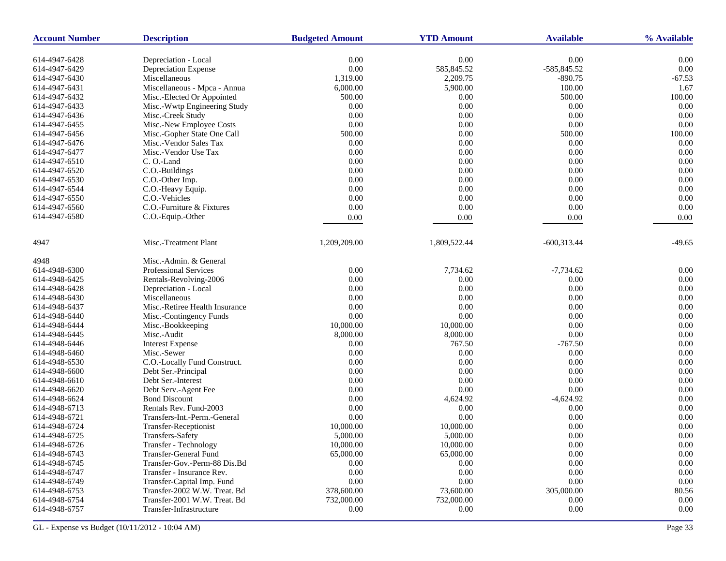| <b>Account Number</b> | <b>Description</b>             | <b>Budgeted Amount</b> | <b>YTD Amount</b> | <b>Available</b> | % Available |
|-----------------------|--------------------------------|------------------------|-------------------|------------------|-------------|
| 614-4947-6428         | Depreciation - Local           | 0.00                   | 0.00              | 0.00             | 0.00        |
| 614-4947-6429         | Depreciation Expense           | $0.00\,$               | 585,845.52        | -585,845.52      | 0.00        |
| 614-4947-6430         | Miscellaneous                  | 1,319.00               | 2,209.75          | $-890.75$        | $-67.53$    |
| 614-4947-6431         | Miscellaneous - Mpca - Annua   | 6,000.00               | 5,900.00          | 100.00           | 1.67        |
| 614-4947-6432         | Misc.-Elected Or Appointed     | 500.00                 | 0.00              | 500.00           | 100.00      |
| 614-4947-6433         | Misc.-Wwtp Engineering Study   | 0.00                   | 0.00              | 0.00             | 0.00        |
| 614-4947-6436         | Misc.-Creek Study              | 0.00                   | 0.00              | 0.00             | 0.00        |
| 614-4947-6455         | Misc.-New Employee Costs       | 0.00                   | $0.00\,$          | 0.00             | 0.00        |
| 614-4947-6456         | Misc.-Gopher State One Call    | 500.00                 | 0.00              | 500.00           | 100.00      |
| 614-4947-6476         | Misc.-Vendor Sales Tax         | 0.00                   | 0.00              | 0.00             | 0.00        |
| 614-4947-6477         | Misc.-Vendor Use Tax           | 0.00                   | $0.00\,$          | 0.00             | 0.00        |
| 614-4947-6510         | C.O.-Land                      | 0.00                   | 0.00              | 0.00             | 0.00        |
| 614-4947-6520         | C.O.-Buildings                 | 0.00                   | 0.00              | 0.00             | 0.00        |
| 614-4947-6530         | C.O.-Other Imp.                | 0.00                   | 0.00              | 0.00             | 0.00        |
| 614-4947-6544         | C.O.-Heavy Equip.              | 0.00                   | 0.00              | 0.00             | 0.00        |
| 614-4947-6550         | C.O.-Vehicles                  | 0.00                   | 0.00              | 0.00             | 0.00        |
| 614-4947-6560         | C.O.-Furniture & Fixtures      | 0.00                   | 0.00              | 0.00             | 0.00        |
| 614-4947-6580         | C.O.-Equip.-Other              | 0.00                   | 0.00              | 0.00             | 0.00        |
|                       |                                |                        |                   |                  |             |
| 4947                  | Misc.-Treatment Plant          | 1,209,209.00           | 1,809,522.44      | $-600,313.44$    | $-49.65$    |
| 4948                  | Misc.-Admin. & General         |                        |                   |                  |             |
| 614-4948-6300         | Professional Services          | 0.00                   | 7,734.62          | $-7,734.62$      | 0.00        |
| 614-4948-6425         | Rentals-Revolving-2006         | 0.00                   | 0.00              | 0.00             | 0.00        |
| 614-4948-6428         | Depreciation - Local           | 0.00                   | 0.00              | 0.00             | 0.00        |
| 614-4948-6430         | Miscellaneous                  | 0.00                   | 0.00              | 0.00             | 0.00        |
| 614-4948-6437         | Misc.-Retiree Health Insurance | 0.00                   | 0.00              | 0.00             | 0.00        |
| 614-4948-6440         | Misc.-Contingency Funds        | 0.00                   | 0.00              | 0.00             | 0.00        |
| 614-4948-6444         | Misc.-Bookkeeping              | 10,000.00              | 10,000.00         | 0.00             | 0.00        |
| 614-4948-6445         | Misc.-Audit                    | 8,000.00               | 8,000.00          | 0.00             | 0.00        |
| 614-4948-6446         | <b>Interest Expense</b>        | 0.00                   | 767.50            | $-767.50$        | 0.00        |
| 614-4948-6460         | Misc.-Sewer                    | 0.00                   | 0.00              | 0.00             | 0.00        |
| 614-4948-6530         | C.O.-Locally Fund Construct.   | 0.00                   | 0.00              | 0.00             | 0.00        |
| 614-4948-6600         | Debt Ser.-Principal            | 0.00                   | 0.00              | 0.00             | 0.00        |
| 614-4948-6610         | Debt Ser.-Interest             | 0.00                   | 0.00              | 0.00             | 0.00        |
| 614-4948-6620         | Debt Serv.-Agent Fee           | 0.00                   | $0.00\,$          | 0.00             | 0.00        |
| 614-4948-6624         | <b>Bond Discount</b>           | 0.00                   | 4,624.92          | $-4,624.92$      | 0.00        |
| 614-4948-6713         | Rentals Rev. Fund-2003         | 0.00                   | 0.00              | 0.00             | 0.00        |
| 614-4948-6721         | Transfers-Int.-Perm.-General   | 0.00                   | 0.00              | 0.00             | 0.00        |
| 614-4948-6724         | Transfer-Receptionist          | 10,000.00              | 10,000.00         | 0.00             | 0.00        |
| 614-4948-6725         | <b>Transfers-Safety</b>        | 5,000.00               | 5,000.00          | 0.00             | 0.00        |
| 614-4948-6726         | Transfer - Technology          | 10,000.00              | 10,000.00         | 0.00             | $0.00\,$    |
| 614-4948-6743         | Transfer-General Fund          | 65,000.00              | 65,000.00         | $0.00\,$         | $0.00\,$    |
| 614-4948-6745         | Transfer-Gov.-Perm-88 Dis.Bd   | 0.00                   | 0.00              | 0.00             | $0.00\,$    |
| 614-4948-6747         | Transfer - Insurance Rev.      | 0.00                   | 0.00              | 0.00             | 0.00        |
| 614-4948-6749         | Transfer-Capital Imp. Fund     | $0.00\,$               | 0.00              | $0.00\,$         | $0.00\,$    |
| 614-4948-6753         | Transfer-2002 W.W. Treat. Bd   | 378,600.00             | 73,600.00         | 305,000.00       | 80.56       |
| 614-4948-6754         | Transfer-2001 W.W. Treat. Bd   | 732,000.00             | 732,000.00        | 0.00             | $0.00\,$    |
| 614-4948-6757         | Transfer-Infrastructure        | 0.00                   | 0.00              | 0.00             | $0.00\,$    |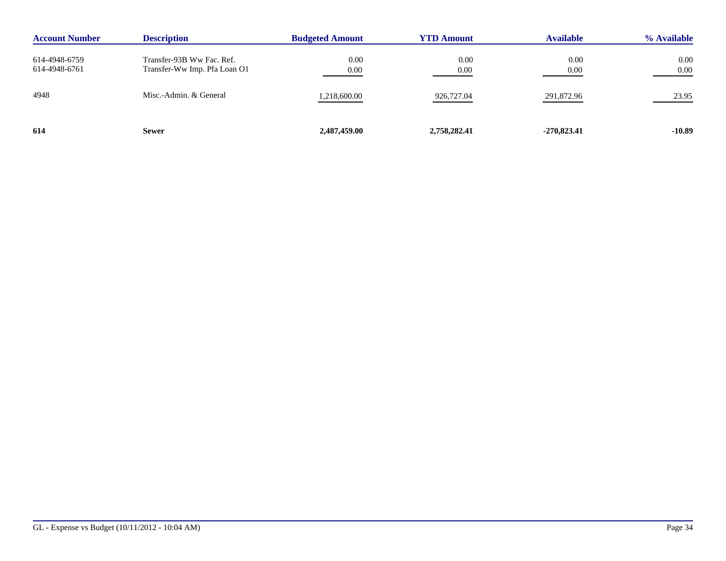| <b>Account Number</b>          | <b>Description</b>                                        | <b>Budgeted Amount</b> | <b>YTD Amount</b> | <b>Available</b> | % Available      |
|--------------------------------|-----------------------------------------------------------|------------------------|-------------------|------------------|------------------|
| 614-4948-6759<br>614-4948-6761 | Transfer-93B Ww Fac. Ref.<br>Transfer-Ww Imp. Pfa Loan O1 | 0.00<br>0.00           | 0.00<br>0.00      | 0.00<br>0.00     | 0.00<br>$0.00\,$ |
| 4948                           | Misc.-Admin. & General                                    | 1,218,600.00           | 926,727.04        | 291,872.96       | 23.95            |
| 614                            | <b>Sewer</b>                                              | 2,487,459.00           | 2,758,282.41      | $-270,823.41$    | $-10.89$         |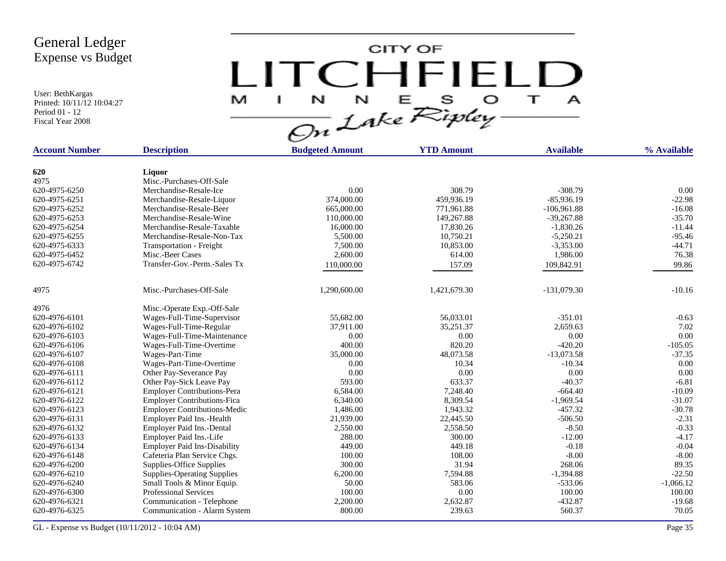User: BethKargas Printed: 10/11/12 10:04:27 Period 01 - 12 Fiscal Year 2008



| <b>Account Number</b> | <b>Description</b>                  | <b>Budgeted Amount</b> | <b>YTD Amount</b> | <b>Available</b> | % Available |
|-----------------------|-------------------------------------|------------------------|-------------------|------------------|-------------|
|                       |                                     |                        |                   |                  |             |
| 620                   | Liquor                              |                        |                   |                  |             |
| 4975                  | Misc.-Purchases-Off-Sale            |                        |                   |                  |             |
| 620-4975-6250         | Merchandise-Resale-Ice              | 0.00                   | 308.79            | $-308.79$        | 0.00        |
| 620-4975-6251         | Merchandise-Resale-Liquor           | 374,000.00             | 459,936.19        | $-85,936.19$     | $-22.98$    |
| 620-4975-6252         | Merchandise-Resale-Beer             | 665,000.00             | 771,961.88        | $-106,961.88$    | $-16.08$    |
| 620-4975-6253         | Merchandise-Resale-Wine             | 110,000.00             | 149,267.88        | $-39,267.88$     | $-35.70$    |
| 620-4975-6254         | Merchandise-Resale-Taxable          | 16,000.00              | 17,830.26         | $-1,830.26$      | $-11.44$    |
| 620-4975-6255         | Merchandise-Resale-Non-Tax          | 5,500.00               | 10,750.21         | $-5,250.21$      | $-95.46$    |
| 620-4975-6333         | Transportation - Freight            | 7,500.00               | 10,853.00         | $-3,353.00$      | $-44.71$    |
| 620-4975-6452         | Misc.-Beer Cases                    | 2,600.00               | 614.00            | 1,986.00         | 76.38       |
| 620-4975-6742         | Transfer-Gov.-Perm.-Sales Tx        | 110,000.00             | 157.09            | 109,842.91       | 99.86       |
| 4975                  | Misc.-Purchases-Off-Sale            | 1,290,600.00           |                   | $-131,079.30$    | $-10.16$    |
|                       |                                     |                        | 1,421,679.30      |                  |             |
| 4976                  | Misc.-Operate Exp.-Off-Sale         |                        |                   |                  |             |
| 620-4976-6101         | Wages-Full-Time-Supervisor          | 55,682.00              | 56,033.01         | $-351.01$        | $-0.63$     |
| 620-4976-6102         | Wages-Full-Time-Regular             | 37,911.00              | 35,251.37         | 2,659.63         | 7.02        |
| 620-4976-6103         | Wages-Full-Time-Maintenance         | 0.00                   | 0.00              | 0.00             | 0.00        |
| 620-4976-6106         | Wages-Full-Time-Overtime            | 400.00                 | 820.20            | $-420.20$        | $-105.05$   |
| 620-4976-6107         | Wages-Part-Time                     | 35,000.00              | 48,073.58         | $-13,073.58$     | $-37.35$    |
| 620-4976-6108         | Wages-Part-Time-Overtime            | 0.00                   | 10.34             | $-10.34$         | 0.00        |
| 620-4976-6111         | Other Pay-Severance Pay             | 0.00                   | 0.00              | 0.00             | 0.00        |
| 620-4976-6112         | Other Pay-Sick Leave Pay            | 593.00                 | 633.37            | $-40.37$         | $-6.81$     |
| 620-4976-6121         | <b>Employer Contributions-Pera</b>  | 6,584.00               | 7,248.40          | $-664.40$        | $-10.09$    |
| 620-4976-6122         | <b>Employer Contributions-Fica</b>  | 6,340.00               | 8,309.54          | $-1,969.54$      | $-31.07$    |
| 620-4976-6123         | <b>Employer Contributions-Medic</b> | 1,486.00               | 1,943.32          | $-457.32$        | $-30.78$    |
| 620-4976-6131         | Employer Paid Ins.-Health           | 21,939.00              | 22,445.50         | $-506.50$        | $-2.31$     |
| 620-4976-6132         | Employer Paid Ins.-Dental           | 2,550.00               | 2,558.50          | $-8.50$          | $-0.33$     |
| 620-4976-6133         | Employer Paid Ins.-Life             | 288.00                 | 300.00            | $-12.00$         | $-4.17$     |
| 620-4976-6134         | <b>Employer Paid Ins-Disability</b> | 449.00                 | 449.18            | $-0.18$          | $-0.04$     |
| 620-4976-6148         | Cafeteria Plan Service Chgs.        | 100.00                 | 108.00            | $-8.00$          | $-8.00$     |
| 620-4976-6200         | Supplies-Office Supplies            | 300.00                 | 31.94             | 268.06           | 89.35       |
| 620-4976-6210         | <b>Supplies-Operating Supplies</b>  | 6,200.00               | 7,594.88          | $-1,394.88$      | $-22.50$    |
| 620-4976-6240         | Small Tools & Minor Equip.          | 50.00                  | 583.06            | $-533.06$        | $-1,066.12$ |
| 620-4976-6300         | <b>Professional Services</b>        | 100.00                 | 0.00              | 100.00           | 100.00      |
| 620-4976-6321         | Communication - Telephone           | 2,200.00               | 2,632.87          | $-432.87$        | $-19.68$    |
| 620-4976-6325         | Communication - Alarm System        | 800.00                 | 239.63            | 560.37           | 70.05       |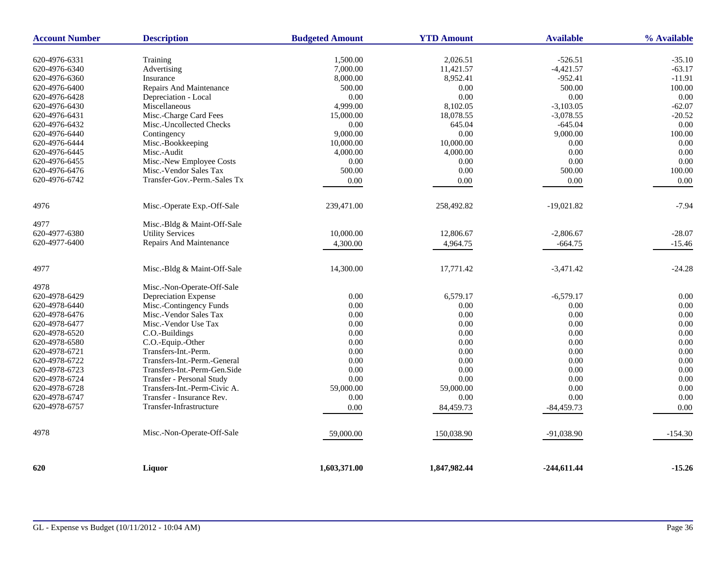| <b>Account Number</b>          | <b>Description</b>                      | <b>Budgeted Amount</b> | <b>YTD Amount</b> | <b>Available</b> | % Available |
|--------------------------------|-----------------------------------------|------------------------|-------------------|------------------|-------------|
|                                |                                         |                        | 2,026.51          | $-526.51$        | $-35.10$    |
| 620-4976-6331<br>620-4976-6340 | Training                                | 1,500.00<br>7,000.00   | 11,421.57         | $-4,421.57$      | $-63.17$    |
| 620-4976-6360                  | Advertising<br>Insurance                | 8,000.00               | 8,952.41          | $-952.41$        | $-11.91$    |
| 620-4976-6400                  | Repairs And Maintenance                 | 500.00                 | 0.00              | 500.00           | 100.00      |
| 620-4976-6428                  | Depreciation - Local                    | 0.00                   | 0.00              | 0.00             | 0.00        |
| 620-4976-6430                  | Miscellaneous                           | 4,999.00               | 8,102.05          | $-3,103.05$      | $-62.07$    |
| 620-4976-6431                  | Misc.-Charge Card Fees                  | 15,000.00              | 18,078.55         | $-3,078.55$      | $-20.52$    |
| 620-4976-6432                  | Misc.-Uncollected Checks                | 0.00                   | 645.04            | $-645.04$        | 0.00        |
| 620-4976-6440                  | Contingency                             | 9,000.00               | 0.00              | 9,000.00         | 100.00      |
| 620-4976-6444                  | Misc.-Bookkeeping                       | 10,000.00              | 10,000.00         | 0.00             | 0.00        |
| 620-4976-6445                  |                                         |                        | 4,000.00          | 0.00             | 0.00        |
|                                | Misc.-Audit<br>Misc.-New Employee Costs | 4,000.00<br>0.00       | 0.00              | 0.00             | 0.00        |
| 620-4976-6455<br>620-4976-6476 | Misc.-Vendor Sales Tax                  | 500.00                 | 0.00              | 500.00           | 100.00      |
|                                |                                         |                        |                   |                  |             |
| 620-4976-6742                  | Transfer-Gov.-Perm.-Sales Tx            | 0.00                   | 0.00              | 0.00             | 0.00        |
| 4976                           | Misc.-Operate Exp.-Off-Sale             | 239,471.00             | 258,492.82        | $-19,021.82$     | $-7.94$     |
| 4977                           | Misc.-Bldg & Maint-Off-Sale             |                        |                   |                  |             |
| 620-4977-6380                  | <b>Utility Services</b>                 | 10,000.00              | 12,806.67         | $-2,806.67$      | $-28.07$    |
| 620-4977-6400                  | Repairs And Maintenance                 | 4,300.00               | 4,964.75          | $-664.75$        | $-15.46$    |
| 4977                           | Misc.-Bldg & Maint-Off-Sale             | 14,300.00              | 17,771.42         | $-3,471.42$      | $-24.28$    |
| 4978                           | Misc.-Non-Operate-Off-Sale              |                        |                   |                  |             |
| 620-4978-6429                  | Depreciation Expense                    | 0.00                   | 6,579.17          | $-6,579.17$      | 0.00        |
| 620-4978-6440                  | Misc.-Contingency Funds                 | 0.00                   | 0.00              | 0.00             | 0.00        |
| 620-4978-6476                  | Misc.-Vendor Sales Tax                  | 0.00                   | 0.00              | 0.00             | 0.00        |
| 620-4978-6477                  | Misc.-Vendor Use Tax                    | 0.00                   | $0.00\,$          | 0.00             | 0.00        |
| 620-4978-6520                  | C.O.-Buildings                          | 0.00                   | $0.00\,$          | 0.00             | 0.00        |
| 620-4978-6580                  | C.O.-Equip.-Other                       | 0.00                   | 0.00              | 0.00             | 0.00        |
| 620-4978-6721                  | Transfers-Int.-Perm.                    | 0.00                   | 0.00              | 0.00             | 0.00        |
| 620-4978-6722                  | Transfers-Int.-Perm.-General            | 0.00                   | 0.00              | 0.00             | 0.00        |
| 620-4978-6723                  | Transfers-Int.-Perm-Gen.Side            | 0.00                   | 0.00              | 0.00             | 0.00        |
| 620-4978-6724                  | Transfer - Personal Study               | 0.00                   | $0.00\,$          | 0.00             | 0.00        |
| 620-4978-6728                  | Transfers-Int.-Perm-Civic A.            | 59,000.00              | 59,000.00         | 0.00             | 0.00        |
| 620-4978-6747                  | Transfer - Insurance Rev.               | 0.00                   | 0.00              | 0.00             | 0.00        |
| 620-4978-6757                  | Transfer-Infrastructure                 | 0.00                   | 84,459.73         | $-84,459.73$     | 0.00        |
| 4978                           | Misc.-Non-Operate-Off-Sale              | 59,000.00              | 150,038.90        | $-91,038.90$     | $-154.30$   |
| 620                            | Liquor                                  | 1,603,371.00           | 1,847,982.44      | $-244,611.44$    | $-15.26$    |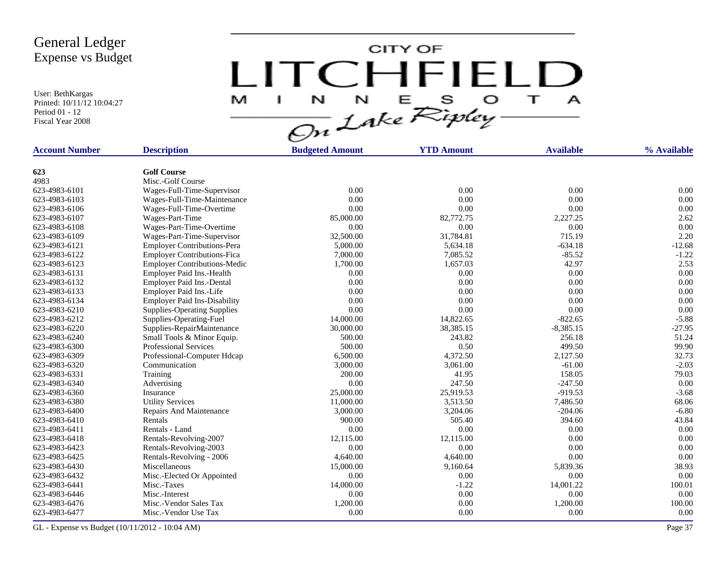User: BethKargas Printed: 10/11/12 10:04:27 Period 01 - 12 Fiscal Year 2008

LITCHFIELD

| <b>Account Number</b> | <b>Description</b>                  | <b>Budgeted Amount</b> | <b>YTD Amount</b> | <b>Available</b> | % Available |
|-----------------------|-------------------------------------|------------------------|-------------------|------------------|-------------|
|                       |                                     |                        |                   |                  |             |
| 623                   | <b>Golf Course</b>                  |                        |                   |                  |             |
| 4983                  | Misc.-Golf Course                   |                        |                   |                  |             |
| 623-4983-6101         | Wages-Full-Time-Supervisor          | 0.00                   | 0.00              | 0.00             | 0.00        |
| 623-4983-6103         | Wages-Full-Time-Maintenance         | 0.00                   | 0.00              | 0.00             | 0.00        |
| 623-4983-6106         | Wages-Full-Time-Overtime            | 0.00                   | 0.00              | 0.00             | 0.00        |
| 623-4983-6107         | Wages-Part-Time                     | 85,000.00              | 82,772.75         | 2,227.25         | 2.62        |
| 623-4983-6108         | Wages-Part-Time-Overtime            | 0.00                   | 0.00              | 0.00             | 0.00        |
| 623-4983-6109         | Wages-Part-Time-Supervisor          | 32,500.00              | 31,784.81         | 715.19           | 2.20        |
| 623-4983-6121         | <b>Employer Contributions-Pera</b>  | 5,000.00               | 5,634.18          | $-634.18$        | $-12.68$    |
| 623-4983-6122         | <b>Employer Contributions-Fica</b>  | 7,000.00               | 7,085.52          | $-85.52$         | $-1.22$     |
| 623-4983-6123         | <b>Employer Contributions-Medic</b> | 1,700.00               | 1,657.03          | 42.97            | 2.53        |
| 623-4983-6131         | Employer Paid Ins.-Health           | 0.00                   | 0.00              | 0.00             | 0.00        |
| 623-4983-6132         | Employer Paid Ins.-Dental           | 0.00                   | 0.00              | 0.00             | 0.00        |
| 623-4983-6133         | Employer Paid Ins.-Life             | 0.00                   | 0.00              | 0.00             | 0.00        |
| 623-4983-6134         | <b>Employer Paid Ins-Disability</b> | 0.00                   | 0.00              | 0.00             | 0.00        |
| 623-4983-6210         | <b>Supplies-Operating Supplies</b>  | 0.00                   | 0.00              | 0.00             | 0.00        |
| 623-4983-6212         | Supplies-Operating-Fuel             | 14,000.00              | 14,822.65         | $-822.65$        | $-5.88$     |
| 623-4983-6220         | Supplies-RepairMaintenance          | 30,000.00              | 38,385.15         | $-8,385.15$      | $-27.95$    |
| 623-4983-6240         | Small Tools & Minor Equip.          | 500.00                 | 243.82            | 256.18           | 51.24       |
| 623-4983-6300         | <b>Professional Services</b>        | 500.00                 | 0.50              | 499.50           | 99.90       |
| 623-4983-6309         | Professional-Computer Hdcap         | 6,500.00               | 4,372.50          | 2,127.50         | 32.73       |
| 623-4983-6320         | Communication                       | 3,000.00               | 3,061.00          | $-61.00$         | $-2.03$     |
| 623-4983-6331         | Training                            | 200.00                 | 41.95             | 158.05           | 79.03       |
| 623-4983-6340         | Advertising                         | 0.00                   | 247.50            | $-247.50$        | 0.00        |
| 623-4983-6360         | Insurance                           | 25,000.00              | 25,919.53         | $-919.53$        | $-3.68$     |
| 623-4983-6380         | <b>Utility Services</b>             | 11,000.00              | 3,513.50          | 7,486.50         | 68.06       |
| 623-4983-6400         | Repairs And Maintenance             | 3,000.00               | 3,204.06          | $-204.06$        | $-6.80$     |
| 623-4983-6410         | Rentals                             | 900.00                 | 505.40            | 394.60           | 43.84       |
| 623-4983-6411         | Rentals - Land                      | 0.00                   | 0.00              | 0.00             | 0.00        |
| 623-4983-6418         | Rentals-Revolving-2007              | 12,115.00              | 12,115.00         | 0.00             | 0.00        |
| 623-4983-6423         |                                     | 0.00                   | 0.00              | 0.00             | 0.00        |
|                       | Rentals-Revolving-2003              |                        |                   |                  |             |
| 623-4983-6425         | Rentals-Revolving - 2006            | 4,640.00               | 4,640.00          | 0.00             | 0.00        |
| 623-4983-6430         | Miscellaneous                       | 15,000.00              | 9,160.64          | 5,839.36         | 38.93       |
| 623-4983-6432         | Misc.-Elected Or Appointed          | 0.00                   | 0.00              | 0.00             | 0.00        |
| 623-4983-6441         | Misc.-Taxes                         | 14,000.00              | $-1.22$           | 14,001.22        | 100.01      |
| 623-4983-6446         | Misc.-Interest                      | 0.00                   | 0.00              | $0.00\,$         | 0.00        |
| 623-4983-6476         | Misc.-Vendor Sales Tax              | 1,200.00               | 0.00              | 1,200.00         | 100.00      |
| 623-4983-6477         | Misc.-Vendor Use Tax                | 0.00                   | 0.00              | 0.00             | 0.00        |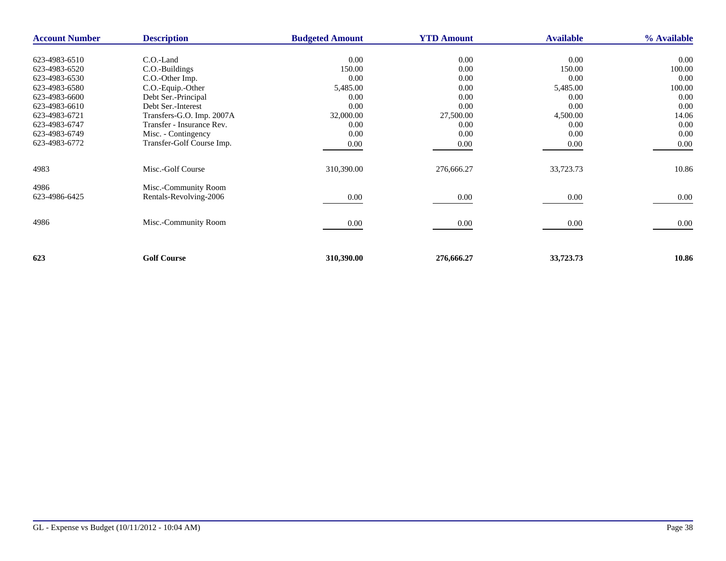| <b>Account Number</b> | <b>Description</b>        | <b>Budgeted Amount</b> | <b>YTD Amount</b> | <b>Available</b> | % Available |
|-----------------------|---------------------------|------------------------|-------------------|------------------|-------------|
|                       |                           |                        |                   |                  |             |
| 623-4983-6510         | C.O.-Land                 | 0.00                   | 0.00              | 0.00             | $0.00\,$    |
| 623-4983-6520         | C.O.-Buildings            | 150.00                 | 0.00              | 150.00           | 100.00      |
| 623-4983-6530         | C.O.-Other Imp.           | 0.00                   | 0.00              | 0.00             | 0.00        |
| 623-4983-6580         | C.O.-Equip.-Other         | 5,485.00               | 0.00              | 5,485.00         | 100.00      |
| 623-4983-6600         | Debt Ser.-Principal       | 0.00                   | 0.00              | 0.00             | 0.00        |
| 623-4983-6610         | Debt Ser.-Interest        | 0.00                   | 0.00              | 0.00             | 0.00        |
| 623-4983-6721         | Transfers-G.O. Imp. 2007A | 32,000.00              | 27,500.00         | 4,500.00         | 14.06       |
| 623-4983-6747         | Transfer - Insurance Rev. | 0.00                   | 0.00              | 0.00             | 0.00        |
| 623-4983-6749         | Misc. - Contingency       | 0.00                   | 0.00              | 0.00             | 0.00        |
| 623-4983-6772         | Transfer-Golf Course Imp. | 0.00                   | 0.00              | $0.00\,$         | 0.00        |
|                       |                           |                        |                   |                  |             |
| 4983                  | Misc.-Golf Course         | 310,390.00             | 276,666.27        | 33,723.73        | 10.86       |
| 4986                  | Misc.-Community Room      |                        |                   |                  |             |
| 623-4986-6425         | Rentals-Revolving-2006    | 0.00                   | 0.00              | 0.00             | 0.00        |
|                       |                           |                        |                   |                  |             |
| 4986                  | Misc.-Community Room      | 0.00                   | 0.00              | 0.00             | 0.00        |
|                       |                           |                        |                   |                  |             |
|                       |                           |                        |                   |                  |             |
| 623                   | <b>Golf Course</b>        | 310,390.00             | 276,666.27        | 33,723.73        | 10.86       |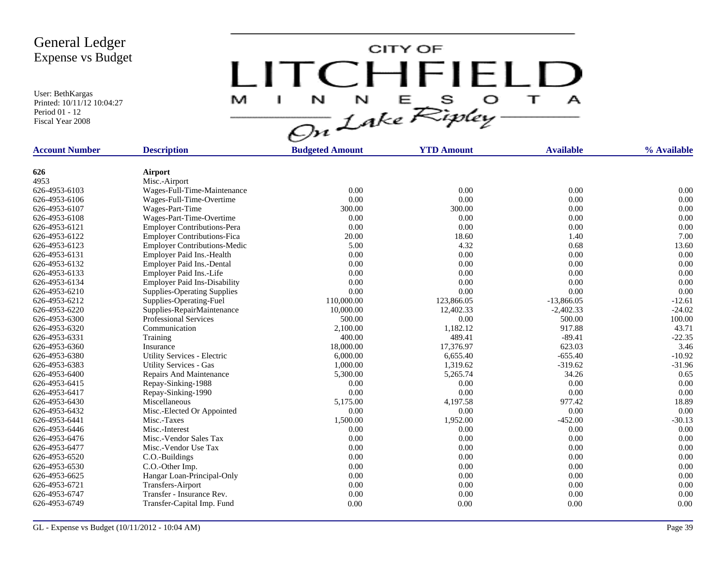User: BethKargas Printed: 10/11/12 10:04:27 Period 01 - 12 Fiscal Year 2008

LITCHFIELD

| <b>Account Number</b>          | <b>Description</b>                  | <b>Budgeted Amount</b> | <b>YTD Amount</b> | <b>Available</b> | % Available          |
|--------------------------------|-------------------------------------|------------------------|-------------------|------------------|----------------------|
| 626                            | Airport                             |                        |                   |                  |                      |
| 4953                           | Misc.-Airport                       |                        |                   |                  |                      |
| 626-4953-6103                  | Wages-Full-Time-Maintenance         | 0.00                   | 0.00              | 0.00             | 0.00                 |
| 626-4953-6106                  | Wages-Full-Time-Overtime            | 0.00                   | 0.00              | 0.00             | 0.00                 |
| 626-4953-6107                  | Wages-Part-Time                     | 300.00                 | 300.00            | 0.00             | 0.00                 |
| 626-4953-6108                  | Wages-Part-Time-Overtime            | 0.00                   | 0.00              | 0.00             | 0.00                 |
| 626-4953-6121                  | <b>Employer Contributions-Pera</b>  | 0.00                   | 0.00              | 0.00             | 0.00                 |
| 626-4953-6122                  | <b>Employer Contributions-Fica</b>  | 20.00                  | 18.60             | 1.40             | 7.00                 |
| 626-4953-6123                  |                                     | 5.00                   | 4.32              | 0.68             | 13.60                |
| 626-4953-6131                  | <b>Employer Contributions-Medic</b> | 0.00                   | 0.00              | 0.00             | 0.00                 |
|                                | Employer Paid Ins.-Health           |                        |                   |                  |                      |
| 626-4953-6132<br>626-4953-6133 | Employer Paid Ins.-Dental           | 0.00<br>0.00           | 0.00<br>0.00      | 0.00<br>0.00     | 0.00<br>0.00         |
| 626-4953-6134                  | Employer Paid Ins.-Life             | 0.00                   | 0.00              | 0.00             | 0.00                 |
|                                | <b>Employer Paid Ins-Disability</b> |                        |                   |                  |                      |
| 626-4953-6210                  | <b>Supplies-Operating Supplies</b>  | 0.00                   | 0.00              | 0.00             | 0.00                 |
| 626-4953-6212                  | Supplies-Operating-Fuel             | 110,000.00             | 123,866.05        | $-13,866.05$     | $-12.61$<br>$-24.02$ |
| 626-4953-6220                  | Supplies-RepairMaintenance          | 10,000.00              | 12,402.33         | $-2,402.33$      |                      |
| 626-4953-6300                  | <b>Professional Services</b>        | 500.00                 | 0.00              | 500.00           | 100.00               |
| 626-4953-6320                  | Communication                       | 2,100.00               | 1,182.12          | 917.88           | 43.71                |
| 626-4953-6331                  | Training                            | 400.00                 | 489.41            | $-89.41$         | $-22.35$             |
| 626-4953-6360                  | Insurance                           | 18,000.00              | 17,376.97         | 623.03           | 3.46                 |
| 626-4953-6380                  | Utility Services - Electric         | 6,000.00               | 6,655.40          | $-655.40$        | $-10.92$             |
| 626-4953-6383                  | <b>Utility Services - Gas</b>       | 1,000.00               | 1,319.62          | $-319.62$        | $-31.96$             |
| 626-4953-6400                  | Repairs And Maintenance             | 5,300.00               | 5,265.74          | 34.26            | 0.65                 |
| 626-4953-6415                  | Repay-Sinking-1988                  | 0.00                   | 0.00              | 0.00             | 0.00                 |
| 626-4953-6417                  | Repay-Sinking-1990                  | 0.00                   | 0.00              | 0.00             | 0.00                 |
| 626-4953-6430                  | Miscellaneous                       | 5,175.00               | 4,197.58          | 977.42           | 18.89                |
| 626-4953-6432                  | Misc.-Elected Or Appointed          | 0.00                   | 0.00              | 0.00             | 0.00                 |
| 626-4953-6441                  | Misc.-Taxes                         | 1,500.00               | 1,952.00          | $-452.00$        | $-30.13$             |
| 626-4953-6446                  | Misc.-Interest                      | 0.00                   | 0.00              | 0.00             | 0.00                 |
| 626-4953-6476                  | Misc.-Vendor Sales Tax              | 0.00                   | 0.00              | 0.00             | 0.00                 |
| 626-4953-6477                  | Misc.-Vendor Use Tax                | 0.00                   | 0.00              | 0.00             | 0.00                 |
| 626-4953-6520                  | C.O.-Buildings                      | 0.00                   | 0.00              | 0.00             | 0.00                 |
| 626-4953-6530                  | C.O.-Other Imp.                     | 0.00                   | 0.00              | 0.00             | 0.00                 |
| 626-4953-6625                  | Hangar Loan-Principal-Only          | 0.00                   | 0.00              | 0.00             | 0.00                 |
| 626-4953-6721                  | <b>Transfers-Airport</b>            | 0.00                   | 0.00              | 0.00             | 0.00                 |
| 626-4953-6747                  | Transfer - Insurance Rev.           | 0.00                   | 0.00              | 0.00             | 0.00                 |
| 626-4953-6749                  | Transfer-Capital Imp. Fund          | 0.00                   | 0.00              | 0.00             | 0.00                 |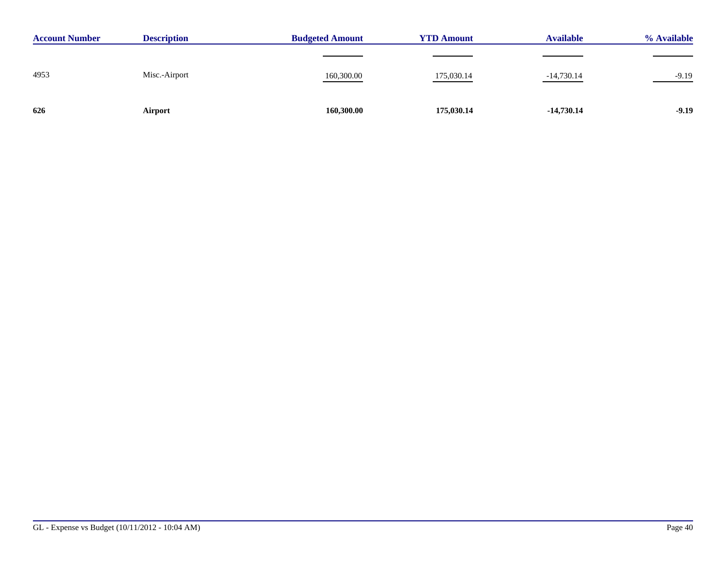| <b>Account Number</b> | <b>Description</b> | <b>Budgeted Amount</b> | <b>YTD Amount</b> | <b>Available</b> | % Available                            |  |
|-----------------------|--------------------|------------------------|-------------------|------------------|----------------------------------------|--|
|                       |                    |                        |                   |                  |                                        |  |
| 4953                  | Misc.-Airport      | 160,300.00             | 175,030.14        | $-14,730.14$     | $-9.19$<br>$\overbrace{\hspace{25mm}}$ |  |
| 626                   | Airport            | 160,300.00             | 175,030.14        | $-14,730.14$     | $-9.19$                                |  |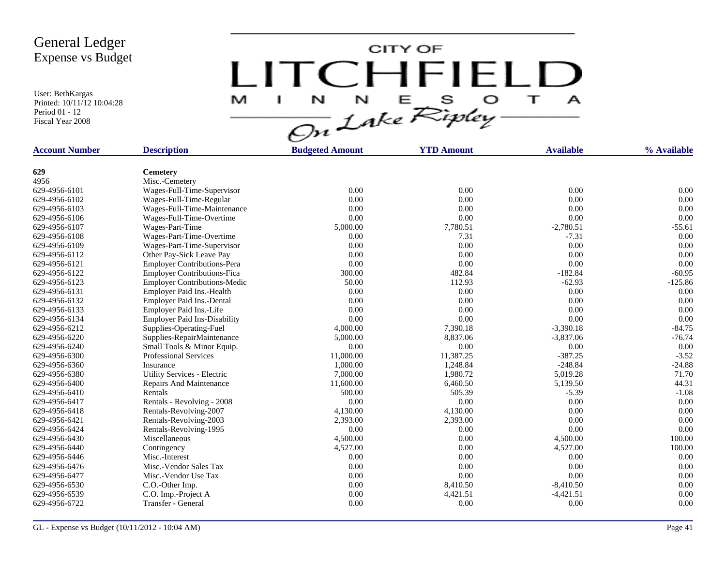User: BethKargas Printed: 10/11/12 10:04:28 Period 01 - 12 Fiscal Year 2008

LITCHFIELD

| <b>Account Number</b> | <b>Description</b>                  | <b>Budgeted Amount</b> | <b>YTD Amount</b> | <b>Available</b> | % Available |
|-----------------------|-------------------------------------|------------------------|-------------------|------------------|-------------|
|                       |                                     |                        |                   |                  |             |
| 629                   | <b>Cemetery</b>                     |                        |                   |                  |             |
| 4956                  | Misc.-Cemetery                      |                        |                   |                  |             |
| 629-4956-6101         | Wages-Full-Time-Supervisor          | 0.00                   | 0.00              | 0.00             | 0.00        |
| 629-4956-6102         | Wages-Full-Time-Regular             | 0.00                   | 0.00              | 0.00             | 0.00        |
| 629-4956-6103         | Wages-Full-Time-Maintenance         | 0.00                   | 0.00              | 0.00             | 0.00        |
| 629-4956-6106         | Wages-Full-Time-Overtime            | 0.00                   | 0.00              | 0.00             | 0.00        |
| 629-4956-6107         | Wages-Part-Time                     | 5,000.00               | 7,780.51          | $-2,780.51$      | $-55.61$    |
| 629-4956-6108         | Wages-Part-Time-Overtime            | 0.00                   | 7.31              | $-7.31$          | 0.00        |
| 629-4956-6109         | Wages-Part-Time-Supervisor          | 0.00                   | 0.00              | 0.00             | 0.00        |
| 629-4956-6112         | Other Pay-Sick Leave Pay            | 0.00                   | 0.00              | 0.00             | 0.00        |
| 629-4956-6121         | <b>Employer Contributions-Pera</b>  | 0.00                   | 0.00              | 0.00             | 0.00        |
| 629-4956-6122         | <b>Employer Contributions-Fica</b>  | 300.00                 | 482.84            | $-182.84$        | $-60.95$    |
| 629-4956-6123         | <b>Employer Contributions-Medic</b> | 50.00                  | 112.93            | $-62.93$         | $-125.86$   |
| 629-4956-6131         | Employer Paid Ins.-Health           | 0.00                   | 0.00              | 0.00             | 0.00        |
| 629-4956-6132         | Employer Paid Ins.-Dental           | 0.00                   | 0.00              | 0.00             | 0.00        |
| 629-4956-6133         | Employer Paid Ins.-Life             | 0.00                   | 0.00              | 0.00             | 0.00        |
| 629-4956-6134         | <b>Employer Paid Ins-Disability</b> | 0.00                   | 0.00              | 0.00             | 0.00        |
| 629-4956-6212         | Supplies-Operating-Fuel             | 4,000.00               | 7,390.18          | $-3,390.18$      | $-84.75$    |
| 629-4956-6220         | Supplies-RepairMaintenance          | 5,000.00               | 8,837.06          | $-3,837.06$      | $-76.74$    |
| 629-4956-6240         | Small Tools & Minor Equip.          | 0.00                   | 0.00              | $0.00\,$         | 0.00        |
| 629-4956-6300         | <b>Professional Services</b>        | 11,000.00              | 11,387.25         | $-387.25$        | $-3.52$     |
| 629-4956-6360         | Insurance                           | 1,000.00               | 1,248.84          | $-248.84$        | $-24.88$    |
| 629-4956-6380         | Utility Services - Electric         | 7,000.00               | 1,980.72          | 5,019.28         | 71.70       |
| 629-4956-6400         | Repairs And Maintenance             | 11,600.00              | 6,460.50          | 5,139.50         | 44.31       |
| 629-4956-6410         | Rentals                             | 500.00                 | 505.39            | $-5.39$          | $-1.08$     |
| 629-4956-6417         | Rentals - Revolving - 2008          | 0.00                   | 0.00              | 0.00             | 0.00        |
| 629-4956-6418         | Rentals-Revolving-2007              | 4,130.00               | 4,130.00          | 0.00             | 0.00        |
| 629-4956-6421         | Rentals-Revolving-2003              | 2,393.00               | 2,393.00          | 0.00             | 0.00        |
| 629-4956-6424         | Rentals-Revolving-1995              | 0.00                   | 0.00              | 0.00             | 0.00        |
| 629-4956-6430         | Miscellaneous                       | 4,500.00               | 0.00              | 4,500.00         | 100.00      |
| 629-4956-6440         | Contingency                         | 4,527.00               | 0.00              | 4,527.00         | 100.00      |
| 629-4956-6446         | Misc.-Interest                      | 0.00                   | 0.00              | 0.00             | 0.00        |
| 629-4956-6476         | Misc.-Vendor Sales Tax              | 0.00                   | 0.00              | 0.00             | 0.00        |
| 629-4956-6477         | Misc.-Vendor Use Tax                | 0.00                   | 0.00              | 0.00             | 0.00        |
| 629-4956-6530         | C.O.-Other Imp.                     | 0.00                   | 8,410.50          | $-8,410.50$      | 0.00        |
| 629-4956-6539         | C.O. Imp.-Project A                 | 0.00                   | 4,421.51          | $-4,421.51$      | 0.00        |
| 629-4956-6722         | Transfer - General                  | 0.00                   | 0.00              | 0.00             | 0.00        |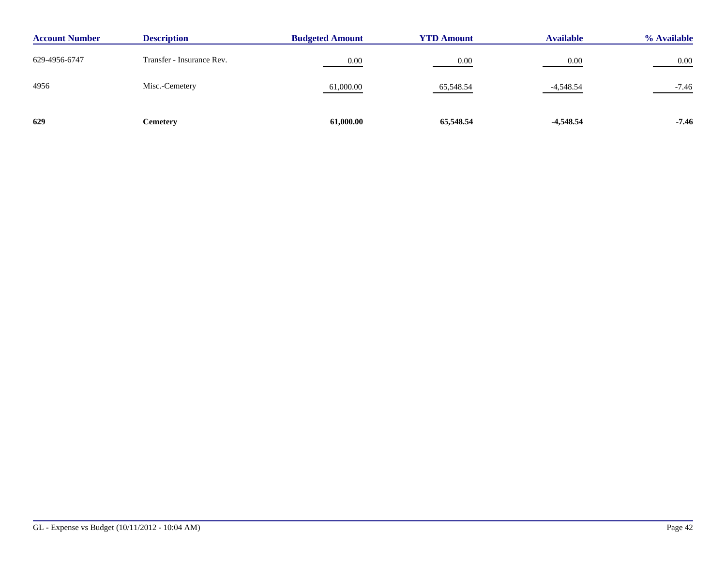| <b>Description</b><br><b>Account Number</b> |                           | <b>Budgeted Amount</b> | <b>YTD Amount</b> | <b>Available</b> | % Available |
|---------------------------------------------|---------------------------|------------------------|-------------------|------------------|-------------|
| 629-4956-6747                               | Transfer - Insurance Rev. | 0.00                   | 0.00              | 0.00             | 0.00        |
| 4956                                        | Misc.-Cemetery            | 61,000.00              | 65,548.54         | $-4,548.54$      | $-7.46$     |
| 629                                         | Cemetery                  | 61,000.00              | 65,548.54         | $-4,548.54$      | $-7.46$     |